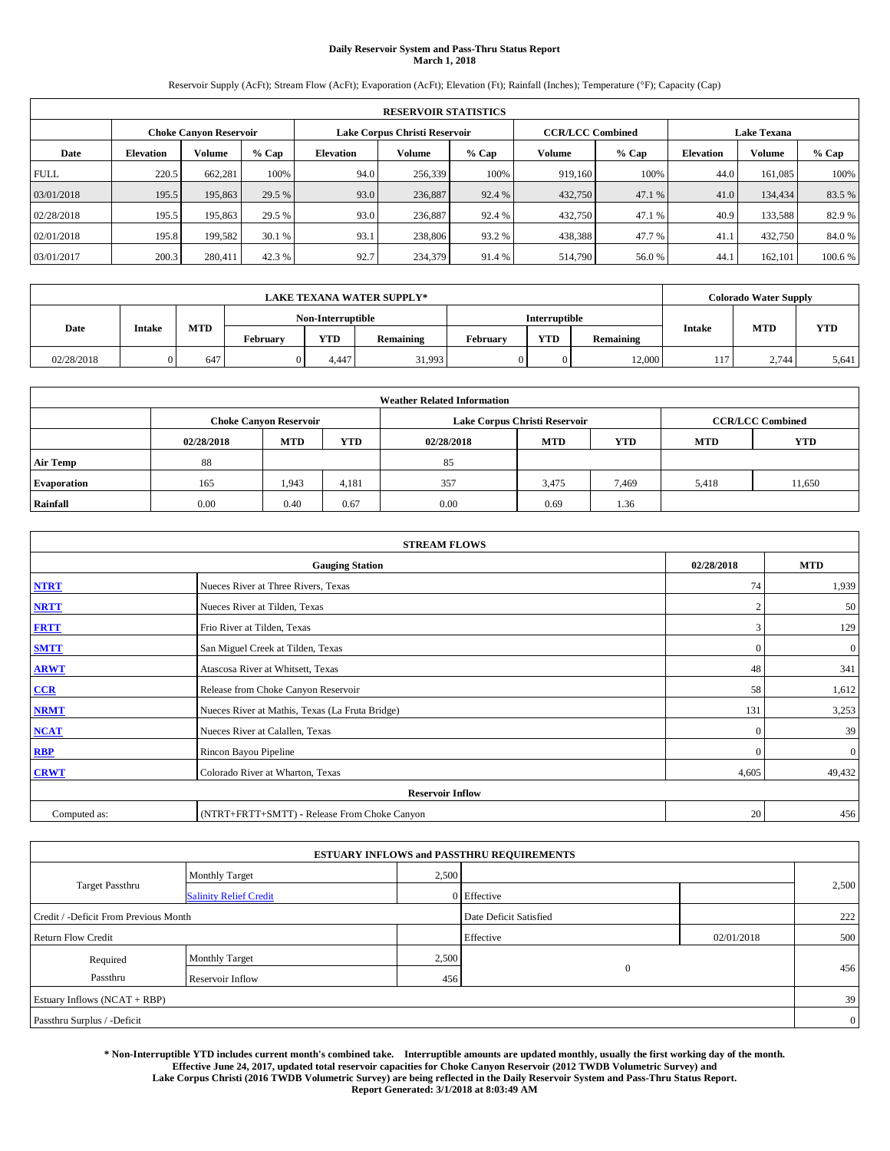# **Daily Reservoir System and Pass-Thru Status Report March 1, 2018**

Reservoir Supply (AcFt); Stream Flow (AcFt); Evaporation (AcFt); Elevation (Ft); Rainfall (Inches); Temperature (°F); Capacity (Cap)

| <b>RESERVOIR STATISTICS</b> |                  |                               |         |                  |                               |         |                         |         |                    |               |         |
|-----------------------------|------------------|-------------------------------|---------|------------------|-------------------------------|---------|-------------------------|---------|--------------------|---------------|---------|
|                             |                  | <b>Choke Canyon Reservoir</b> |         |                  | Lake Corpus Christi Reservoir |         | <b>CCR/LCC Combined</b> |         | <b>Lake Texana</b> |               |         |
| Date                        | <b>Elevation</b> | Volume                        | $%$ Cap | <b>Elevation</b> | Volume                        | $%$ Cap | Volume                  | $%$ Cap | <b>Elevation</b>   | <b>Volume</b> | % Cap   |
| <b>FULL</b>                 | 220.5            | 662,281                       | 100%    | 94.0             | 256,339                       | 100%    | 919.160                 | 100%    | 44.0               | 161.085       | 100%    |
| 03/01/2018                  | 195.5            | 195,863                       | 29.5 %  | 93.0             | 236,887                       | 92.4 %  | 432,750                 | 47.1 %  | 41.0               | 134,434       | 83.5 %  |
| 02/28/2018                  | 195.5            | 195,863                       | 29.5 %  | 93.0             | 236,887                       | 92.4 %  | 432,750                 | 47.1 %  | 40.9               | 133.588       | 82.9%   |
| 02/01/2018                  | 195.8            | 199,582                       | 30.1 %  | 93.1             | 238,806                       | 93.2 %  | 438,388                 | 47.7 %  | 41.                | 432,750       | 84.0%   |
| 03/01/2017                  | 200.3            | 280,411                       | 42.3 %  | 92.7             | 234,379                       | 91.4 %  | 514,790                 | 56.0%   | 44.                | 162,101       | 100.6 % |

|            | <b>LAKE TEXANA WATER SUPPLY*</b> |            |          |                   |                  |          |               |           |        | <b>Colorado Water Supply</b> |            |  |
|------------|----------------------------------|------------|----------|-------------------|------------------|----------|---------------|-----------|--------|------------------------------|------------|--|
|            |                                  |            |          | Non-Interruptible |                  |          | Interruptible |           |        |                              |            |  |
| Date       | Intake                           | <b>MTD</b> | February | <b>YTD</b>        | <b>Remaining</b> | February | <b>YTD</b>    | Remaining |        | <b>MTD</b><br><b>Intake</b>  | <b>YTD</b> |  |
| 02/28/2018 |                                  | 647        |          | 4.447             | 31,993           |          | $^{\circ}$    | 12.000    | $\sim$ | 2.744                        | 5,641      |  |

| <b>Weather Related Information</b> |                                                                                                |                               |       |      |                               |                         |            |        |  |  |
|------------------------------------|------------------------------------------------------------------------------------------------|-------------------------------|-------|------|-------------------------------|-------------------------|------------|--------|--|--|
|                                    |                                                                                                | <b>Choke Canyon Reservoir</b> |       |      | Lake Corpus Christi Reservoir | <b>CCR/LCC Combined</b> |            |        |  |  |
|                                    | <b>YTD</b><br><b>YTD</b><br><b>MTD</b><br><b>MTD</b><br><b>MTD</b><br>02/28/2018<br>02/28/2018 |                               |       |      |                               |                         | <b>YTD</b> |        |  |  |
| <b>Air Temp</b>                    | 88                                                                                             |                               |       | 85   |                               |                         |            |        |  |  |
| <b>Evaporation</b>                 | 165                                                                                            | 1,943                         | 4,181 | 357  | 3,475                         | 7,469                   | 5,418      | 11,650 |  |  |
| Rainfall                           | 0.00                                                                                           | 0.40                          | 0.67  | 0.00 | 0.69                          | 1.36                    |            |        |  |  |

| <b>STREAM FLOWS</b> |                                                 |                |              |  |  |  |  |  |  |
|---------------------|-------------------------------------------------|----------------|--------------|--|--|--|--|--|--|
|                     | <b>Gauging Station</b>                          | 02/28/2018     | <b>MTD</b>   |  |  |  |  |  |  |
| <b>NTRT</b>         | Nueces River at Three Rivers, Texas             | 74             | 1,939        |  |  |  |  |  |  |
| <b>NRTT</b>         | Nueces River at Tilden, Texas                   | $\overline{2}$ | 50           |  |  |  |  |  |  |
| <b>FRTT</b>         | Frio River at Tilden, Texas                     | 3              | 129          |  |  |  |  |  |  |
| <b>SMTT</b>         | San Miguel Creek at Tilden, Texas               | $\mathbf{0}$   | $\mathbf{0}$ |  |  |  |  |  |  |
| <b>ARWT</b>         | Atascosa River at Whitsett, Texas               | 48             | 341          |  |  |  |  |  |  |
| CCR                 | Release from Choke Canyon Reservoir             | 58             | 1,612        |  |  |  |  |  |  |
| <b>NRMT</b>         | Nueces River at Mathis, Texas (La Fruta Bridge) | 131            | 3,253        |  |  |  |  |  |  |
| <b>NCAT</b>         | Nueces River at Calallen, Texas                 | $\Omega$       | 39           |  |  |  |  |  |  |
| <b>RBP</b>          | Rincon Bayou Pipeline                           | $\Omega$       | $\mathbf{0}$ |  |  |  |  |  |  |
| <b>CRWT</b>         | Colorado River at Wharton, Texas                | 4,605          | 49,432       |  |  |  |  |  |  |
|                     | <b>Reservoir Inflow</b>                         |                |              |  |  |  |  |  |  |
| Computed as:        | (NTRT+FRTT+SMTT) - Release From Choke Canyon    |                |              |  |  |  |  |  |  |

| <b>ESTUARY INFLOWS and PASSTHRU REQUIREMENTS</b> |                               |                        |              |            |       |  |  |  |  |  |
|--------------------------------------------------|-------------------------------|------------------------|--------------|------------|-------|--|--|--|--|--|
|                                                  | <b>Monthly Target</b>         | 2,500                  |              |            |       |  |  |  |  |  |
| <b>Target Passthru</b>                           | <b>Salinity Relief Credit</b> |                        | 0 Effective  |            | 2,500 |  |  |  |  |  |
| Credit / -Deficit From Previous Month            |                               | Date Deficit Satisfied |              | 222        |       |  |  |  |  |  |
| <b>Return Flow Credit</b>                        |                               |                        | Effective    | 02/01/2018 | 500   |  |  |  |  |  |
| Required                                         | Monthly Target                | 2,500                  |              |            |       |  |  |  |  |  |
| Passthru                                         | Reservoir Inflow              | 456                    | $\mathbf{0}$ |            | 456   |  |  |  |  |  |
| Estuary Inflows (NCAT + RBP)                     |                               |                        |              |            |       |  |  |  |  |  |
| Passthru Surplus / -Deficit                      |                               |                        |              |            |       |  |  |  |  |  |

**\* Non-Interruptible YTD includes current month's combined take. Interruptible amounts are updated monthly, usually the first working day of the month. Effective June 24, 2017, updated total reservoir capacities for Choke Canyon Reservoir (2012 TWDB Volumetric Survey) and Lake Corpus Christi (2016 TWDB Volumetric Survey) are being reflected in the Daily Reservoir System and Pass-Thru Status Report. Report Generated: 3/1/2018 at 8:03:49 AM**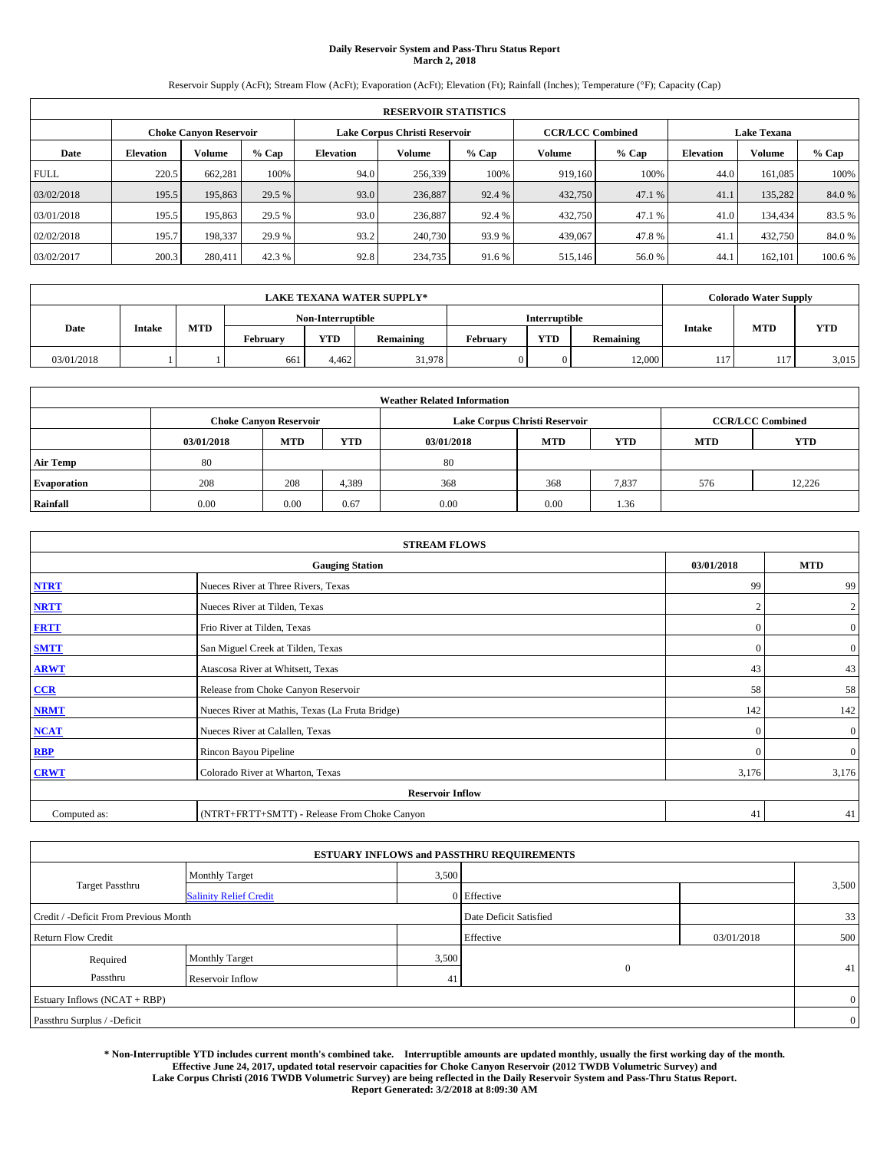# **Daily Reservoir System and Pass-Thru Status Report March 2, 2018**

Reservoir Supply (AcFt); Stream Flow (AcFt); Evaporation (AcFt); Elevation (Ft); Rainfall (Inches); Temperature (°F); Capacity (Cap)

| <b>RESERVOIR STATISTICS</b> |                  |                               |         |           |                               |         |                         |         |                    |               |         |
|-----------------------------|------------------|-------------------------------|---------|-----------|-------------------------------|---------|-------------------------|---------|--------------------|---------------|---------|
|                             |                  | <b>Choke Canyon Reservoir</b> |         |           | Lake Corpus Christi Reservoir |         | <b>CCR/LCC Combined</b> |         | <b>Lake Texana</b> |               |         |
| Date                        | <b>Elevation</b> | Volume                        | $%$ Cap | Elevation | Volume                        | $%$ Cap | Volume                  | $%$ Cap | <b>Elevation</b>   | <b>Volume</b> | % Cap   |
| <b>FULL</b>                 | 220.5            | 662,281                       | 100%    | 94.0      | 256,339                       | 100%    | 919.160                 | 100%    | 44.0               | 161.085       | 100%    |
| 03/02/2018                  | 195.5            | 195,863                       | 29.5 %  | 93.0      | 236,887                       | 92.4 %  | 432,750                 | 47.1 %  | 41.1               | 135.282       | 84.0%   |
| 03/01/2018                  | 195.5            | 195,863                       | 29.5 %  | 93.0      | 236,887                       | 92.4 %  | 432,750                 | 47.1 %  | 41.0               | 134,434       | 83.5 %  |
| 02/02/2018                  | 195.7            | 198,337                       | 29.9 %  | 93.2      | 240,730                       | 93.9 %  | 439,067                 | 47.8%   | 41.                | 432,750       | 84.0%   |
| 03/02/2017                  | 200.3            | 280,411                       | 42.3 %  | 92.8      | 234,735                       | 91.6 %  | 515,146                 | 56.0%   | 44.                | 162,101       | 100.6 % |

|            | <b>LAKE TEXANA WATER SUPPLY*</b> |            |                   |            |           |          |               |                  |               | <b>Colorado Water Supply</b> |            |  |
|------------|----------------------------------|------------|-------------------|------------|-----------|----------|---------------|------------------|---------------|------------------------------|------------|--|
| Date       |                                  |            | Non-Interruptible |            |           |          | Interruptible |                  |               |                              |            |  |
|            | Intake                           | <b>MTD</b> | February          | <b>YTD</b> | Remaining | February | <b>YTD</b>    | <b>Remaining</b> | <b>Intake</b> | <b>MTD</b>                   | <b>YTD</b> |  |
| 03/01/2018 |                                  |            | 661               | 4.462      | 31.978    |          |               | 12.000           | 117           | 117                          | 3,015      |  |

| <b>Weather Related Information</b> |                                                                                                |                               |       |      |                               |                         |     |            |  |  |
|------------------------------------|------------------------------------------------------------------------------------------------|-------------------------------|-------|------|-------------------------------|-------------------------|-----|------------|--|--|
|                                    |                                                                                                | <b>Choke Canyon Reservoir</b> |       |      | Lake Corpus Christi Reservoir | <b>CCR/LCC Combined</b> |     |            |  |  |
|                                    | <b>YTD</b><br><b>YTD</b><br><b>MTD</b><br><b>MTD</b><br><b>MTD</b><br>03/01/2018<br>03/01/2018 |                               |       |      |                               |                         |     | <b>YTD</b> |  |  |
| <b>Air Temp</b>                    | 80                                                                                             |                               |       | 80   |                               |                         |     |            |  |  |
| <b>Evaporation</b>                 | 208                                                                                            | 208                           | 4,389 | 368  | 368                           | 7,837                   | 576 | 12,226     |  |  |
| Rainfall                           | 0.00                                                                                           | 0.00                          | 0.67  | 0.00 | 0.00                          | 1.36                    |     |            |  |  |

| <b>STREAM FLOWS</b> |                                                 |            |                |  |  |  |  |  |  |
|---------------------|-------------------------------------------------|------------|----------------|--|--|--|--|--|--|
|                     | <b>Gauging Station</b>                          | 03/01/2018 | <b>MTD</b>     |  |  |  |  |  |  |
| <b>NTRT</b>         | Nueces River at Three Rivers, Texas             | 99         | 99             |  |  |  |  |  |  |
| <b>NRTT</b>         | Nueces River at Tilden, Texas                   | n          | $\overline{2}$ |  |  |  |  |  |  |
| <b>FRTT</b>         | Frio River at Tilden, Texas                     | $\Omega$   | $\mathbf{0}$   |  |  |  |  |  |  |
| <b>SMTT</b>         | San Miguel Creek at Tilden, Texas               | $\bf{0}$   | $\overline{0}$ |  |  |  |  |  |  |
| <b>ARWT</b>         | Atascosa River at Whitsett, Texas               | 43         | 43             |  |  |  |  |  |  |
| CCR                 | Release from Choke Canyon Reservoir             | 58         | 58             |  |  |  |  |  |  |
| <b>NRMT</b>         | Nueces River at Mathis, Texas (La Fruta Bridge) | 142        | 142            |  |  |  |  |  |  |
| <b>NCAT</b>         | Nueces River at Calallen, Texas                 | $\Omega$   | $\overline{0}$ |  |  |  |  |  |  |
| RBP                 | Rincon Bayou Pipeline                           | $\Omega$   | $\overline{0}$ |  |  |  |  |  |  |
| <b>CRWT</b>         | Colorado River at Wharton, Texas                | 3,176      | 3,176          |  |  |  |  |  |  |
|                     | <b>Reservoir Inflow</b>                         |            |                |  |  |  |  |  |  |
| Computed as:        | (NTRT+FRTT+SMTT) - Release From Choke Canyon    |            |                |  |  |  |  |  |  |

| <b>ESTUARY INFLOWS and PASSTHRU REQUIREMENTS</b> |                               |                        |              |            |                |  |  |  |  |  |
|--------------------------------------------------|-------------------------------|------------------------|--------------|------------|----------------|--|--|--|--|--|
|                                                  | Monthly Target                | 3,500                  |              |            |                |  |  |  |  |  |
| <b>Target Passthru</b>                           | <b>Salinity Relief Credit</b> |                        | 0 Effective  |            | 3,500          |  |  |  |  |  |
| Credit / -Deficit From Previous Month            |                               | Date Deficit Satisfied |              | 33         |                |  |  |  |  |  |
| <b>Return Flow Credit</b>                        |                               |                        | Effective    | 03/01/2018 | 500            |  |  |  |  |  |
| Required                                         | Monthly Target                | 3,500                  |              |            |                |  |  |  |  |  |
| Passthru                                         | Reservoir Inflow              | 41                     | $\mathbf{0}$ |            | 41             |  |  |  |  |  |
| Estuary Inflows (NCAT + RBP)                     |                               |                        |              |            | $\overline{0}$ |  |  |  |  |  |
| Passthru Surplus / -Deficit                      |                               |                        |              |            |                |  |  |  |  |  |

**\* Non-Interruptible YTD includes current month's combined take. Interruptible amounts are updated monthly, usually the first working day of the month. Effective June 24, 2017, updated total reservoir capacities for Choke Canyon Reservoir (2012 TWDB Volumetric Survey) and Lake Corpus Christi (2016 TWDB Volumetric Survey) are being reflected in the Daily Reservoir System and Pass-Thru Status Report. Report Generated: 3/2/2018 at 8:09:30 AM**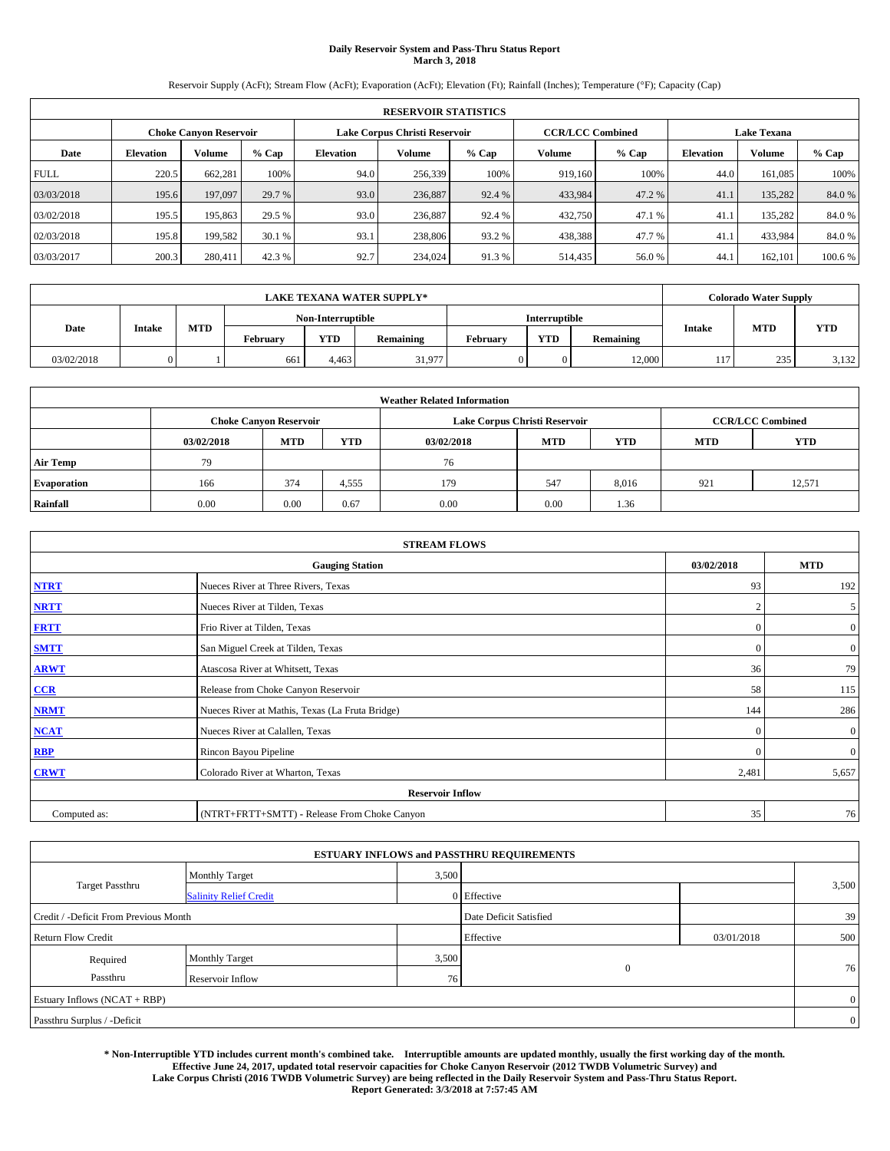# **Daily Reservoir System and Pass-Thru Status Report March 3, 2018**

Reservoir Supply (AcFt); Stream Flow (AcFt); Evaporation (AcFt); Elevation (Ft); Rainfall (Inches); Temperature (°F); Capacity (Cap)

| <b>RESERVOIR STATISTICS</b> |                  |                               |         |           |                               |         |                         |         |                    |               |         |
|-----------------------------|------------------|-------------------------------|---------|-----------|-------------------------------|---------|-------------------------|---------|--------------------|---------------|---------|
|                             |                  | <b>Choke Canyon Reservoir</b> |         |           | Lake Corpus Christi Reservoir |         | <b>CCR/LCC Combined</b> |         | <b>Lake Texana</b> |               |         |
| Date                        | <b>Elevation</b> | Volume                        | $%$ Cap | Elevation | Volume                        | $%$ Cap | Volume                  | $%$ Cap | <b>Elevation</b>   | <b>Volume</b> | % Cap   |
| <b>FULL</b>                 | 220.5            | 662.281                       | 100%    | 94.0      | 256,339                       | 100%    | 919.160                 | 100%    | 44.0               | 161.085       | 100%    |
| 03/03/2018                  | 195.6            | 197,097                       | 29.7 %  | 93.0      | 236,887                       | 92.4 %  | 433,984                 | 47.2 %  | 41.                | 135.282       | 84.0%   |
| 03/02/2018                  | 195.5            | 195,863                       | 29.5 %  | 93.0      | 236,887                       | 92.4 %  | 432,750                 | 47.1 %  | 41.                | 135.282       | 84.0%   |
| 02/03/2018                  | 195.8            | 199,582                       | 30.1 %  | 93.1      | 238,806                       | 93.2 %  | 438,388                 | 47.7 %  | 41.                | 433,984       | 84.0%   |
| 03/03/2017                  | 200.3            | 280,411                       | 42.3 %  | 92.7      | 234,024                       | 91.3%   | 514,435                 | 56.0%   | 44.                | 162,101       | 100.6 % |

|            | <b>LAKE TEXANA WATER SUPPLY*</b> |            |                   |            |           |          |               |                  |               | <b>Colorado Water Supply</b> |            |  |
|------------|----------------------------------|------------|-------------------|------------|-----------|----------|---------------|------------------|---------------|------------------------------|------------|--|
|            |                                  |            | Non-Interruptible |            |           |          | Interruptible |                  |               |                              |            |  |
| Date       | Intake                           | <b>MTD</b> | February          | <b>YTD</b> | Remaining | February | <b>YTD</b>    | <b>Remaining</b> | <b>Intake</b> | <b>MTD</b>                   | <b>YTD</b> |  |
| 03/02/2018 |                                  |            | 661               | 4.463      | 31,977    |          |               | 12.000           | 117           | 235                          | 3,132      |  |

| <b>Weather Related Information</b> |            |                               |            |                                                      |                               |                         |     |        |  |  |
|------------------------------------|------------|-------------------------------|------------|------------------------------------------------------|-------------------------------|-------------------------|-----|--------|--|--|
|                                    |            | <b>Choke Canyon Reservoir</b> |            |                                                      | Lake Corpus Christi Reservoir | <b>CCR/LCC Combined</b> |     |        |  |  |
|                                    | 03/02/2018 | <b>MTD</b>                    | <b>YTD</b> | <b>YTD</b><br><b>MTD</b><br><b>MTD</b><br>03/02/2018 |                               |                         |     |        |  |  |
| <b>Air Temp</b>                    | 79         |                               |            | 76                                                   |                               |                         |     |        |  |  |
| <b>Evaporation</b>                 | 166        | 374                           | 4,555      | 179                                                  | 547                           | 8,016                   | 921 | 12,571 |  |  |
| Rainfall                           | 0.00       | 0.00                          | 0.67       | 0.00                                                 | 0.00                          | 1.36                    |     |        |  |  |

| <b>STREAM FLOWS</b> |                                                 |            |                |  |  |  |  |  |
|---------------------|-------------------------------------------------|------------|----------------|--|--|--|--|--|
|                     | <b>Gauging Station</b>                          | 03/02/2018 | <b>MTD</b>     |  |  |  |  |  |
| <b>NTRT</b>         | Nueces River at Three Rivers, Texas             | 93         | 192            |  |  |  |  |  |
| <b>NRTT</b>         | Nueces River at Tilden, Texas                   | n          | 5 <sup>5</sup> |  |  |  |  |  |
| <b>FRTT</b>         | Frio River at Tilden, Texas                     | $\Omega$   | $\mathbf{0}$   |  |  |  |  |  |
| <b>SMTT</b>         | San Miguel Creek at Tilden, Texas               | $\bf{0}$   | $\overline{0}$ |  |  |  |  |  |
| <b>ARWT</b>         | Atascosa River at Whitsett, Texas               | 36         | 79             |  |  |  |  |  |
| CCR                 | Release from Choke Canyon Reservoir             | 58         | 115            |  |  |  |  |  |
| <b>NRMT</b>         | Nueces River at Mathis, Texas (La Fruta Bridge) | 144        | 286            |  |  |  |  |  |
| <b>NCAT</b>         | Nueces River at Calallen, Texas                 | $\Omega$   | $\overline{0}$ |  |  |  |  |  |
| RBP                 | Rincon Bayou Pipeline                           | $\Omega$   | $\overline{0}$ |  |  |  |  |  |
| <b>CRWT</b>         | Colorado River at Wharton, Texas                | 2,481      | 5,657          |  |  |  |  |  |
|                     | <b>Reservoir Inflow</b>                         |            |                |  |  |  |  |  |
| Computed as:        | (NTRT+FRTT+SMTT) - Release From Choke Canyon    | 35         | 76             |  |  |  |  |  |

|                                       |                               |       | <b>ESTUARY INFLOWS and PASSTHRU REQUIREMENTS</b> |            |                |
|---------------------------------------|-------------------------------|-------|--------------------------------------------------|------------|----------------|
|                                       | Monthly Target                | 3,500 |                                                  |            |                |
| <b>Target Passthru</b>                | <b>Salinity Relief Credit</b> |       | 0 Effective                                      |            | 3,500          |
| Credit / -Deficit From Previous Month |                               |       | Date Deficit Satisfied                           |            | 39             |
| <b>Return Flow Credit</b>             |                               |       | Effective                                        | 03/01/2018 | 500            |
| Required                              | Monthly Target                | 3,500 |                                                  |            |                |
| Passthru                              | Reservoir Inflow              | 76    | $\mathbf{0}$                                     |            | 76             |
| Estuary Inflows (NCAT + RBP)          |                               |       |                                                  |            | $\overline{0}$ |
| Passthru Surplus / -Deficit           |                               |       |                                                  |            | $\overline{0}$ |

**\* Non-Interruptible YTD includes current month's combined take. Interruptible amounts are updated monthly, usually the first working day of the month. Effective June 24, 2017, updated total reservoir capacities for Choke Canyon Reservoir (2012 TWDB Volumetric Survey) and Lake Corpus Christi (2016 TWDB Volumetric Survey) are being reflected in the Daily Reservoir System and Pass-Thru Status Report. Report Generated: 3/3/2018 at 7:57:45 AM**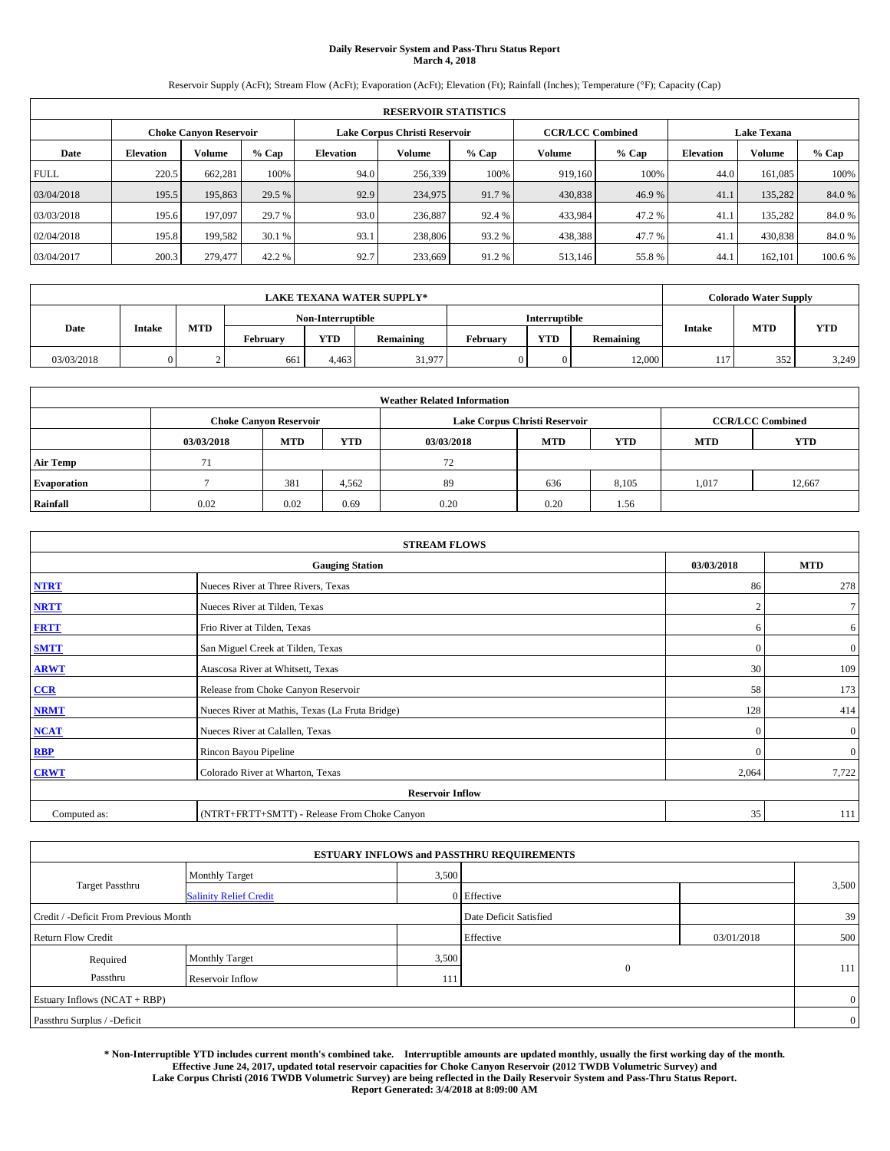# **Daily Reservoir System and Pass-Thru Status Report March 4, 2018**

Reservoir Supply (AcFt); Stream Flow (AcFt); Evaporation (AcFt); Elevation (Ft); Rainfall (Inches); Temperature (°F); Capacity (Cap)

|             | <b>RESERVOIR STATISTICS</b> |                               |         |           |                               |         |                         |         |                  |                    |         |
|-------------|-----------------------------|-------------------------------|---------|-----------|-------------------------------|---------|-------------------------|---------|------------------|--------------------|---------|
|             |                             | <b>Choke Canyon Reservoir</b> |         |           | Lake Corpus Christi Reservoir |         | <b>CCR/LCC Combined</b> |         |                  | <b>Lake Texana</b> |         |
| Date        | <b>Elevation</b>            | Volume                        | $%$ Cap | Elevation | Volume                        | $%$ Cap | Volume                  | $%$ Cap | <b>Elevation</b> | <b>Volume</b>      | % Cap   |
| <b>FULL</b> | 220.5                       | 662.281                       | 100%    | 94.0      | 256,339                       | 100%    | 919.160                 | 100%    | 44.0             | 161.085            | 100%    |
| 03/04/2018  | 195.5                       | 195,863                       | 29.5 %  | 92.9      | 234,975                       | 91.7 %  | 430,838                 | 46.9%   | 41.              | 135.282            | 84.0%   |
| 03/03/2018  | 195.6                       | 197,097                       | 29.7 %  | 93.0      | 236,887                       | 92.4 %  | 433,984                 | 47.2%   | 41.              | 135.282            | 84.0%   |
| 02/04/2018  | 195.8                       | 199.582                       | 30.1 %  | 93.1      | 238,806                       | 93.2 %  | 438,388                 | 47.7 %  | 41.              | 430,838            | 84.0%   |
| 03/04/2017  | 200.3                       | 279,477                       | 42.2 %  | 92.7      | 233,669                       | 91.2%   | 513,146                 | 55.8%   | 44.              | 162,101            | 100.6 % |

| <b>LAKE TEXANA WATER SUPPLY*</b> |        |            |          |                   |           |          |               |                  |               | <b>Colorado Water Supply</b> |            |
|----------------------------------|--------|------------|----------|-------------------|-----------|----------|---------------|------------------|---------------|------------------------------|------------|
|                                  |        |            |          | Non-Interruptible |           |          | Interruptible |                  |               |                              |            |
| Date                             | Intake | <b>MTD</b> | February | <b>YTD</b>        | Remaining | February | <b>YTD</b>    | <b>Remaining</b> | <b>Intake</b> | <b>MTD</b>                   | <b>YTD</b> |
| 03/03/2018                       |        |            | 661      | 4.463             | 31,977    |          |               | 12.000           | 117           | 352                          | 3,249      |

| <b>Weather Related Information</b> |            |                               |            |            |                               |                         |            |            |  |
|------------------------------------|------------|-------------------------------|------------|------------|-------------------------------|-------------------------|------------|------------|--|
|                                    |            | <b>Choke Canyon Reservoir</b> |            |            | Lake Corpus Christi Reservoir | <b>CCR/LCC Combined</b> |            |            |  |
|                                    | 03/03/2018 | <b>MTD</b>                    | <b>YTD</b> | 03/03/2018 | <b>MTD</b>                    | <b>YTD</b>              | <b>MTD</b> | <b>YTD</b> |  |
| <b>Air Temp</b>                    | 71         |                               |            | 72         |                               |                         |            |            |  |
| <b>Evaporation</b>                 |            | 381                           | 4,562      | 89         | 636                           | 8,105                   | 1.017      | 12,667     |  |
| Rainfall                           | 0.02       | 0.02                          | 0.69       | 0.20       | 0.20                          | 1.56                    |            |            |  |

| <b>STREAM FLOWS</b> |                                                 |                |                  |  |  |  |  |  |
|---------------------|-------------------------------------------------|----------------|------------------|--|--|--|--|--|
|                     | <b>Gauging Station</b>                          | 03/03/2018     | <b>MTD</b>       |  |  |  |  |  |
| <b>NTRT</b>         | Nueces River at Three Rivers, Texas             | 86             | 278              |  |  |  |  |  |
| <b>NRTT</b>         | Nueces River at Tilden, Texas                   | $\overline{2}$ | $\tau$           |  |  |  |  |  |
| <b>FRTT</b>         | Frio River at Tilden, Texas                     | 6              | 6                |  |  |  |  |  |
| <b>SMTT</b>         | San Miguel Creek at Tilden, Texas               | $\mathbf{0}$   | $\mathbf{0}$     |  |  |  |  |  |
| <b>ARWT</b>         | Atascosa River at Whitsett, Texas               | 30             | 109              |  |  |  |  |  |
| CCR                 | Release from Choke Canyon Reservoir             | 58             | 173              |  |  |  |  |  |
| <b>NRMT</b>         | Nueces River at Mathis, Texas (La Fruta Bridge) | 128            | 414              |  |  |  |  |  |
| <b>NCAT</b>         | Nueces River at Calallen, Texas                 | $\Omega$       | $\boldsymbol{0}$ |  |  |  |  |  |
| <b>RBP</b>          | Rincon Bayou Pipeline                           | $\Omega$       | $\mathbf{0}$     |  |  |  |  |  |
| <b>CRWT</b>         | Colorado River at Wharton, Texas                | 2,064          | 7,722            |  |  |  |  |  |
|                     |                                                 |                |                  |  |  |  |  |  |
| Computed as:        | (NTRT+FRTT+SMTT) - Release From Choke Canyon    | 35             | 111              |  |  |  |  |  |

|                                       |                               |                        | <b>ESTUARY INFLOWS and PASSTHRU REQUIREMENTS</b> |            |                |  |  |
|---------------------------------------|-------------------------------|------------------------|--------------------------------------------------|------------|----------------|--|--|
|                                       | <b>Monthly Target</b>         | 3,500                  |                                                  |            |                |  |  |
| <b>Target Passthru</b>                | <b>Salinity Relief Credit</b> |                        | 0 Effective                                      |            | 3,500          |  |  |
| Credit / -Deficit From Previous Month |                               | Date Deficit Satisfied |                                                  | 39         |                |  |  |
| <b>Return Flow Credit</b>             |                               |                        | Effective                                        | 03/01/2018 | 500            |  |  |
| Required                              | Monthly Target                | 3,500                  |                                                  |            |                |  |  |
| Passthru                              | Reservoir Inflow              | 111                    | $\mathbf{0}$                                     |            | 111            |  |  |
| Estuary Inflows (NCAT + RBP)          |                               |                        |                                                  |            |                |  |  |
| Passthru Surplus / -Deficit           |                               |                        |                                                  |            | $\overline{0}$ |  |  |

**\* Non-Interruptible YTD includes current month's combined take. Interruptible amounts are updated monthly, usually the first working day of the month. Effective June 24, 2017, updated total reservoir capacities for Choke Canyon Reservoir (2012 TWDB Volumetric Survey) and Lake Corpus Christi (2016 TWDB Volumetric Survey) are being reflected in the Daily Reservoir System and Pass-Thru Status Report. Report Generated: 3/4/2018 at 8:09:00 AM**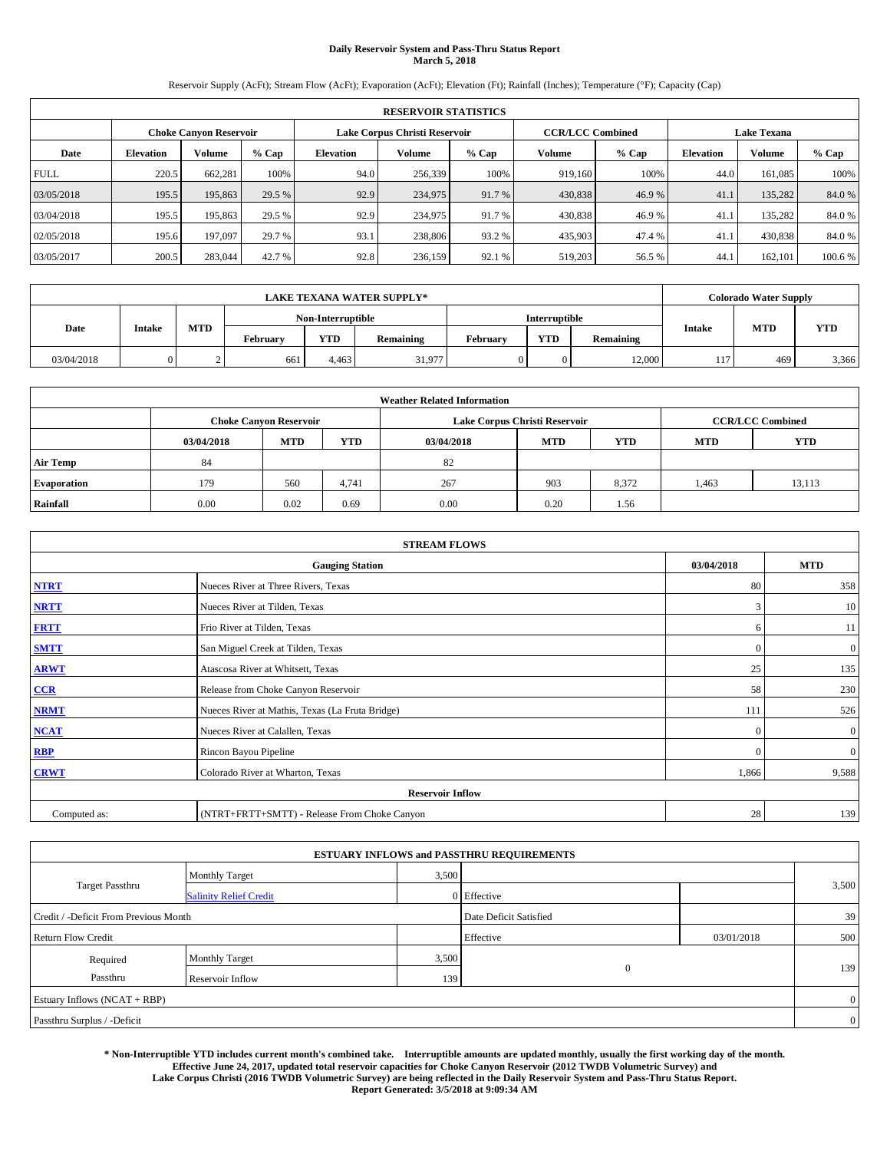# **Daily Reservoir System and Pass-Thru Status Report March 5, 2018**

Reservoir Supply (AcFt); Stream Flow (AcFt); Evaporation (AcFt); Elevation (Ft); Rainfall (Inches); Temperature (°F); Capacity (Cap)

|             | <b>RESERVOIR STATISTICS</b> |                               |         |           |                               |         |                         |         |                  |                    |        |  |
|-------------|-----------------------------|-------------------------------|---------|-----------|-------------------------------|---------|-------------------------|---------|------------------|--------------------|--------|--|
|             |                             | <b>Choke Canyon Reservoir</b> |         |           | Lake Corpus Christi Reservoir |         | <b>CCR/LCC Combined</b> |         |                  | <b>Lake Texana</b> |        |  |
| Date        | <b>Elevation</b>            | Volume                        | $%$ Cap | Elevation | Volume                        | $%$ Cap | Volume                  | $%$ Cap | <b>Elevation</b> | <b>Volume</b>      | % Cap  |  |
| <b>FULL</b> | 220.5                       | 662.281                       | 100%    | 94.0      | 256,339                       | 100%    | 919.160                 | 100%    | 44.0             | 161.085            | 100%   |  |
| 03/05/2018  | 195.5                       | 195,863                       | 29.5 %  | 92.9      | 234,975                       | 91.7 %  | 430,838                 | 46.9%   | 41.              | 135.282            | 84.0%  |  |
| 03/04/2018  | 195.5                       | 195,863                       | 29.5 %  | 92.9      | 234,975                       | 91.7 %  | 430,838                 | 46.9%   | 41.              | 135.282            | 84.0%  |  |
| 02/05/2018  | 195.6                       | 197,097                       | 29.7 %  | 93.1      | 238,806                       | 93.2 %  | 435,903                 | 47.4 %  | 41.              | 430,838            | 84.0%  |  |
| 03/05/2017  | 200.5                       | 283,044                       | 42.7 %  | 92.8      | 236,159                       | 92.1 %  | 519,203                 | 56.5 %  | 44.              | 162,101            | 100.6% |  |

| <b>LAKE TEXANA WATER SUPPLY*</b> |        |            |                   |            |           |          |               |                  |               | <b>Colorado Water Supply</b> |            |
|----------------------------------|--------|------------|-------------------|------------|-----------|----------|---------------|------------------|---------------|------------------------------|------------|
|                                  |        |            | Non-Interruptible |            |           |          | Interruptible |                  |               |                              |            |
| Date                             | Intake | <b>MTD</b> | February          | <b>YTD</b> | Remaining | February | <b>YTD</b>    | <b>Remaining</b> | <b>Intake</b> | <b>MTD</b>                   | <b>YTD</b> |
| 03/04/2018                       |        |            | 661               | 4.463      | 31,977    |          |               | 12.000           | 117           | 469                          | 3,366      |

| <b>Weather Related Information</b> |            |                               |            |            |                               |                         |            |            |  |
|------------------------------------|------------|-------------------------------|------------|------------|-------------------------------|-------------------------|------------|------------|--|
|                                    |            | <b>Choke Canyon Reservoir</b> |            |            | Lake Corpus Christi Reservoir | <b>CCR/LCC Combined</b> |            |            |  |
|                                    | 03/04/2018 | <b>MTD</b>                    | <b>YTD</b> | 03/04/2018 | <b>MTD</b>                    | <b>YTD</b>              | <b>MTD</b> | <b>YTD</b> |  |
| <b>Air Temp</b>                    | 84         |                               |            | 82         |                               |                         |            |            |  |
| <b>Evaporation</b>                 | 179        | 560                           | 4,741      | 267        | 903                           | 8,372                   | 1,463      | 13,113     |  |
| Rainfall                           | 0.00       | 0.02                          | 0.69       | 0.00       | 0.20                          | 1.56                    |            |            |  |

| <b>STREAM FLOWS</b> |                                                 |              |                  |  |  |  |  |  |  |
|---------------------|-------------------------------------------------|--------------|------------------|--|--|--|--|--|--|
|                     | 03/04/2018                                      | <b>MTD</b>   |                  |  |  |  |  |  |  |
| <b>NTRT</b>         | Nueces River at Three Rivers, Texas             | 80           | 358              |  |  |  |  |  |  |
| <b>NRTT</b>         | Nueces River at Tilden, Texas                   | 3            | 10               |  |  |  |  |  |  |
| <b>FRTT</b>         | Frio River at Tilden, Texas                     | 6            | 11               |  |  |  |  |  |  |
| <b>SMTT</b>         | San Miguel Creek at Tilden, Texas               | $\mathbf{0}$ | $\mathbf{0}$     |  |  |  |  |  |  |
| <b>ARWT</b>         | Atascosa River at Whitsett, Texas               | 25           | 135              |  |  |  |  |  |  |
| CCR                 | Release from Choke Canyon Reservoir             | 58           | 230              |  |  |  |  |  |  |
| <b>NRMT</b>         | Nueces River at Mathis, Texas (La Fruta Bridge) | 111          | 526              |  |  |  |  |  |  |
| <b>NCAT</b>         | Nueces River at Calallen, Texas                 | $\Omega$     | $\boldsymbol{0}$ |  |  |  |  |  |  |
| <b>RBP</b>          | Rincon Bayou Pipeline                           | $\Omega$     | $\mathbf{0}$     |  |  |  |  |  |  |
| <b>CRWT</b>         | Colorado River at Wharton, Texas                | 1,866        | 9,588            |  |  |  |  |  |  |
|                     | <b>Reservoir Inflow</b>                         |              |                  |  |  |  |  |  |  |
| Computed as:        | (NTRT+FRTT+SMTT) - Release From Choke Canyon    | 28           | 139              |  |  |  |  |  |  |

| <b>ESTUARY INFLOWS and PASSTHRU REQUIREMENTS</b> |                               |       |                        |            |       |  |  |  |  |  |
|--------------------------------------------------|-------------------------------|-------|------------------------|------------|-------|--|--|--|--|--|
|                                                  | <b>Monthly Target</b>         | 3,500 |                        |            |       |  |  |  |  |  |
| <b>Target Passthru</b>                           | <b>Salinity Relief Credit</b> |       | 0 Effective            |            | 3,500 |  |  |  |  |  |
| Credit / -Deficit From Previous Month            |                               |       | Date Deficit Satisfied |            | 39    |  |  |  |  |  |
| <b>Return Flow Credit</b>                        |                               |       | Effective              | 03/01/2018 | 500   |  |  |  |  |  |
| Required                                         | Monthly Target                | 3,500 |                        |            |       |  |  |  |  |  |
| Passthru                                         | Reservoir Inflow              | 139   | $\overline{0}$         |            | 139   |  |  |  |  |  |
| Estuary Inflows (NCAT + RBP)                     |                               |       |                        |            |       |  |  |  |  |  |
| Passthru Surplus / -Deficit                      |                               |       |                        |            |       |  |  |  |  |  |

**\* Non-Interruptible YTD includes current month's combined take. Interruptible amounts are updated monthly, usually the first working day of the month. Effective June 24, 2017, updated total reservoir capacities for Choke Canyon Reservoir (2012 TWDB Volumetric Survey) and Lake Corpus Christi (2016 TWDB Volumetric Survey) are being reflected in the Daily Reservoir System and Pass-Thru Status Report. Report Generated: 3/5/2018 at 9:09:34 AM**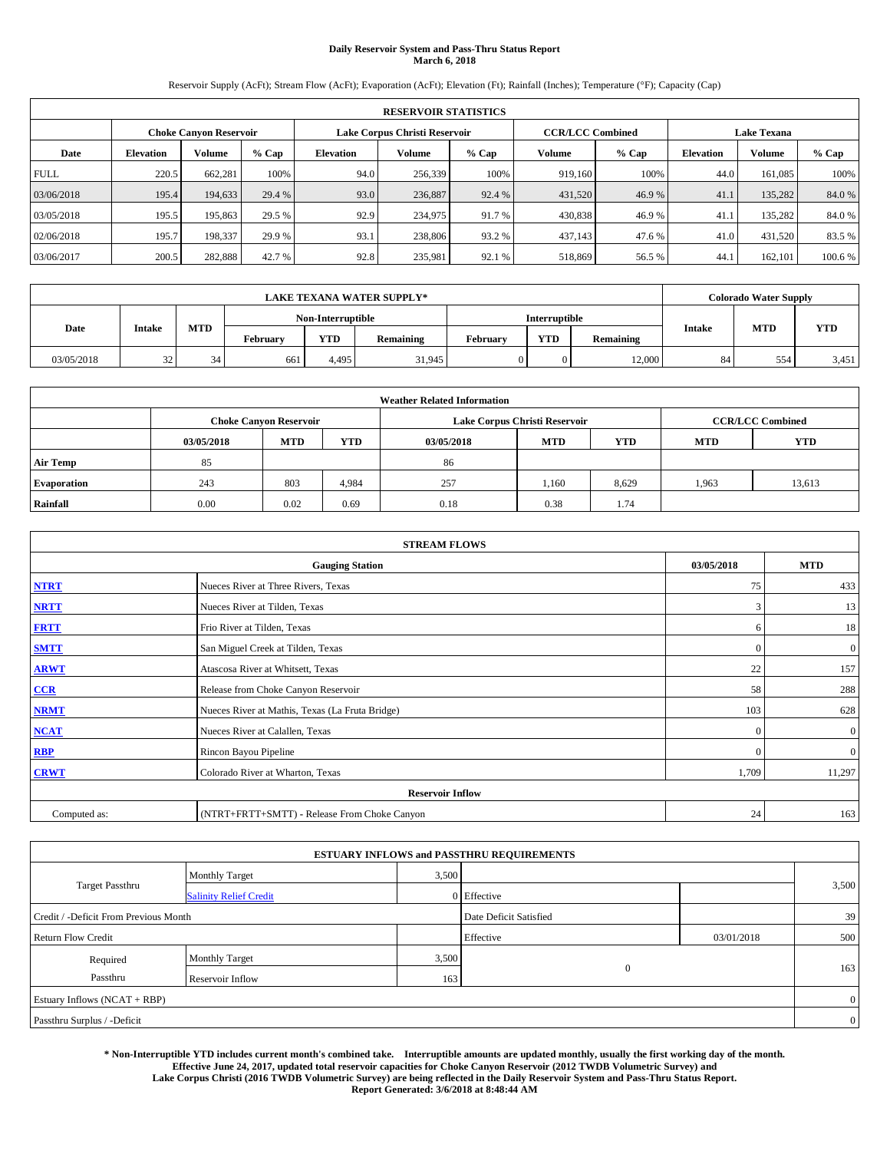# **Daily Reservoir System and Pass-Thru Status Report March 6, 2018**

Reservoir Supply (AcFt); Stream Flow (AcFt); Evaporation (AcFt); Elevation (Ft); Rainfall (Inches); Temperature (°F); Capacity (Cap)

|             | <b>RESERVOIR STATISTICS</b> |                        |         |                  |                               |         |                                               |         |                  |               |        |
|-------------|-----------------------------|------------------------|---------|------------------|-------------------------------|---------|-----------------------------------------------|---------|------------------|---------------|--------|
|             |                             | Choke Canvon Reservoir |         |                  | Lake Corpus Christi Reservoir |         | <b>CCR/LCC Combined</b><br><b>Lake Texana</b> |         |                  |               |        |
| Date        | <b>Elevation</b>            | Volume                 | $%$ Cap | <b>Elevation</b> | <b>Volume</b>                 | $%$ Cap | Volume                                        | $%$ Cap | <b>Elevation</b> | <b>Volume</b> | % Cap  |
| <b>FULL</b> | 220.5                       | 662,281                | 100%    | 94.0             | 256,339                       | 100%    | 919.160                                       | 100%    | 44.0             | 161.085       | 100%   |
| 03/06/2018  | 195.4                       | 194,633                | 29.4 %  | 93.0             | 236,887                       | 92.4 %  | 431,520                                       | 46.9%   | 41.1             | 135.282       | 84.0%  |
| 03/05/2018  | 195.5                       | 195,863                | 29.5 %  | 92.9             | 234,975                       | 91.7 %  | 430,838                                       | 46.9%   | 41.1             | 135.282       | 84.0%  |
| 02/06/2018  | 195.7                       | 198.337                | 29.9 %  | 93.1             | 238,806                       | 93.2 %  | 437,143                                       | 47.6 %  | 41.0             | 431,520       | 83.5%  |
| 03/06/2017  | 200.5                       | 282,888                | 42.7 %  | 92.8             | 235,981                       | 92.1 %  | 518,869                                       | 56.5 %  | 44.              | 162,101       | 100.6% |

|            |               |            |                 |                   | <b>LAKE TEXANA WATER SUPPLY*</b> |               |            |           |               | <b>Colorado Water Supply</b> |            |
|------------|---------------|------------|-----------------|-------------------|----------------------------------|---------------|------------|-----------|---------------|------------------------------|------------|
|            |               |            |                 | Non-Interruptible |                                  | Interruptible |            |           |               |                              |            |
| Date       | <b>Intake</b> | <b>MTD</b> | <b>February</b> | <b>YTD</b>        | Remaining                        | February      | <b>YTD</b> | Remaining | <b>Intake</b> | <b>MTD</b>                   | <b>YTD</b> |
| 03/05/2018 | 32            | 34         | 661             | 4.495             | 31.945                           |               |            | 12.000    | 84            | 554                          | 3,451      |

|                    | <b>Weather Related Information</b> |                                                                    |       |      |                               |       |                         |            |  |  |  |
|--------------------|------------------------------------|--------------------------------------------------------------------|-------|------|-------------------------------|-------|-------------------------|------------|--|--|--|
|                    |                                    | <b>Choke Canyon Reservoir</b>                                      |       |      | Lake Corpus Christi Reservoir |       | <b>CCR/LCC Combined</b> |            |  |  |  |
|                    | 03/05/2018                         | YTD<br><b>YTD</b><br>MTD<br><b>MTD</b><br><b>MTD</b><br>03/05/2018 |       |      |                               |       |                         | <b>YTD</b> |  |  |  |
| <b>Air Temp</b>    | 85                                 |                                                                    |       | 86   |                               |       |                         |            |  |  |  |
| <b>Evaporation</b> | 243                                | 803                                                                | 4,984 | 257  | 1,160                         | 8,629 | 1,963                   | 13,613     |  |  |  |
| <b>Rainfall</b>    | 0.00                               | 0.02                                                               | 0.69  | 0.18 | 0.38                          | 1.74  |                         |            |  |  |  |

|              | <b>STREAM FLOWS</b>                             |              |                  |  |  |  |  |  |  |  |
|--------------|-------------------------------------------------|--------------|------------------|--|--|--|--|--|--|--|
|              | <b>Gauging Station</b>                          | 03/05/2018   | <b>MTD</b>       |  |  |  |  |  |  |  |
| <b>NTRT</b>  | Nueces River at Three Rivers, Texas             | 75           | 433              |  |  |  |  |  |  |  |
| <b>NRTT</b>  | Nueces River at Tilden, Texas                   | 3            | 13               |  |  |  |  |  |  |  |
| <b>FRTT</b>  | Frio River at Tilden, Texas                     | 6            | 18               |  |  |  |  |  |  |  |
| <b>SMTT</b>  | San Miguel Creek at Tilden, Texas               | $\mathbf{0}$ | $\mathbf{0}$     |  |  |  |  |  |  |  |
| <b>ARWT</b>  | Atascosa River at Whitsett, Texas               | 22           | 157              |  |  |  |  |  |  |  |
| CCR          | Release from Choke Canyon Reservoir             | 58           | 288              |  |  |  |  |  |  |  |
| <b>NRMT</b>  | Nueces River at Mathis, Texas (La Fruta Bridge) | 103          | 628              |  |  |  |  |  |  |  |
| <b>NCAT</b>  | Nueces River at Calallen, Texas                 | $\Omega$     | $\boldsymbol{0}$ |  |  |  |  |  |  |  |
| <b>RBP</b>   | Rincon Bayou Pipeline                           | $\Omega$     | $\mathbf{0}$     |  |  |  |  |  |  |  |
| <b>CRWT</b>  | Colorado River at Wharton, Texas                | 1,709        | 11,297           |  |  |  |  |  |  |  |
|              | <b>Reservoir Inflow</b>                         |              |                  |  |  |  |  |  |  |  |
| Computed as: | (NTRT+FRTT+SMTT) - Release From Choke Canyon    | 24           | 163              |  |  |  |  |  |  |  |

| <b>ESTUARY INFLOWS and PASSTHRU REQUIREMENTS</b> |                               |       |                        |            |                |  |  |  |  |  |
|--------------------------------------------------|-------------------------------|-------|------------------------|------------|----------------|--|--|--|--|--|
|                                                  | Monthly Target                | 3,500 |                        |            |                |  |  |  |  |  |
| <b>Target Passthru</b>                           | <b>Salinity Relief Credit</b> |       | 0 Effective            |            | 3,500          |  |  |  |  |  |
| Credit / -Deficit From Previous Month            |                               |       | Date Deficit Satisfied |            | 39             |  |  |  |  |  |
| <b>Return Flow Credit</b>                        |                               |       | Effective              | 03/01/2018 | 500            |  |  |  |  |  |
| Required                                         | Monthly Target                | 3,500 |                        |            |                |  |  |  |  |  |
| Passthru                                         | Reservoir Inflow              | 163   | $\mathbf{0}$           |            | 163            |  |  |  |  |  |
| Estuary Inflows (NCAT + RBP)                     |                               |       |                        |            |                |  |  |  |  |  |
| Passthru Surplus / -Deficit                      |                               |       |                        |            | $\overline{0}$ |  |  |  |  |  |

**\* Non-Interruptible YTD includes current month's combined take. Interruptible amounts are updated monthly, usually the first working day of the month. Effective June 24, 2017, updated total reservoir capacities for Choke Canyon Reservoir (2012 TWDB Volumetric Survey) and Lake Corpus Christi (2016 TWDB Volumetric Survey) are being reflected in the Daily Reservoir System and Pass-Thru Status Report. Report Generated: 3/6/2018 at 8:48:44 AM**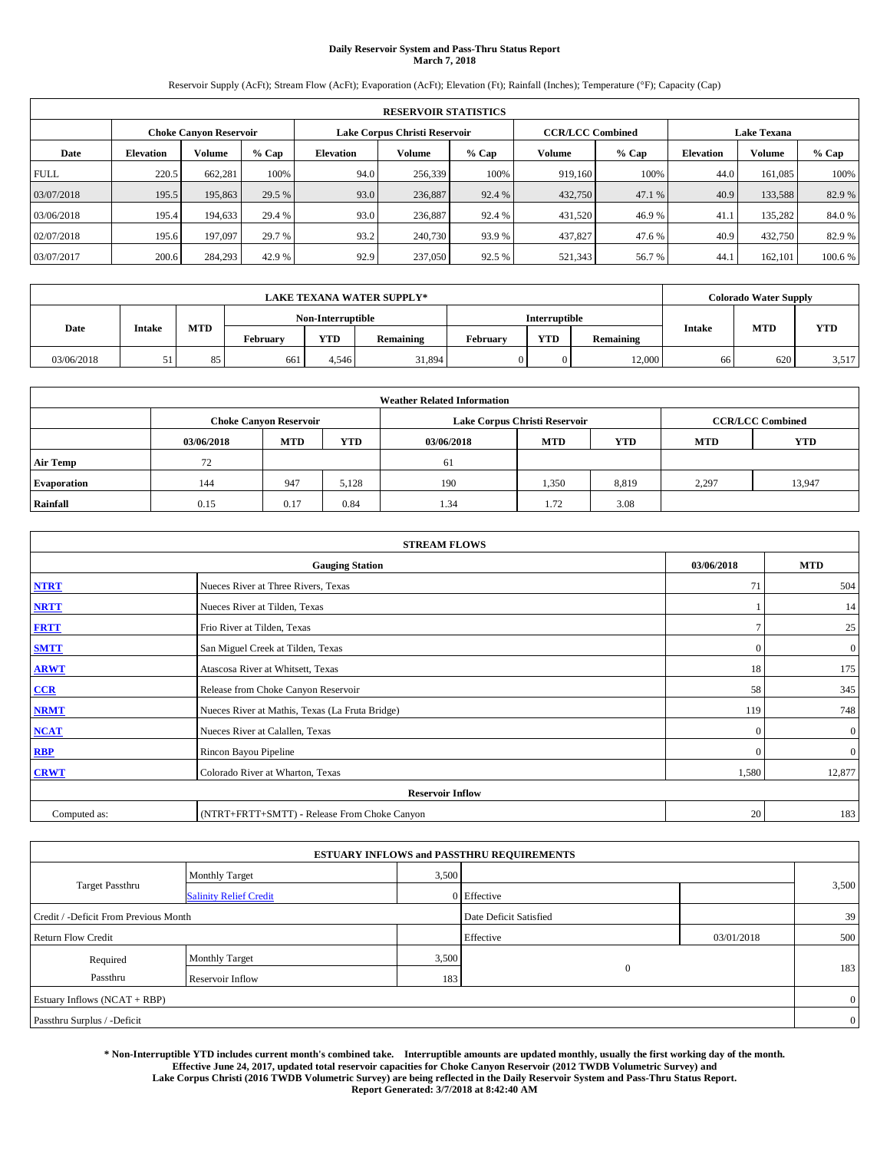# **Daily Reservoir System and Pass-Thru Status Report March 7, 2018**

Reservoir Supply (AcFt); Stream Flow (AcFt); Evaporation (AcFt); Elevation (Ft); Rainfall (Inches); Temperature (°F); Capacity (Cap)

|             | <b>RESERVOIR STATISTICS</b>   |         |         |                               |         |                         |         |         |                    |               |         |
|-------------|-------------------------------|---------|---------|-------------------------------|---------|-------------------------|---------|---------|--------------------|---------------|---------|
|             | <b>Choke Canyon Reservoir</b> |         |         | Lake Corpus Christi Reservoir |         | <b>CCR/LCC Combined</b> |         |         | <b>Lake Texana</b> |               |         |
| Date        | <b>Elevation</b>              | Volume  | $%$ Cap | Elevation                     | Volume  | $%$ Cap                 | Volume  | $%$ Cap | <b>Elevation</b>   | <b>Volume</b> | % Cap   |
| <b>FULL</b> | 220.5                         | 662,281 | 100%    | 94.0                          | 256,339 | 100%                    | 919.160 | 100%    | 44.0               | 161.085       | 100%    |
| 03/07/2018  | 195.5                         | 195,863 | 29.5 %  | 93.0                          | 236,887 | 92.4 %                  | 432,750 | 47.1 %  | 40.9               | 133,588       | 82.9 %  |
| 03/06/2018  | 195.4                         | 194,633 | 29.4 %  | 93.0                          | 236,887 | 92.4 %                  | 431,520 | 46.9%   | 41.                | 135.282       | 84.0%   |
| 02/07/2018  | 195.6                         | 197,097 | 29.7 %  | 93.2                          | 240,730 | 93.9 %                  | 437,827 | 47.6 %  | 40.9               | 432,750       | 82.9 %  |
| 03/07/2017  | 200.6                         | 284,293 | 42.9 %  | 92.9                          | 237,050 | 92.5 %                  | 521,343 | 56.7%   | 44.                | 162,101       | 100.6 % |

|            | <b>LAKE TEXANA WATER SUPPLY*</b> |            |                 |                   |           |          |               |                  |               | <b>Colorado Water Supply</b> |            |
|------------|----------------------------------|------------|-----------------|-------------------|-----------|----------|---------------|------------------|---------------|------------------------------|------------|
|            |                                  |            |                 | Non-Interruptible |           |          | Interruptible |                  |               |                              |            |
| Date       | <b>Intake</b>                    | <b>MTD</b> | <b>February</b> | <b>YTD</b>        | Remaining | February | <b>YTD</b>    | <b>Remaining</b> | <b>Intake</b> | <b>MTD</b>                   | <b>YTD</b> |
| 03/06/2018 | $\mathcal{L}$                    | 85         | 661             | 4.546             | 31,894    |          |               | 12.000           | 66            | 620                          | 3,517      |

| <b>Weather Related Information</b> |            |                                                                                  |       |      |                               |                         |       |            |  |  |
|------------------------------------|------------|----------------------------------------------------------------------------------|-------|------|-------------------------------|-------------------------|-------|------------|--|--|
|                                    |            | <b>Choke Canvon Reservoir</b>                                                    |       |      | Lake Corpus Christi Reservoir | <b>CCR/LCC Combined</b> |       |            |  |  |
|                                    | 03/06/2018 | <b>YTD</b><br><b>MTD</b><br><b>YTD</b><br><b>MTD</b><br><b>MTD</b><br>03/06/2018 |       |      |                               |                         |       | <b>YTD</b> |  |  |
| <b>Air Temp</b>                    | 72         |                                                                                  |       | 61   |                               |                         |       |            |  |  |
| <b>Evaporation</b>                 | 144        | 947                                                                              | 5,128 | 190  | 1,350                         | 8,819                   | 2,297 | 13,947     |  |  |
| Rainfall                           | 0.15       | 0.17                                                                             | 0.84  | 1.34 | 1.72                          | 3.08                    |       |            |  |  |

|              | <b>STREAM FLOWS</b>                             |              |                  |
|--------------|-------------------------------------------------|--------------|------------------|
|              | <b>Gauging Station</b>                          | 03/06/2018   | <b>MTD</b>       |
| <b>NTRT</b>  | Nueces River at Three Rivers, Texas             | 71           | 504              |
| <b>NRTT</b>  | Nueces River at Tilden, Texas                   |              | 14               |
| <b>FRTT</b>  | Frio River at Tilden, Texas                     | n            | 25               |
| <b>SMTT</b>  | San Miguel Creek at Tilden, Texas               | $\mathbf{0}$ | $\boldsymbol{0}$ |
| <b>ARWT</b>  | Atascosa River at Whitsett, Texas               | 18           | 175              |
| CCR          | Release from Choke Canyon Reservoir             | 58           | 345              |
| <b>NRMT</b>  | Nueces River at Mathis, Texas (La Fruta Bridge) | 119          | 748              |
| <b>NCAT</b>  | Nueces River at Calallen, Texas                 | $\Omega$     | $\mathbf{0}$     |
| <b>RBP</b>   | Rincon Bayou Pipeline                           | $\Omega$     | $\mathbf{0}$     |
| <b>CRWT</b>  | Colorado River at Wharton, Texas                | 1,580        | 12,877           |
|              | <b>Reservoir Inflow</b>                         |              |                  |
| Computed as: | (NTRT+FRTT+SMTT) - Release From Choke Canyon    | 20           | 183              |

| <b>ESTUARY INFLOWS and PASSTHRU REQUIREMENTS</b> |                               |       |                        |            |       |  |  |  |  |  |
|--------------------------------------------------|-------------------------------|-------|------------------------|------------|-------|--|--|--|--|--|
|                                                  | <b>Monthly Target</b>         | 3,500 |                        |            |       |  |  |  |  |  |
| <b>Target Passthru</b>                           | <b>Salinity Relief Credit</b> |       | 0 Effective            |            | 3,500 |  |  |  |  |  |
| Credit / -Deficit From Previous Month            |                               |       | Date Deficit Satisfied |            | 39    |  |  |  |  |  |
| <b>Return Flow Credit</b>                        |                               |       | Effective              | 03/01/2018 | 500   |  |  |  |  |  |
| Required                                         | Monthly Target                | 3,500 |                        |            |       |  |  |  |  |  |
| Passthru                                         | Reservoir Inflow              | 183   | $\overline{0}$         |            | 183   |  |  |  |  |  |
| Estuary Inflows (NCAT + RBP)                     |                               |       |                        |            |       |  |  |  |  |  |
| Passthru Surplus / -Deficit                      |                               |       |                        |            |       |  |  |  |  |  |

**\* Non-Interruptible YTD includes current month's combined take. Interruptible amounts are updated monthly, usually the first working day of the month. Effective June 24, 2017, updated total reservoir capacities for Choke Canyon Reservoir (2012 TWDB Volumetric Survey) and Lake Corpus Christi (2016 TWDB Volumetric Survey) are being reflected in the Daily Reservoir System and Pass-Thru Status Report. Report Generated: 3/7/2018 at 8:42:40 AM**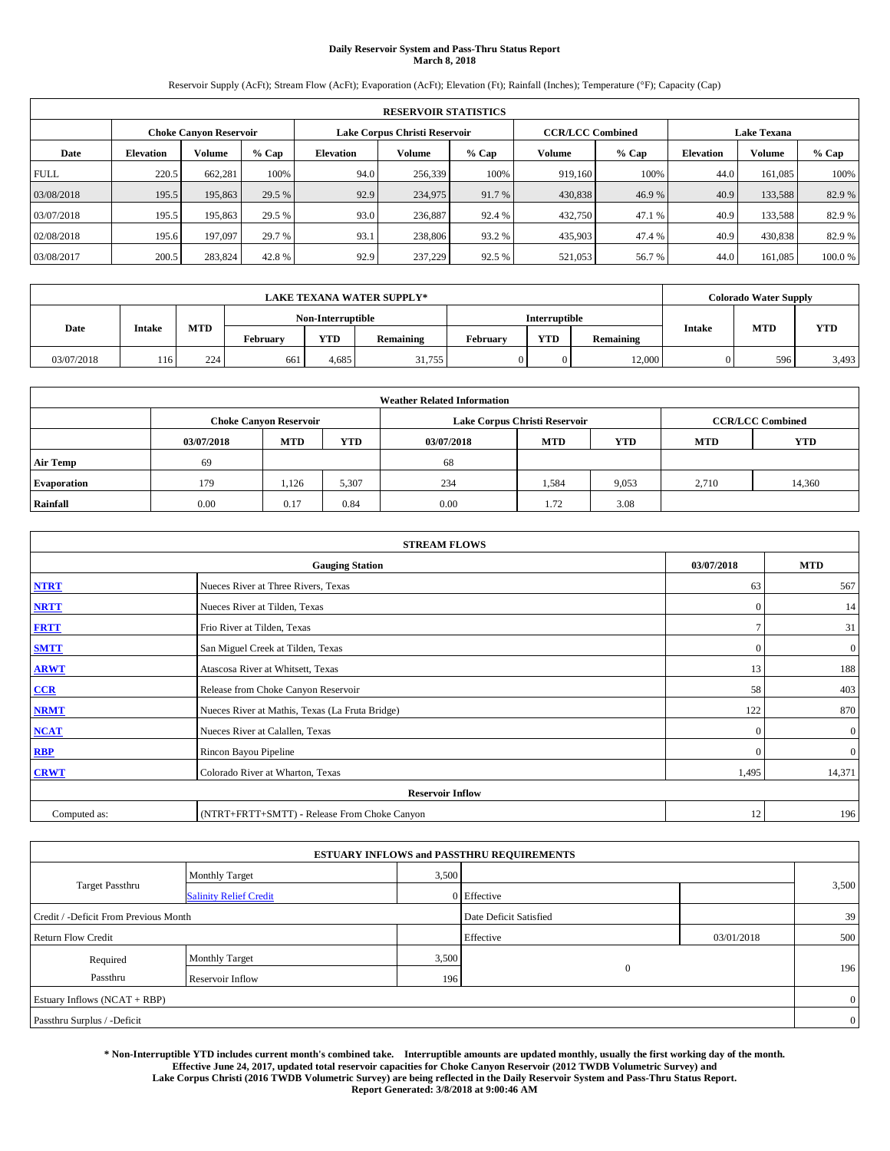# **Daily Reservoir System and Pass-Thru Status Report March 8, 2018**

Reservoir Supply (AcFt); Stream Flow (AcFt); Evaporation (AcFt); Elevation (Ft); Rainfall (Inches); Temperature (°F); Capacity (Cap)

|             | <b>RESERVOIR STATISTICS</b>   |         |         |                               |         |                         |         |         |                    |               |        |
|-------------|-------------------------------|---------|---------|-------------------------------|---------|-------------------------|---------|---------|--------------------|---------------|--------|
|             | <b>Choke Canyon Reservoir</b> |         |         | Lake Corpus Christi Reservoir |         | <b>CCR/LCC Combined</b> |         |         | <b>Lake Texana</b> |               |        |
| Date        | <b>Elevation</b>              | Volume  | $%$ Cap | Elevation                     | Volume  | $%$ Cap                 | Volume  | $%$ Cap | <b>Elevation</b>   | <b>Volume</b> | % Cap  |
| <b>FULL</b> | 220.5                         | 662.281 | 100%    | 94.0                          | 256,339 | 100%                    | 919.160 | 100%    | 44.0               | 161.085       | 100%   |
| 03/08/2018  | 195.5                         | 195,863 | 29.5 %  | 92.9                          | 234,975 | 91.7 %                  | 430,838 | 46.9%   | 40.9               | 133.588       | 82.9 % |
| 03/07/2018  | 195.5                         | 195,863 | 29.5 %  | 93.0                          | 236,887 | 92.4 %                  | 432,750 | 47.1 %  | 40.9               | 133.588       | 82.9%  |
| 02/08/2018  | 195.6                         | 197,097 | 29.7 %  | 93.1                          | 238,806 | 93.2 %                  | 435,903 | 47.4 %  | 40.9               | 430,838       | 82.9 % |
| 03/08/2017  | 200.5                         | 283,824 | 42.8%   | 92.9                          | 237,229 | 92.5 %                  | 521,053 | 56.7%   | 44.0               | 161,085       | 100.0% |

|            | <b>LAKE TEXANA WATER SUPPLY*</b> |            |          |                   |           |          |                      |           |               | <b>Colorado Water Supply</b> |            |
|------------|----------------------------------|------------|----------|-------------------|-----------|----------|----------------------|-----------|---------------|------------------------------|------------|
|            |                                  |            |          | Non-Interruptible |           |          | <b>Interruptible</b> |           |               |                              |            |
| Date       | Intake                           | <b>MTD</b> | February | <b>YTD</b>        | Remaining | February | <b>YTD</b>           | Remaining | <b>Intake</b> | <b>MTD</b>                   | <b>YTD</b> |
| 03/07/2018 | 116                              | 224        | 661      | 4.685             | 31.755    |          |                      | 12.000    |               | 596                          | 3,493      |

|                    | <b>Weather Related Information</b>                                                             |                               |       |      |                               |                         |       |            |  |  |  |  |
|--------------------|------------------------------------------------------------------------------------------------|-------------------------------|-------|------|-------------------------------|-------------------------|-------|------------|--|--|--|--|
|                    |                                                                                                | <b>Choke Canyon Reservoir</b> |       |      | Lake Corpus Christi Reservoir | <b>CCR/LCC Combined</b> |       |            |  |  |  |  |
|                    | <b>YTD</b><br><b>YTD</b><br><b>MTD</b><br><b>MTD</b><br><b>MTD</b><br>03/07/2018<br>03/07/2018 |                               |       |      |                               |                         |       | <b>YTD</b> |  |  |  |  |
| <b>Air Temp</b>    | 69                                                                                             |                               |       | 68   |                               |                         |       |            |  |  |  |  |
| <b>Evaporation</b> | 179                                                                                            | 1,126                         | 5,307 | 234  | 1,584                         | 9,053                   | 2,710 | 14,360     |  |  |  |  |
| Rainfall           | 0.00                                                                                           | 0.17                          | 0.84  | 0.00 | 1.72                          | 3.08                    |       |            |  |  |  |  |

| <b>STREAM FLOWS</b> |                                                 |              |                  |  |  |  |  |  |  |
|---------------------|-------------------------------------------------|--------------|------------------|--|--|--|--|--|--|
|                     | <b>Gauging Station</b>                          | 03/07/2018   | <b>MTD</b>       |  |  |  |  |  |  |
| <b>NTRT</b>         | Nueces River at Three Rivers, Texas             | 63           | 567              |  |  |  |  |  |  |
| <b>NRTT</b>         | Nueces River at Tilden, Texas                   | $\Omega$     | 14               |  |  |  |  |  |  |
| <b>FRTT</b>         | Frio River at Tilden, Texas                     |              | 31               |  |  |  |  |  |  |
| <b>SMTT</b>         | San Miguel Creek at Tilden, Texas               | $\mathbf{0}$ | $\mathbf{0}$     |  |  |  |  |  |  |
| <b>ARWT</b>         | Atascosa River at Whitsett, Texas               | 13           | 188              |  |  |  |  |  |  |
| CCR                 | Release from Choke Canyon Reservoir             | 58           | 403              |  |  |  |  |  |  |
| <b>NRMT</b>         | Nueces River at Mathis, Texas (La Fruta Bridge) | 122          | 870              |  |  |  |  |  |  |
| <b>NCAT</b>         | Nueces River at Calallen, Texas                 | $\Omega$     | $\boldsymbol{0}$ |  |  |  |  |  |  |
| <b>RBP</b>          | Rincon Bayou Pipeline                           | $\Omega$     | $\overline{0}$   |  |  |  |  |  |  |
| <b>CRWT</b>         | Colorado River at Wharton, Texas                | 1,495        | 14,371           |  |  |  |  |  |  |
|                     | <b>Reservoir Inflow</b>                         |              |                  |  |  |  |  |  |  |
| Computed as:        | (NTRT+FRTT+SMTT) - Release From Choke Canyon    |              |                  |  |  |  |  |  |  |

|                                       |                               |       | <b>ESTUARY INFLOWS and PASSTHRU REQUIREMENTS</b> |            |                |  |
|---------------------------------------|-------------------------------|-------|--------------------------------------------------|------------|----------------|--|
|                                       | Monthly Target                | 3,500 |                                                  |            |                |  |
| <b>Target Passthru</b>                | <b>Salinity Relief Credit</b> |       | 0 Effective                                      |            | 3,500          |  |
| Credit / -Deficit From Previous Month |                               |       | Date Deficit Satisfied                           |            | 39             |  |
| <b>Return Flow Credit</b>             |                               |       | Effective                                        | 03/01/2018 | 500            |  |
| Required                              | Monthly Target                | 3,500 |                                                  |            |                |  |
| Passthru                              | Reservoir Inflow              | 196   | $\mathbf{0}$                                     |            | 196            |  |
| Estuary Inflows (NCAT + RBP)          |                               |       |                                                  |            | $\overline{0}$ |  |
| Passthru Surplus / -Deficit           |                               |       |                                                  |            | $\overline{0}$ |  |

**\* Non-Interruptible YTD includes current month's combined take. Interruptible amounts are updated monthly, usually the first working day of the month. Effective June 24, 2017, updated total reservoir capacities for Choke Canyon Reservoir (2012 TWDB Volumetric Survey) and Lake Corpus Christi (2016 TWDB Volumetric Survey) are being reflected in the Daily Reservoir System and Pass-Thru Status Report. Report Generated: 3/8/2018 at 9:00:46 AM**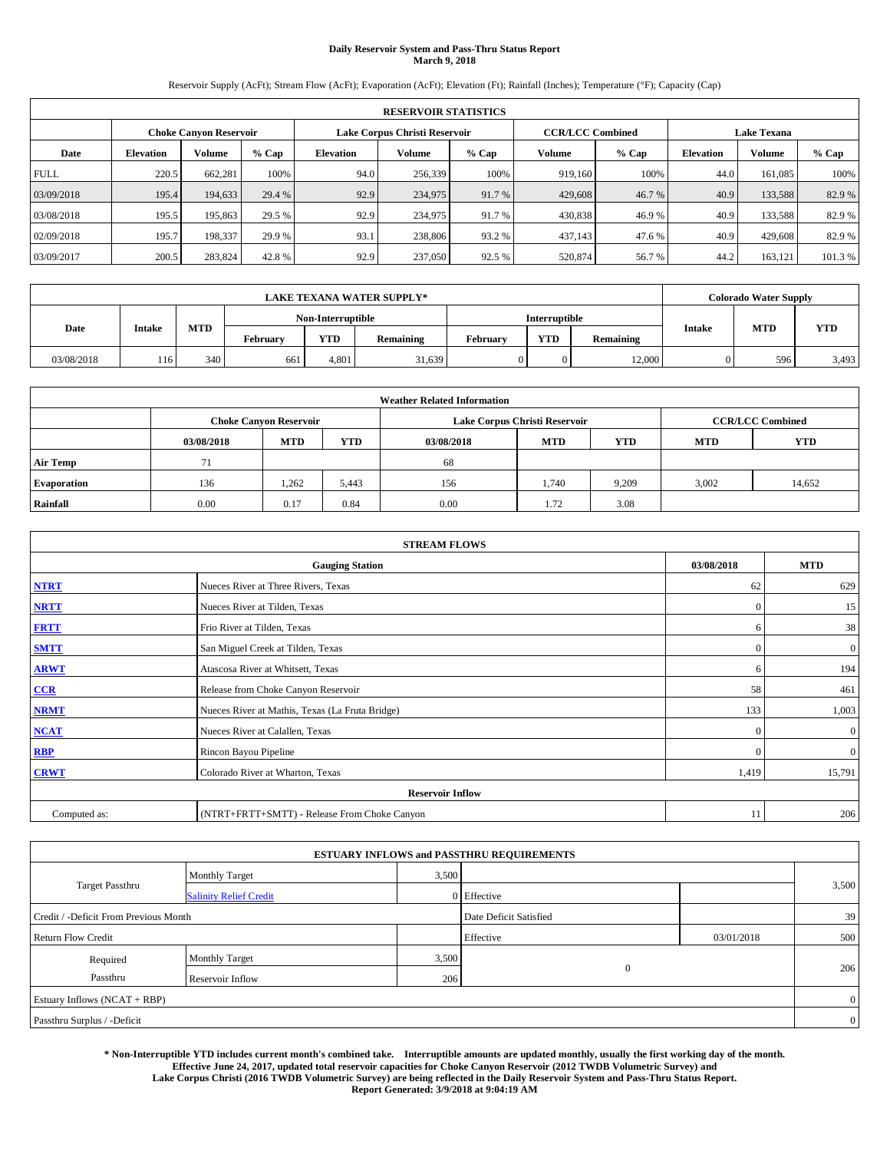# **Daily Reservoir System and Pass-Thru Status Report March 9, 2018**

Reservoir Supply (AcFt); Stream Flow (AcFt); Evaporation (AcFt); Elevation (Ft); Rainfall (Inches); Temperature (°F); Capacity (Cap)

|             | <b>RESERVOIR STATISTICS</b> |                               |         |           |                               |         |         |                         |                    |               |         |  |  |
|-------------|-----------------------------|-------------------------------|---------|-----------|-------------------------------|---------|---------|-------------------------|--------------------|---------------|---------|--|--|
|             |                             | <b>Choke Canyon Reservoir</b> |         |           | Lake Corpus Christi Reservoir |         |         | <b>CCR/LCC Combined</b> | <b>Lake Texana</b> |               |         |  |  |
| Date        | <b>Elevation</b>            | Volume                        | $%$ Cap | Elevation | Volume                        | $%$ Cap | Volume  | $%$ Cap                 | <b>Elevation</b>   | <b>Volume</b> | % Cap   |  |  |
| <b>FULL</b> | 220.5                       | 662.281                       | 100%    | 94.0      | 256,339                       | 100%    | 919.160 | 100%                    | 44.0               | 161.085       | 100%    |  |  |
| 03/09/2018  | 195.4                       | 194,633                       | 29.4 %  | 92.9      | 234,975                       | 91.7 %  | 429,608 | 46.7 %                  | 40.9               | 133.588       | 82.9 %  |  |  |
| 03/08/2018  | 195.5                       | 195,863                       | 29.5 %  | 92.9      | 234,975                       | 91.7 %  | 430,838 | 46.9%                   | 40.9               | 133.588       | 82.9%   |  |  |
| 02/09/2018  | 195.7                       | 198,337                       | 29.9 %  | 93.1      | 238,806                       | 93.2 %  | 437,143 | 47.6 %                  | 40.9               | 429,608       | 82.9 %  |  |  |
| 03/09/2017  | 200.5                       | 283,824                       | 42.8%   | 92.9      | 237,050                       | 92.5 %  | 520,874 | 56.7%                   | 44.2               | 163,121       | 101.3 % |  |  |

|            | <b>LAKE TEXANA WATER SUPPLY*</b> |     |          |                   |           |          |                      |           |               | <b>Colorado Water Supply</b> |            |
|------------|----------------------------------|-----|----------|-------------------|-----------|----------|----------------------|-----------|---------------|------------------------------|------------|
|            |                                  |     |          | Non-Interruptible |           |          | <b>Interruptible</b> |           |               |                              |            |
| Date       | Intake                           | MTD | February | <b>YTD</b>        | Remaining | February | <b>YTD</b>           | Remaining | <b>Intake</b> | <b>MTD</b>                   | <b>YTD</b> |
| 03/08/2018 | 116                              | 340 | 661      | 4.801             | 31,639    |          |                      | 12.000    |               | 596                          | 3,493      |

|                    | <b>Weather Related Information</b> |                                                                                  |       |      |                               |                         |       |        |  |  |  |  |
|--------------------|------------------------------------|----------------------------------------------------------------------------------|-------|------|-------------------------------|-------------------------|-------|--------|--|--|--|--|
|                    |                                    | <b>Choke Canyon Reservoir</b>                                                    |       |      | Lake Corpus Christi Reservoir | <b>CCR/LCC Combined</b> |       |        |  |  |  |  |
|                    | 03/08/2018                         | <b>YTD</b><br><b>YTD</b><br><b>MTD</b><br><b>MTD</b><br><b>MTD</b><br>03/08/2018 |       |      |                               |                         |       |        |  |  |  |  |
| <b>Air Temp</b>    | 71                                 |                                                                                  |       | 68   |                               |                         |       |        |  |  |  |  |
| <b>Evaporation</b> | 136                                | 1.262                                                                            | 5,443 | 156  | 1,740                         | 9,209                   | 3,002 | 14,652 |  |  |  |  |
| Rainfall           | 0.00                               | 0.17                                                                             | 0.84  | 0.00 | 1.72                          | 3.08                    |       |        |  |  |  |  |

| <b>STREAM FLOWS</b> |                                                 |              |              |  |  |  |  |  |  |
|---------------------|-------------------------------------------------|--------------|--------------|--|--|--|--|--|--|
|                     | <b>Gauging Station</b>                          | 03/08/2018   | <b>MTD</b>   |  |  |  |  |  |  |
| <b>NTRT</b>         | Nueces River at Three Rivers, Texas             | 62           | 629          |  |  |  |  |  |  |
| <b>NRTT</b>         | Nueces River at Tilden, Texas                   | $\Omega$     | 15           |  |  |  |  |  |  |
| <b>FRTT</b>         | Frio River at Tilden, Texas                     | 6            | 38           |  |  |  |  |  |  |
| <b>SMTT</b>         | San Miguel Creek at Tilden, Texas               | $\mathbf{0}$ | $\mathbf{0}$ |  |  |  |  |  |  |
| <b>ARWT</b>         | Atascosa River at Whitsett, Texas               | 6            | 194          |  |  |  |  |  |  |
| CCR                 | Release from Choke Canyon Reservoir             | 58           | 461          |  |  |  |  |  |  |
| <b>NRMT</b>         | Nueces River at Mathis, Texas (La Fruta Bridge) | 133          | 1,003        |  |  |  |  |  |  |
| <b>NCAT</b>         | Nueces River at Calallen, Texas                 | $\Omega$     | $\mathbf{0}$ |  |  |  |  |  |  |
| <b>RBP</b>          | Rincon Bayou Pipeline                           | $\Omega$     | $\mathbf{0}$ |  |  |  |  |  |  |
| <b>CRWT</b>         | Colorado River at Wharton, Texas                | 1,419        | 15,791       |  |  |  |  |  |  |
|                     | <b>Reservoir Inflow</b>                         |              |              |  |  |  |  |  |  |
| Computed as:        | (NTRT+FRTT+SMTT) - Release From Choke Canyon    |              |              |  |  |  |  |  |  |

|                                       |                               |       | <b>ESTUARY INFLOWS and PASSTHRU REQUIREMENTS</b> |            |                |  |
|---------------------------------------|-------------------------------|-------|--------------------------------------------------|------------|----------------|--|
|                                       | <b>Monthly Target</b>         | 3,500 |                                                  |            |                |  |
| <b>Target Passthru</b>                | <b>Salinity Relief Credit</b> |       | 0 Effective                                      |            | 3,500          |  |
| Credit / -Deficit From Previous Month |                               |       | Date Deficit Satisfied                           |            | 39             |  |
| <b>Return Flow Credit</b>             |                               |       | Effective                                        | 03/01/2018 | 500            |  |
| Required                              | Monthly Target                | 3,500 |                                                  |            |                |  |
| Passthru                              | Reservoir Inflow              | 206   | $\mathbf{0}$                                     |            | 206            |  |
| Estuary Inflows (NCAT + RBP)          |                               |       |                                                  |            | $\overline{0}$ |  |
| Passthru Surplus / -Deficit           |                               |       |                                                  |            | $\overline{0}$ |  |

**\* Non-Interruptible YTD includes current month's combined take. Interruptible amounts are updated monthly, usually the first working day of the month. Effective June 24, 2017, updated total reservoir capacities for Choke Canyon Reservoir (2012 TWDB Volumetric Survey) and Lake Corpus Christi (2016 TWDB Volumetric Survey) are being reflected in the Daily Reservoir System and Pass-Thru Status Report. Report Generated: 3/9/2018 at 9:04:19 AM**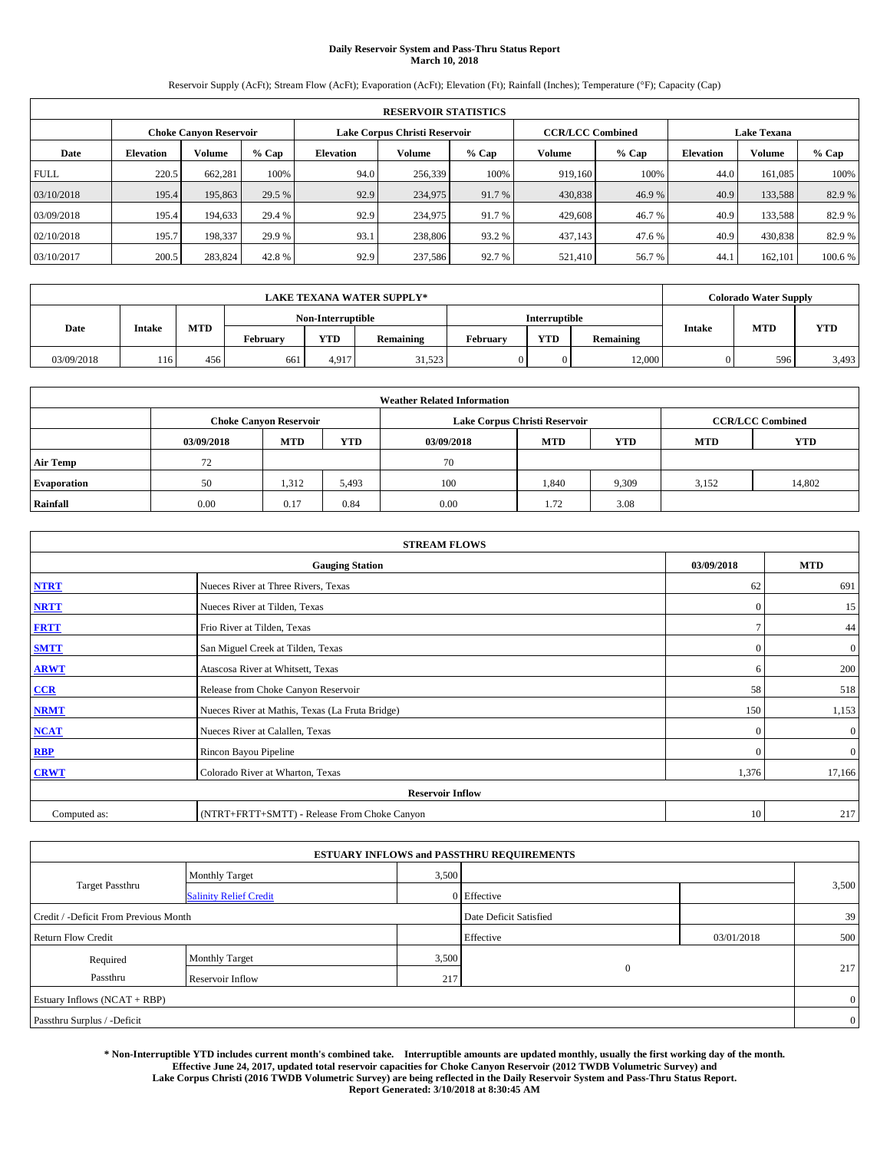# **Daily Reservoir System and Pass-Thru Status Report March 10, 2018**

Reservoir Supply (AcFt); Stream Flow (AcFt); Evaporation (AcFt); Elevation (Ft); Rainfall (Inches); Temperature (°F); Capacity (Cap)

|             | <b>RESERVOIR STATISTICS</b> |                               |         |           |         |                                                          |         |         |                  |                    |         |  |  |
|-------------|-----------------------------|-------------------------------|---------|-----------|---------|----------------------------------------------------------|---------|---------|------------------|--------------------|---------|--|--|
|             |                             | <b>Choke Canyon Reservoir</b> |         |           |         | <b>CCR/LCC Combined</b><br>Lake Corpus Christi Reservoir |         |         |                  | <b>Lake Texana</b> |         |  |  |
| Date        | <b>Elevation</b>            | Volume                        | $%$ Cap | Elevation | Volume  | $%$ Cap                                                  | Volume  | $%$ Cap | <b>Elevation</b> | <b>Volume</b>      | % Cap   |  |  |
| <b>FULL</b> | 220.5                       | 662,281                       | 100%    | 94.0      | 256,339 | 100%                                                     | 919.160 | 100%    | 44.0             | 161.085            | 100%    |  |  |
| 03/10/2018  | 195.4                       | 195,863                       | 29.5 %  | 92.9      | 234,975 | 91.7 %                                                   | 430,838 | 46.9%   | 40.9             | 133.588            | 82.9 %  |  |  |
| 03/09/2018  | 195.4                       | 194,633                       | 29.4 %  | 92.9      | 234,975 | 91.7 %                                                   | 429,608 | 46.7 %  | 40.9             | 133.588            | 82.9%   |  |  |
| 02/10/2018  | 195.7                       | 198,337                       | 29.9 %  | 93.1      | 238,806 | 93.2 %                                                   | 437,143 | 47.6 %  | 40.9             | 430,838            | 82.9 %  |  |  |
| 03/10/2017  | 200.5                       | 283,824                       | 42.8%   | 92.9      | 237,586 | 92.7 %                                                   | 521,410 | 56.7%   | 44.              | 162,101            | 100.6 % |  |  |

|            | <b>LAKE TEXANA WATER SUPPLY*</b> |            |          |                   |           |          |                      |           |               | <b>Colorado Water Supply</b> |            |
|------------|----------------------------------|------------|----------|-------------------|-----------|----------|----------------------|-----------|---------------|------------------------------|------------|
|            |                                  |            |          | Non-Interruptible |           |          | <b>Interruptible</b> |           |               |                              |            |
| Date       | Intake                           | <b>MTD</b> | February | <b>YTD</b>        | Remaining | February | <b>YTD</b>           | Remaining | <b>Intake</b> | <b>MTD</b>                   | <b>YTD</b> |
| 03/09/2018 | 116                              | 456        | 661      | 4.917             | 31,523    |          |                      | 12.000    |               | 596                          | 3,493      |

|                    | <b>Weather Related Information</b>                                                             |                               |       |      |                               |                         |       |            |  |  |  |  |
|--------------------|------------------------------------------------------------------------------------------------|-------------------------------|-------|------|-------------------------------|-------------------------|-------|------------|--|--|--|--|
|                    |                                                                                                | <b>Choke Canyon Reservoir</b> |       |      | Lake Corpus Christi Reservoir | <b>CCR/LCC Combined</b> |       |            |  |  |  |  |
|                    | <b>YTD</b><br><b>YTD</b><br><b>MTD</b><br><b>MTD</b><br><b>MTD</b><br>03/09/2018<br>03/09/2018 |                               |       |      |                               |                         |       | <b>YTD</b> |  |  |  |  |
| <b>Air Temp</b>    | 72                                                                                             |                               |       | 70   |                               |                         |       |            |  |  |  |  |
| <b>Evaporation</b> | 50                                                                                             | 1,312                         | 5,493 | 100  | 1,840                         | 9,309                   | 3,152 | 14,802     |  |  |  |  |
| Rainfall           | 0.00                                                                                           | 0.17                          | 0.84  | 0.00 | 1.72                          | 3.08                    |       |            |  |  |  |  |

| <b>STREAM FLOWS</b> |                                                 |              |                |  |  |  |  |  |  |
|---------------------|-------------------------------------------------|--------------|----------------|--|--|--|--|--|--|
|                     | <b>Gauging Station</b>                          |              |                |  |  |  |  |  |  |
| <b>NTRT</b>         | Nueces River at Three Rivers, Texas             | 62           | 691            |  |  |  |  |  |  |
| <b>NRTT</b>         | Nueces River at Tilden, Texas                   | $\Omega$     | 15             |  |  |  |  |  |  |
| <b>FRTT</b>         | Frio River at Tilden, Texas                     |              | 44             |  |  |  |  |  |  |
| <b>SMTT</b>         | San Miguel Creek at Tilden, Texas               | $\mathbf{0}$ | $\mathbf{0}$   |  |  |  |  |  |  |
| <b>ARWT</b>         | Atascosa River at Whitsett, Texas               | 6            | 200            |  |  |  |  |  |  |
| CCR                 | Release from Choke Canyon Reservoir             | 58           | 518            |  |  |  |  |  |  |
| <b>NRMT</b>         | Nueces River at Mathis, Texas (La Fruta Bridge) | 150          | 1,153          |  |  |  |  |  |  |
| <b>NCAT</b>         | Nueces River at Calallen, Texas                 | $\Omega$     | $\mathbf{0}$   |  |  |  |  |  |  |
| <b>RBP</b>          | Rincon Bayou Pipeline                           | $\Omega$     | $\overline{0}$ |  |  |  |  |  |  |
| <b>CRWT</b>         | Colorado River at Wharton, Texas                | 1,376        | 17,166         |  |  |  |  |  |  |
|                     | <b>Reservoir Inflow</b>                         |              |                |  |  |  |  |  |  |
| Computed as:        | (NTRT+FRTT+SMTT) - Release From Choke Canyon    | 10           | 217            |  |  |  |  |  |  |

|                                       |                               |       | <b>ESTUARY INFLOWS and PASSTHRU REQUIREMENTS</b> |            |                |  |
|---------------------------------------|-------------------------------|-------|--------------------------------------------------|------------|----------------|--|
|                                       | <b>Monthly Target</b>         | 3,500 |                                                  |            |                |  |
| Target Passthru                       | <b>Salinity Relief Credit</b> |       | 0 Effective                                      |            | 3,500          |  |
| Credit / -Deficit From Previous Month |                               |       | Date Deficit Satisfied                           |            | 39             |  |
| <b>Return Flow Credit</b>             |                               |       | Effective                                        | 03/01/2018 | 500            |  |
| Required                              | <b>Monthly Target</b>         | 3,500 |                                                  |            |                |  |
| Passthru                              | Reservoir Inflow              | 217   | $\overline{0}$                                   |            | 217            |  |
| Estuary Inflows (NCAT + RBP)          |                               |       |                                                  |            | $\overline{0}$ |  |
| Passthru Surplus / -Deficit           |                               |       |                                                  |            | $\overline{0}$ |  |

**\* Non-Interruptible YTD includes current month's combined take. Interruptible amounts are updated monthly, usually the first working day of the month. Effective June 24, 2017, updated total reservoir capacities for Choke Canyon Reservoir (2012 TWDB Volumetric Survey) and Lake Corpus Christi (2016 TWDB Volumetric Survey) are being reflected in the Daily Reservoir System and Pass-Thru Status Report. Report Generated: 3/10/2018 at 8:30:45 AM**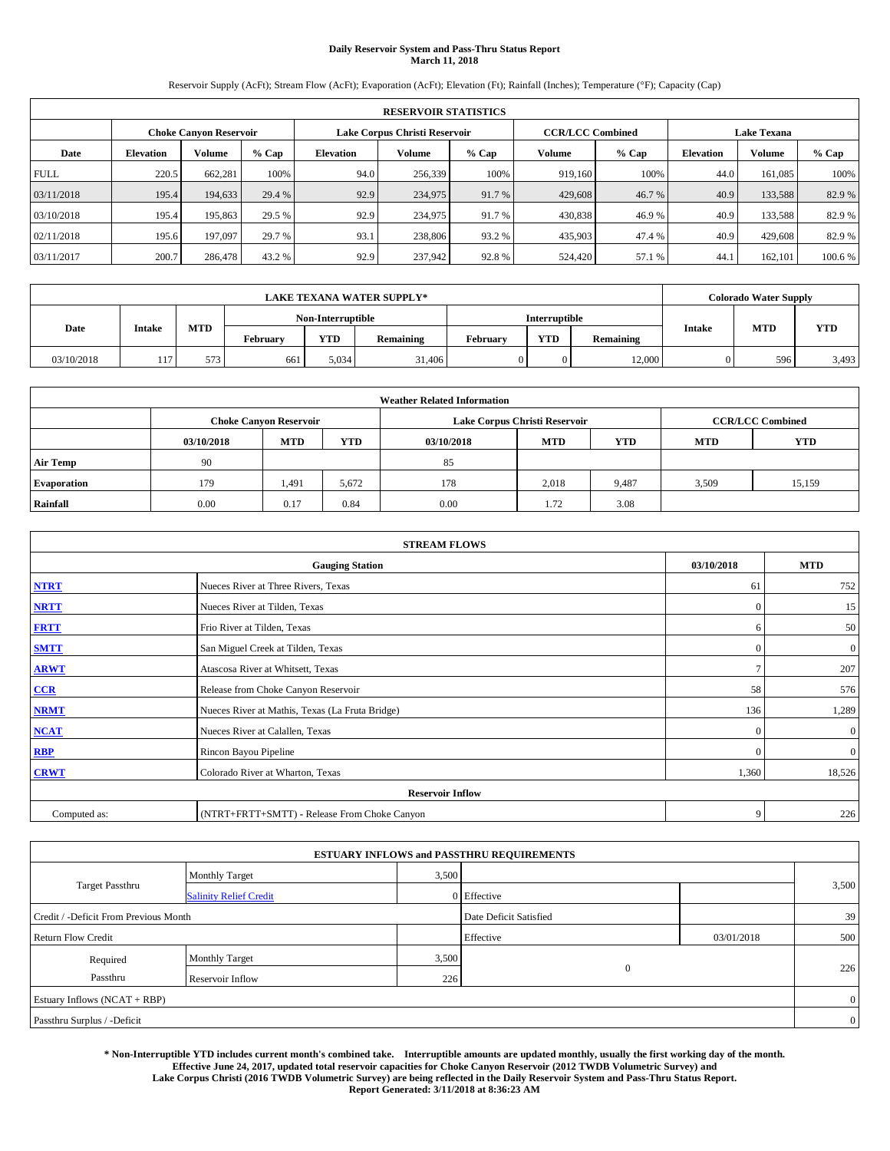# **Daily Reservoir System and Pass-Thru Status Report March 11, 2018**

Reservoir Supply (AcFt); Stream Flow (AcFt); Evaporation (AcFt); Elevation (Ft); Rainfall (Inches); Temperature (°F); Capacity (Cap)

|             | <b>RESERVOIR STATISTICS</b> |                               |         |                  |                               |         |                         |         |                  |                    |        |  |
|-------------|-----------------------------|-------------------------------|---------|------------------|-------------------------------|---------|-------------------------|---------|------------------|--------------------|--------|--|
|             |                             | <b>Choke Canyon Reservoir</b> |         |                  | Lake Corpus Christi Reservoir |         | <b>CCR/LCC Combined</b> |         |                  | <b>Lake Texana</b> |        |  |
| Date        | <b>Elevation</b>            | Volume                        | $%$ Cap | <b>Elevation</b> | Volume                        | $%$ Cap | Volume                  | $%$ Cap | <b>Elevation</b> | <b>Volume</b>      | % Cap  |  |
| <b>FULL</b> | 220.5                       | 662,281                       | 100%    | 94.0             | 256,339                       | 100%    | 919.160                 | 100%    | 44.0             | 161.085            | 100%   |  |
| 03/11/2018  | 195.4                       | 194,633                       | 29.4 %  | 92.9             | 234,975                       | 91.7 %  | 429,608                 | 46.7 %  | 40.9             | 133,588            | 82.9%  |  |
| 03/10/2018  | 195.4                       | 195,863                       | 29.5 %  | 92.9             | 234,975                       | 91.7 %  | 430,838                 | 46.9%   | 40.9             | 133.588            | 82.9%  |  |
| 02/11/2018  | 195.6                       | 197,097                       | 29.7 %  | 93.1             | 238,806                       | 93.2 %  | 435,903                 | 47.4 %  | 40.9             | 429,608            | 82.9 % |  |
| 03/11/2017  | 200.7                       | 286,478                       | 43.2 %  | 92.9             | 237,942                       | 92.8%   | 524,420                 | 57.1 %  | 44.              | 162.101            | 100.6% |  |

| <b>LAKE TEXANA WATER SUPPLY*</b> |        |            |                   |            |           |                      | <b>Colorado Water Supply</b> |           |               |            |            |
|----------------------------------|--------|------------|-------------------|------------|-----------|----------------------|------------------------------|-----------|---------------|------------|------------|
|                                  |        |            | Non-Interruptible |            |           | <b>Interruptible</b> |                              |           |               |            |            |
| Date                             | Intake | <b>MTD</b> | February          | <b>YTD</b> | Remaining | February             | <b>YTD</b>                   | Remaining | <b>Intake</b> | <b>MTD</b> | <b>YTD</b> |
| 03/10/2018                       | 117    | 573        | 661               | 5.034      | 31,406    |                      |                              | 12.000    |               | 596        | 3,493      |

| <b>Weather Related Information</b> |            |                               |            |            |                               |                         |            |            |  |  |
|------------------------------------|------------|-------------------------------|------------|------------|-------------------------------|-------------------------|------------|------------|--|--|
|                                    |            | <b>Choke Canyon Reservoir</b> |            |            | Lake Corpus Christi Reservoir | <b>CCR/LCC Combined</b> |            |            |  |  |
|                                    | 03/10/2018 | <b>MTD</b>                    | <b>YTD</b> | 03/10/2018 | <b>MTD</b>                    | <b>YTD</b>              | <b>MTD</b> | <b>YTD</b> |  |  |
| <b>Air Temp</b>                    | 90         |                               |            | 85         |                               |                         |            |            |  |  |
| <b>Evaporation</b>                 | 179        | 1,491                         | 5,672      | 178        | 2,018                         | 9,487                   | 3,509      | 15,159     |  |  |
| Rainfall                           | 0.00       | 0.17                          | 0.84       | 0.00       | 1.72                          | 3.08                    |            |            |  |  |

| <b>STREAM FLOWS</b> |                                                 |               |              |  |  |  |  |  |  |
|---------------------|-------------------------------------------------|---------------|--------------|--|--|--|--|--|--|
|                     | <b>Gauging Station</b>                          |               |              |  |  |  |  |  |  |
| <b>NTRT</b>         | Nueces River at Three Rivers, Texas             | 61            | 752          |  |  |  |  |  |  |
| <b>NRTT</b>         | Nueces River at Tilden, Texas                   | $\Omega$      | 15           |  |  |  |  |  |  |
| <b>FRTT</b>         | Frio River at Tilden, Texas                     | 6             | 50           |  |  |  |  |  |  |
| <b>SMTT</b>         | San Miguel Creek at Tilden, Texas               | $\mathbf{0}$  | $\mathbf{0}$ |  |  |  |  |  |  |
| <b>ARWT</b>         | Atascosa River at Whitsett, Texas               | $\mathcal{I}$ | 207          |  |  |  |  |  |  |
| CCR                 | Release from Choke Canyon Reservoir             | 58            | 576          |  |  |  |  |  |  |
| <b>NRMT</b>         | Nueces River at Mathis, Texas (La Fruta Bridge) | 136           | 1,289        |  |  |  |  |  |  |
| <b>NCAT</b>         | Nueces River at Calallen, Texas                 | $\Omega$      | $\mathbf{0}$ |  |  |  |  |  |  |
| <b>RBP</b>          | Rincon Bayou Pipeline                           | $\Omega$      | $\mathbf{0}$ |  |  |  |  |  |  |
| <b>CRWT</b>         | Colorado River at Wharton, Texas                | 1,360         | 18,526       |  |  |  |  |  |  |
|                     | <b>Reservoir Inflow</b>                         |               |              |  |  |  |  |  |  |
| Computed as:        | (NTRT+FRTT+SMTT) - Release From Choke Canyon    | 9             | 226          |  |  |  |  |  |  |

|                                       |                               |                        | <b>ESTUARY INFLOWS and PASSTHRU REQUIREMENTS</b> |            |                |  |
|---------------------------------------|-------------------------------|------------------------|--------------------------------------------------|------------|----------------|--|
|                                       | <b>Monthly Target</b>         | 3,500                  |                                                  |            |                |  |
| <b>Target Passthru</b>                | <b>Salinity Relief Credit</b> |                        | 0 Effective                                      |            | 3,500          |  |
| Credit / -Deficit From Previous Month |                               | Date Deficit Satisfied |                                                  | 39         |                |  |
| <b>Return Flow Credit</b>             |                               |                        | Effective                                        | 03/01/2018 | 500            |  |
| Required                              | Monthly Target                | 3,500                  |                                                  |            |                |  |
| Passthru                              | Reservoir Inflow              | 226                    | $\mathbf{0}$                                     |            | 226            |  |
| Estuary Inflows (NCAT + RBP)          |                               |                        |                                                  |            | $\overline{0}$ |  |
| Passthru Surplus / -Deficit           |                               |                        |                                                  |            | $\overline{0}$ |  |

**\* Non-Interruptible YTD includes current month's combined take. Interruptible amounts are updated monthly, usually the first working day of the month. Effective June 24, 2017, updated total reservoir capacities for Choke Canyon Reservoir (2012 TWDB Volumetric Survey) and Lake Corpus Christi (2016 TWDB Volumetric Survey) are being reflected in the Daily Reservoir System and Pass-Thru Status Report. Report Generated: 3/11/2018 at 8:36:23 AM**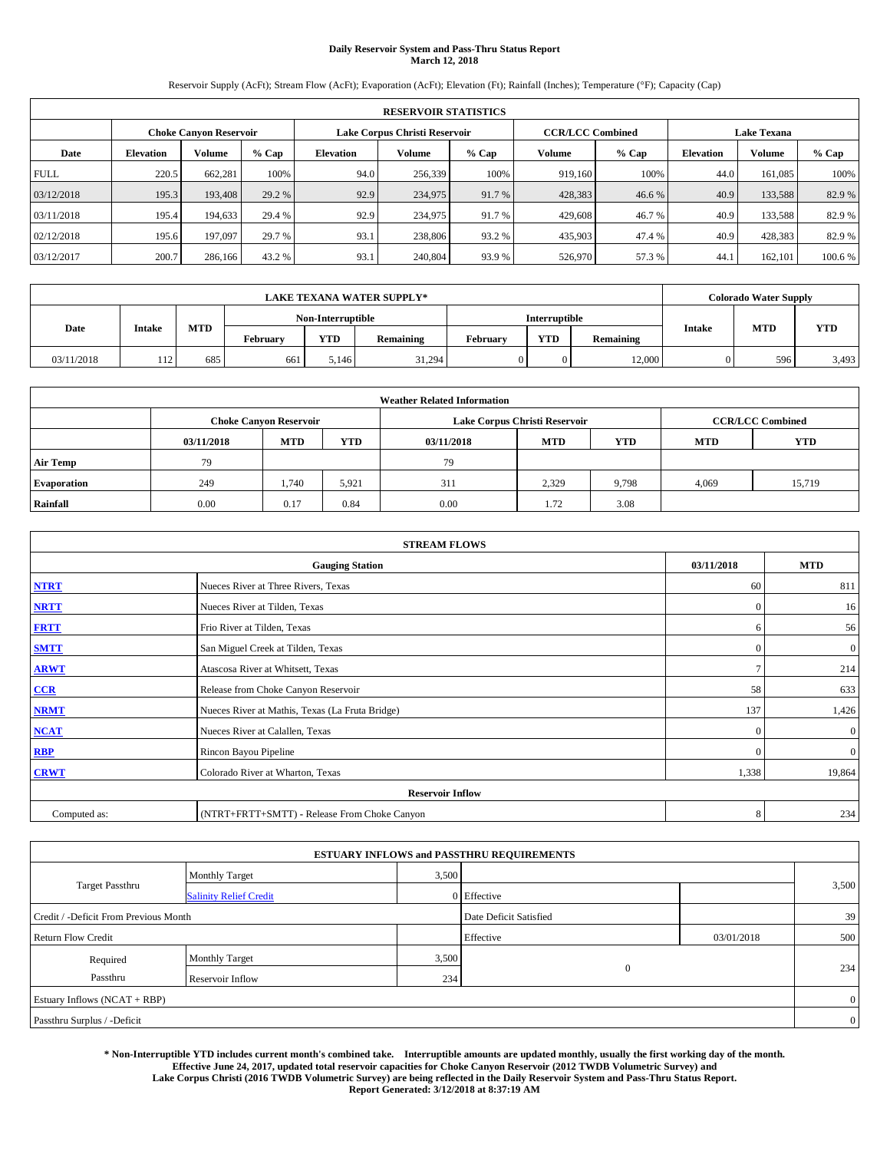# **Daily Reservoir System and Pass-Thru Status Report March 12, 2018**

Reservoir Supply (AcFt); Stream Flow (AcFt); Evaporation (AcFt); Elevation (Ft); Rainfall (Inches); Temperature (°F); Capacity (Cap)

|             | <b>RESERVOIR STATISTICS</b> |                        |         |                  |                               |         |                         |         |                  |                    |         |
|-------------|-----------------------------|------------------------|---------|------------------|-------------------------------|---------|-------------------------|---------|------------------|--------------------|---------|
|             |                             | Choke Canvon Reservoir |         |                  | Lake Corpus Christi Reservoir |         | <b>CCR/LCC Combined</b> |         |                  | <b>Lake Texana</b> |         |
| Date        | <b>Elevation</b>            | Volume                 | $%$ Cap | <b>Elevation</b> | Volume                        | $%$ Cap | Volume                  | $%$ Cap | <b>Elevation</b> | <b>Volume</b>      | % Cap   |
| <b>FULL</b> | 220.5                       | 662,281                | 100%    | 94.0             | 256,339                       | 100%    | 919.160                 | 100%    | 44.0             | 161.085            | 100%    |
| 03/12/2018  | 195.3                       | 193,408                | 29.2 %  | 92.9             | 234,975                       | 91.7 %  | 428,383                 | 46.6 %  | 40.9             | 133,588            | 82.9%   |
| 03/11/2018  | 195.4                       | 194,633                | 29.4 %  | 92.9             | 234,975                       | 91.7 %  | 429,608                 | 46.7 %  | 40.9             | 133,588            | 82.9 %  |
| 02/12/2018  | 195.6                       | 197,097                | 29.7 %  | 93.1             | 238,806                       | 93.2 %  | 435,903                 | 47.4 %  | 40.9             | 428,383            | 82.9 %  |
| 03/12/2017  | 200.7                       | 286,166                | 43.2 %  | 93.1             | 240,804                       | 93.9%   | 526,970                 | 57.3 %  | 44.              | 162,101            | 100.6 % |

| <b>LAKE TEXANA WATER SUPPLY*</b> |        |            |                   |            |           |                      | <b>Colorado Water Supply</b> |           |               |            |            |
|----------------------------------|--------|------------|-------------------|------------|-----------|----------------------|------------------------------|-----------|---------------|------------|------------|
|                                  |        |            | Non-Interruptible |            |           | <b>Interruptible</b> |                              |           |               |            |            |
| Date                             | Intake | <b>MTD</b> | February          | <b>YTD</b> | Remaining | February             | <b>YTD</b>                   | Remaining | <b>Intake</b> | <b>MTD</b> | <b>YTD</b> |
| 03/11/2018                       | 112    | 685        | 661               | 5.146      | 31,294    |                      |                              | 12.000    |               | 596        | 3,493      |

| <b>Weather Related Information</b> |            |                               |            |            |                               |                         |            |            |  |  |
|------------------------------------|------------|-------------------------------|------------|------------|-------------------------------|-------------------------|------------|------------|--|--|
|                                    |            | <b>Choke Canyon Reservoir</b> |            |            | Lake Corpus Christi Reservoir | <b>CCR/LCC Combined</b> |            |            |  |  |
|                                    | 03/11/2018 | <b>MTD</b>                    | <b>YTD</b> | 03/11/2018 | <b>MTD</b>                    | <b>YTD</b>              | <b>MTD</b> | <b>YTD</b> |  |  |
| <b>Air Temp</b>                    | 79         |                               |            | 79         |                               |                         |            |            |  |  |
| <b>Evaporation</b>                 | 249        | 1.740                         | 5,921      | 311        | 2,329                         | 9,798                   | 4,069      | 15,719     |  |  |
| Rainfall                           | 0.00       | 0.17                          | 0.84       | 0.00       | 1.72                          | 3.08                    |            |            |  |  |

| <b>STREAM FLOWS</b> |                                                 |               |              |  |  |  |  |  |
|---------------------|-------------------------------------------------|---------------|--------------|--|--|--|--|--|
|                     | <b>Gauging Station</b>                          |               |              |  |  |  |  |  |
| <b>NTRT</b>         | Nueces River at Three Rivers, Texas             | 60            | 811          |  |  |  |  |  |
| <b>NRTT</b>         | Nueces River at Tilden, Texas                   | $\mathbf{0}$  | 16           |  |  |  |  |  |
| <b>FRTT</b>         | Frio River at Tilden, Texas                     | 6             | 56           |  |  |  |  |  |
| <b>SMTT</b>         | San Miguel Creek at Tilden, Texas               | $\mathbf{0}$  | $\mathbf{0}$ |  |  |  |  |  |
| <b>ARWT</b>         | Atascosa River at Whitsett, Texas               | $\mathcal{I}$ | 214          |  |  |  |  |  |
| CCR                 | Release from Choke Canyon Reservoir             | 58            | 633          |  |  |  |  |  |
| <b>NRMT</b>         | Nueces River at Mathis, Texas (La Fruta Bridge) | 137           | 1,426        |  |  |  |  |  |
| NCAT                | Nueces River at Calallen, Texas                 | $\Omega$      | $\mathbf{0}$ |  |  |  |  |  |
| <b>RBP</b>          | Rincon Bayou Pipeline                           | $\Omega$      | $\mathbf{0}$ |  |  |  |  |  |
| <b>CRWT</b>         | Colorado River at Wharton, Texas                | 1,338         | 19,864       |  |  |  |  |  |
|                     | <b>Reservoir Inflow</b>                         |               |              |  |  |  |  |  |
| Computed as:        | (NTRT+FRTT+SMTT) - Release From Choke Canyon    |               |              |  |  |  |  |  |

|                                       |                               |                        | <b>ESTUARY INFLOWS and PASSTHRU REQUIREMENTS</b> |            |                |  |
|---------------------------------------|-------------------------------|------------------------|--------------------------------------------------|------------|----------------|--|
|                                       | <b>Monthly Target</b>         | 3,500                  |                                                  |            |                |  |
| <b>Target Passthru</b>                | <b>Salinity Relief Credit</b> |                        | 0 Effective                                      |            | 3,500          |  |
| Credit / -Deficit From Previous Month |                               | Date Deficit Satisfied |                                                  | 39         |                |  |
| <b>Return Flow Credit</b>             |                               |                        | Effective                                        | 03/01/2018 | 500            |  |
| Required                              | Monthly Target                | 3,500                  |                                                  |            |                |  |
| Passthru                              | Reservoir Inflow              | 234                    | $\mathbf{0}$                                     |            | 234            |  |
| Estuary Inflows (NCAT + RBP)          |                               |                        |                                                  |            | $\overline{0}$ |  |
| Passthru Surplus / -Deficit           |                               |                        |                                                  |            | $\overline{0}$ |  |

**\* Non-Interruptible YTD includes current month's combined take. Interruptible amounts are updated monthly, usually the first working day of the month. Effective June 24, 2017, updated total reservoir capacities for Choke Canyon Reservoir (2012 TWDB Volumetric Survey) and Lake Corpus Christi (2016 TWDB Volumetric Survey) are being reflected in the Daily Reservoir System and Pass-Thru Status Report. Report Generated: 3/12/2018 at 8:37:19 AM**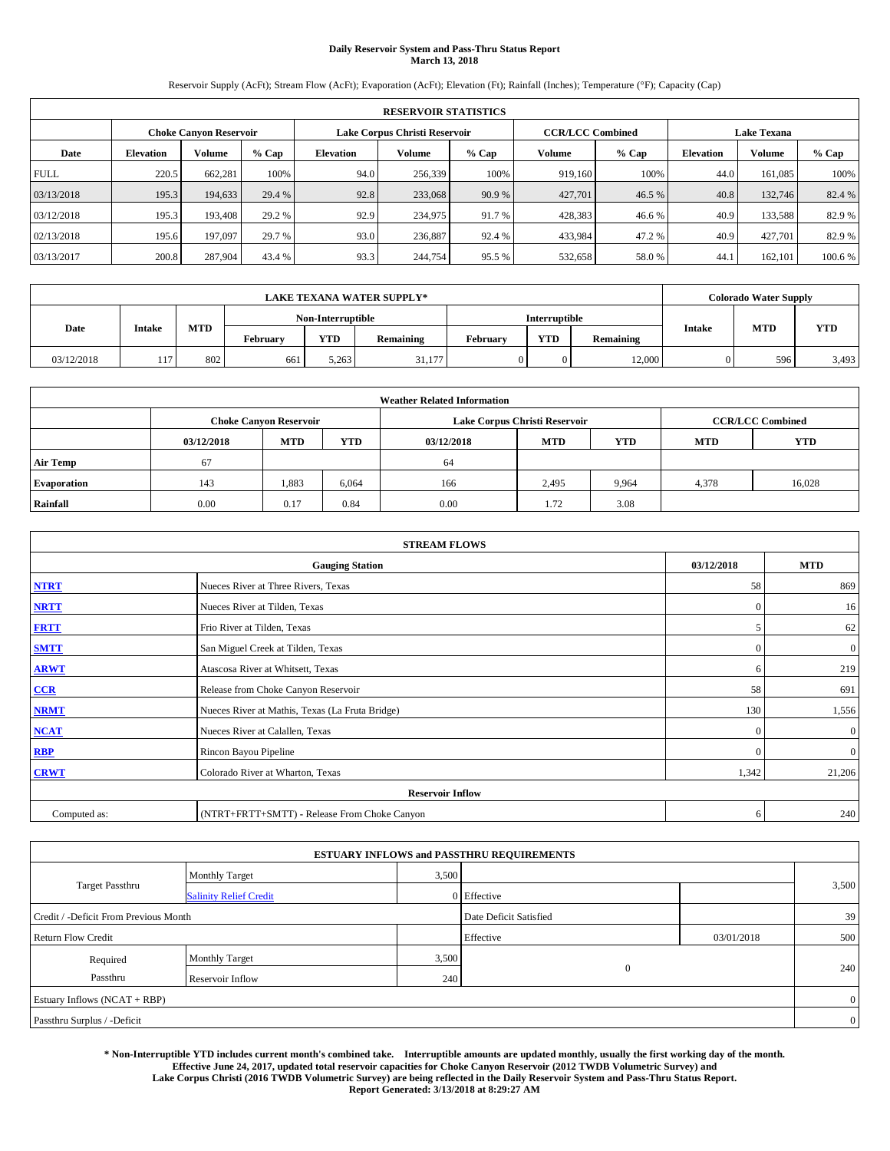# **Daily Reservoir System and Pass-Thru Status Report March 13, 2018**

Reservoir Supply (AcFt); Stream Flow (AcFt); Evaporation (AcFt); Elevation (Ft); Rainfall (Inches); Temperature (°F); Capacity (Cap)

|             | <b>RESERVOIR STATISTICS</b> |                               |         |                  |                               |         |                         |         |                    |               |         |
|-------------|-----------------------------|-------------------------------|---------|------------------|-------------------------------|---------|-------------------------|---------|--------------------|---------------|---------|
|             |                             | <b>Choke Canyon Reservoir</b> |         |                  | Lake Corpus Christi Reservoir |         | <b>CCR/LCC Combined</b> |         | <b>Lake Texana</b> |               |         |
| Date        | <b>Elevation</b>            | Volume                        | $%$ Cap | <b>Elevation</b> | Volume                        | $%$ Cap | Volume                  | $%$ Cap | <b>Elevation</b>   | <b>Volume</b> | $%$ Cap |
| <b>FULL</b> | 220.5                       | 662,281                       | 100%    | 94.0             | 256,339                       | 100%    | 919.160                 | 100%    | 44.0               | 161.085       | 100%    |
| 03/13/2018  | 195.3                       | 194,633                       | 29.4 %  | 92.8             | 233,068                       | 90.9 %  | 427,701                 | 46.5 %  | 40.8               | 132,746       | 82.4 %  |
| 03/12/2018  | 195.3                       | 193.408                       | 29.2 %  | 92.9             | 234,975                       | 91.7 %  | 428,383                 | 46.6%   | 40.9               | 133.588       | 82.9%   |
| 02/13/2018  | 195.6                       | 197,097                       | 29.7 %  | 93.0             | 236,887                       | 92.4 %  | 433,984                 | 47.2%   | 40.9               | 427.701       | 82.9 %  |
| 03/13/2017  | 200.8                       | 287,904                       | 43.4 %  | 93.3             | 244,754                       | 95.5 %  | 532,658                 | 58.0%   | 44.                | 162.101       | 100.6 % |

|            | <b>LAKE TEXANA WATER SUPPLY*</b> |            |          |                         |        |  |               |           |               | <b>Colorado Water Supply</b> |            |
|------------|----------------------------------|------------|----------|-------------------------|--------|--|---------------|-----------|---------------|------------------------------|------------|
|            |                                  |            |          | Non-Interruptible       |        |  | Interruptible |           |               |                              |            |
| Date       | <b>Intake</b>                    | <b>MTD</b> | February | <b>YTD</b><br>Remaining |        |  | <b>YTD</b>    | Remaining | <b>Intake</b> | <b>MTD</b>                   | <b>YTD</b> |
| 03/12/2018 | 117                              | 802        | 661      | 5.263                   | 31.177 |  |               | 12,000    |               | 596                          | 3,493      |

| <b>Weather Related Information</b> |            |                                                                                                |       |      |                               |                         |       |        |  |  |
|------------------------------------|------------|------------------------------------------------------------------------------------------------|-------|------|-------------------------------|-------------------------|-------|--------|--|--|
|                                    |            | <b>Choke Canyon Reservoir</b>                                                                  |       |      | Lake Corpus Christi Reservoir | <b>CCR/LCC Combined</b> |       |        |  |  |
|                                    | 03/12/2018 | <b>YTD</b><br><b>MTD</b><br><b>MTD</b><br><b>YTD</b><br><b>MTD</b><br><b>YTD</b><br>03/12/2018 |       |      |                               |                         |       |        |  |  |
| <b>Air Temp</b>                    | 67         |                                                                                                |       | 64   |                               |                         |       |        |  |  |
| <b>Evaporation</b>                 | 143        | 1,883                                                                                          | 6,064 | 166  | 2,495                         | 9,964                   | 4,378 | 16,028 |  |  |
| Rainfall                           | 0.00       | 0.17                                                                                           | 0.84  | 0.00 | 1.72                          | 3.08                    |       |        |  |  |

| <b>STREAM FLOWS</b> |                                                 |              |              |  |  |  |  |  |  |
|---------------------|-------------------------------------------------|--------------|--------------|--|--|--|--|--|--|
|                     | <b>Gauging Station</b>                          | 03/12/2018   | <b>MTD</b>   |  |  |  |  |  |  |
| <b>NTRT</b>         | Nueces River at Three Rivers, Texas             | 58           | 869          |  |  |  |  |  |  |
| <b>NRTT</b>         | Nueces River at Tilden, Texas                   | $\Omega$     | 16           |  |  |  |  |  |  |
| <b>FRTT</b>         | Frio River at Tilden, Texas                     |              | 62           |  |  |  |  |  |  |
| <b>SMTT</b>         | San Miguel Creek at Tilden, Texas               | $\mathbf{0}$ | $\mathbf{0}$ |  |  |  |  |  |  |
| <b>ARWT</b>         | Atascosa River at Whitsett, Texas               | 6            | 219          |  |  |  |  |  |  |
| CCR                 | Release from Choke Canyon Reservoir             | 58           | 691          |  |  |  |  |  |  |
| <b>NRMT</b>         | Nueces River at Mathis, Texas (La Fruta Bridge) | 130          | 1,556        |  |  |  |  |  |  |
| <b>NCAT</b>         | Nueces River at Calallen, Texas                 | $\Omega$     | $\mathbf{0}$ |  |  |  |  |  |  |
| <b>RBP</b>          | Rincon Bayou Pipeline                           | $\Omega$     | $\mathbf{0}$ |  |  |  |  |  |  |
| <b>CRWT</b>         | Colorado River at Wharton, Texas                | 1,342        | 21,206       |  |  |  |  |  |  |
|                     | <b>Reservoir Inflow</b>                         |              |              |  |  |  |  |  |  |
| Computed as:        | (NTRT+FRTT+SMTT) - Release From Choke Canyon    |              |              |  |  |  |  |  |  |

|                                       |                               |                        | <b>ESTUARY INFLOWS and PASSTHRU REQUIREMENTS</b> |            |                |  |  |
|---------------------------------------|-------------------------------|------------------------|--------------------------------------------------|------------|----------------|--|--|
|                                       | <b>Monthly Target</b>         | 3,500                  |                                                  |            |                |  |  |
| <b>Target Passthru</b>                | <b>Salinity Relief Credit</b> |                        | 0 Effective                                      |            | 3,500          |  |  |
| Credit / -Deficit From Previous Month |                               | Date Deficit Satisfied |                                                  | 39         |                |  |  |
| <b>Return Flow Credit</b>             |                               |                        | Effective                                        | 03/01/2018 | 500            |  |  |
| Required                              | Monthly Target                | 3,500                  |                                                  |            |                |  |  |
| Passthru                              | Reservoir Inflow              | 240                    | $\mathbf{0}$                                     |            | 240            |  |  |
| Estuary Inflows (NCAT + RBP)          |                               |                        |                                                  |            | $\overline{0}$ |  |  |
| Passthru Surplus / -Deficit           |                               |                        |                                                  |            |                |  |  |

**\* Non-Interruptible YTD includes current month's combined take. Interruptible amounts are updated monthly, usually the first working day of the month. Effective June 24, 2017, updated total reservoir capacities for Choke Canyon Reservoir (2012 TWDB Volumetric Survey) and Lake Corpus Christi (2016 TWDB Volumetric Survey) are being reflected in the Daily Reservoir System and Pass-Thru Status Report. Report Generated: 3/13/2018 at 8:29:27 AM**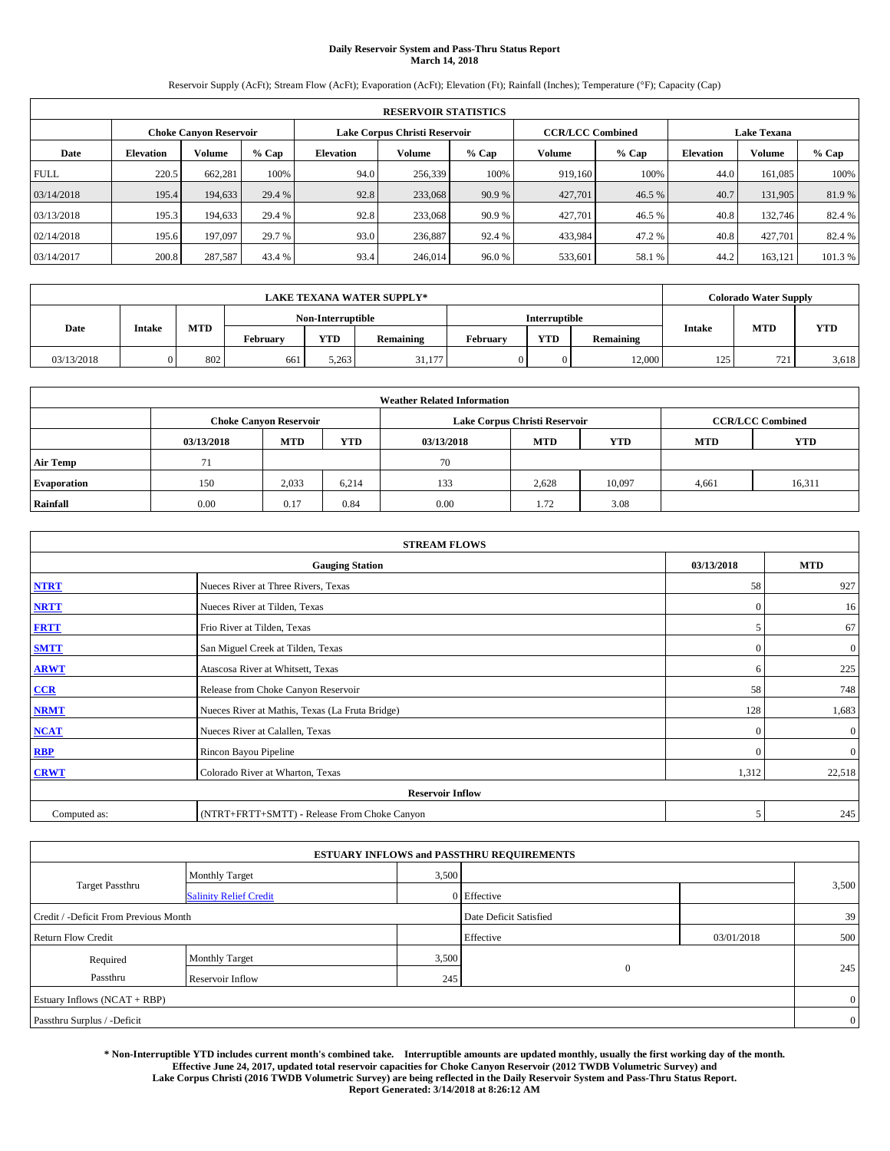# **Daily Reservoir System and Pass-Thru Status Report March 14, 2018**

Reservoir Supply (AcFt); Stream Flow (AcFt); Evaporation (AcFt); Elevation (Ft); Rainfall (Inches); Temperature (°F); Capacity (Cap)

|             | <b>RESERVOIR STATISTICS</b> |                               |         |                  |                               |         |                         |         |                    |               |         |
|-------------|-----------------------------|-------------------------------|---------|------------------|-------------------------------|---------|-------------------------|---------|--------------------|---------------|---------|
|             |                             | <b>Choke Canyon Reservoir</b> |         |                  | Lake Corpus Christi Reservoir |         | <b>CCR/LCC Combined</b> |         | <b>Lake Texana</b> |               |         |
| Date        | <b>Elevation</b>            | Volume                        | $%$ Cap | <b>Elevation</b> | Volume                        | $%$ Cap | Volume                  | $%$ Cap | <b>Elevation</b>   | <b>Volume</b> | $%$ Cap |
| <b>FULL</b> | 220.5                       | 662,281                       | 100%    | 94.0             | 256,339                       | 100%    | 919.160                 | 100%    | 44.0               | 161.085       | 100%    |
| 03/14/2018  | 195.4                       | 194,633                       | 29.4 %  | 92.8             | 233,068                       | 90.9 %  | 427,701                 | 46.5 %  | 40.7               | 131,905       | 81.9%   |
| 03/13/2018  | 195.3                       | 194,633                       | 29.4 %  | 92.8             | 233,068                       | 90.9 %  | 427,701                 | 46.5 %  | 40.8               | 132,746       | 82.4 %  |
| 02/14/2018  | 195.6                       | 197,097                       | 29.7 %  | 93.0             | 236,887                       | 92.4 %  | 433,984                 | 47.2%   | 40.8               | 427.701       | 82.4 %  |
| 03/14/2017  | 200.8                       | 287,587                       | 43.4 %  | 93.4             | 246,014                       | 96.0%   | 533,601                 | 58.1 %  | 44.2               | 163.121       | 101.3 % |

|            | <b>LAKE TEXANA WATER SUPPLY*</b> |            |                   |            |           |          |               |                  |               | <b>Colorado Water Supply</b> |            |  |
|------------|----------------------------------|------------|-------------------|------------|-----------|----------|---------------|------------------|---------------|------------------------------|------------|--|
|            |                                  |            | Non-Interruptible |            |           |          | Interruptible |                  |               |                              |            |  |
| Date       | Intake                           | <b>MTD</b> | February          | <b>YTD</b> | Remaining | February | <b>YTD</b>    | <b>Remaining</b> | <b>Intake</b> | <b>MTD</b>                   | <b>YTD</b> |  |
| 03/13/2018 |                                  | 802        | 661               | 5.263      | 31.177    |          |               | 12.000           | 125           | 721                          | 3,618      |  |

| <b>Weather Related Information</b> |            |                               |            |            |                               |                         |                          |        |  |  |
|------------------------------------|------------|-------------------------------|------------|------------|-------------------------------|-------------------------|--------------------------|--------|--|--|
|                                    |            | <b>Choke Canyon Reservoir</b> |            |            | Lake Corpus Christi Reservoir | <b>CCR/LCC Combined</b> |                          |        |  |  |
|                                    | 03/13/2018 | <b>MTD</b>                    | <b>YTD</b> | 03/13/2018 | <b>MTD</b>                    | <b>YTD</b>              | <b>YTD</b><br><b>MTD</b> |        |  |  |
| <b>Air Temp</b>                    | 71         |                               |            | 70         |                               |                         |                          |        |  |  |
| <b>Evaporation</b>                 | 150        | 2,033                         | 6,214      | 133        | 2,628                         | 10,097                  | 4,661                    | 16,311 |  |  |
| Rainfall                           | 0.00       | 0.17                          | 0.84       | 0.00       | 1.72                          | 3.08                    |                          |        |  |  |

| <b>STREAM FLOWS</b> |                                                 |              |              |  |  |  |  |  |  |
|---------------------|-------------------------------------------------|--------------|--------------|--|--|--|--|--|--|
|                     | <b>Gauging Station</b>                          | 03/13/2018   | <b>MTD</b>   |  |  |  |  |  |  |
| <b>NTRT</b>         | Nueces River at Three Rivers, Texas             | 58           | 927          |  |  |  |  |  |  |
| <b>NRTT</b>         | Nueces River at Tilden, Texas                   | $\Omega$     | 16           |  |  |  |  |  |  |
| <b>FRTT</b>         | Frio River at Tilden, Texas                     |              | 67           |  |  |  |  |  |  |
| <b>SMTT</b>         | San Miguel Creek at Tilden, Texas               | $\mathbf{0}$ | $\mathbf{0}$ |  |  |  |  |  |  |
| <b>ARWT</b>         | Atascosa River at Whitsett, Texas               | 6            | 225          |  |  |  |  |  |  |
| CCR                 | Release from Choke Canyon Reservoir             | 58           | 748          |  |  |  |  |  |  |
| <b>NRMT</b>         | Nueces River at Mathis, Texas (La Fruta Bridge) | 128          | 1,683        |  |  |  |  |  |  |
| <b>NCAT</b>         | Nueces River at Calallen, Texas                 | $\Omega$     | $\mathbf{0}$ |  |  |  |  |  |  |
| <b>RBP</b>          | Rincon Bayou Pipeline                           | $\Omega$     | $\mathbf{0}$ |  |  |  |  |  |  |
| <b>CRWT</b>         | Colorado River at Wharton, Texas                | 1,312        | 22,518       |  |  |  |  |  |  |
|                     | <b>Reservoir Inflow</b>                         |              |              |  |  |  |  |  |  |
| Computed as:        | (NTRT+FRTT+SMTT) - Release From Choke Canyon    |              |              |  |  |  |  |  |  |

|                                       |                               |                        | <b>ESTUARY INFLOWS and PASSTHRU REQUIREMENTS</b> |            |                |
|---------------------------------------|-------------------------------|------------------------|--------------------------------------------------|------------|----------------|
|                                       | <b>Monthly Target</b>         | 3,500                  |                                                  |            |                |
| <b>Target Passthru</b>                | <b>Salinity Relief Credit</b> |                        | 0 Effective                                      |            | 3,500          |
| Credit / -Deficit From Previous Month |                               | Date Deficit Satisfied |                                                  | 39         |                |
| <b>Return Flow Credit</b>             |                               |                        | Effective                                        | 03/01/2018 | 500            |
| Required                              | <b>Monthly Target</b>         | 3,500                  |                                                  |            |                |
| Passthru                              | Reservoir Inflow              | 245                    | $\mathbf{0}$                                     |            | 245            |
| Estuary Inflows (NCAT + RBP)          |                               |                        |                                                  |            | $\overline{0}$ |
| Passthru Surplus / -Deficit           |                               |                        |                                                  |            | $\overline{0}$ |

**\* Non-Interruptible YTD includes current month's combined take. Interruptible amounts are updated monthly, usually the first working day of the month. Effective June 24, 2017, updated total reservoir capacities for Choke Canyon Reservoir (2012 TWDB Volumetric Survey) and Lake Corpus Christi (2016 TWDB Volumetric Survey) are being reflected in the Daily Reservoir System and Pass-Thru Status Report. Report Generated: 3/14/2018 at 8:26:12 AM**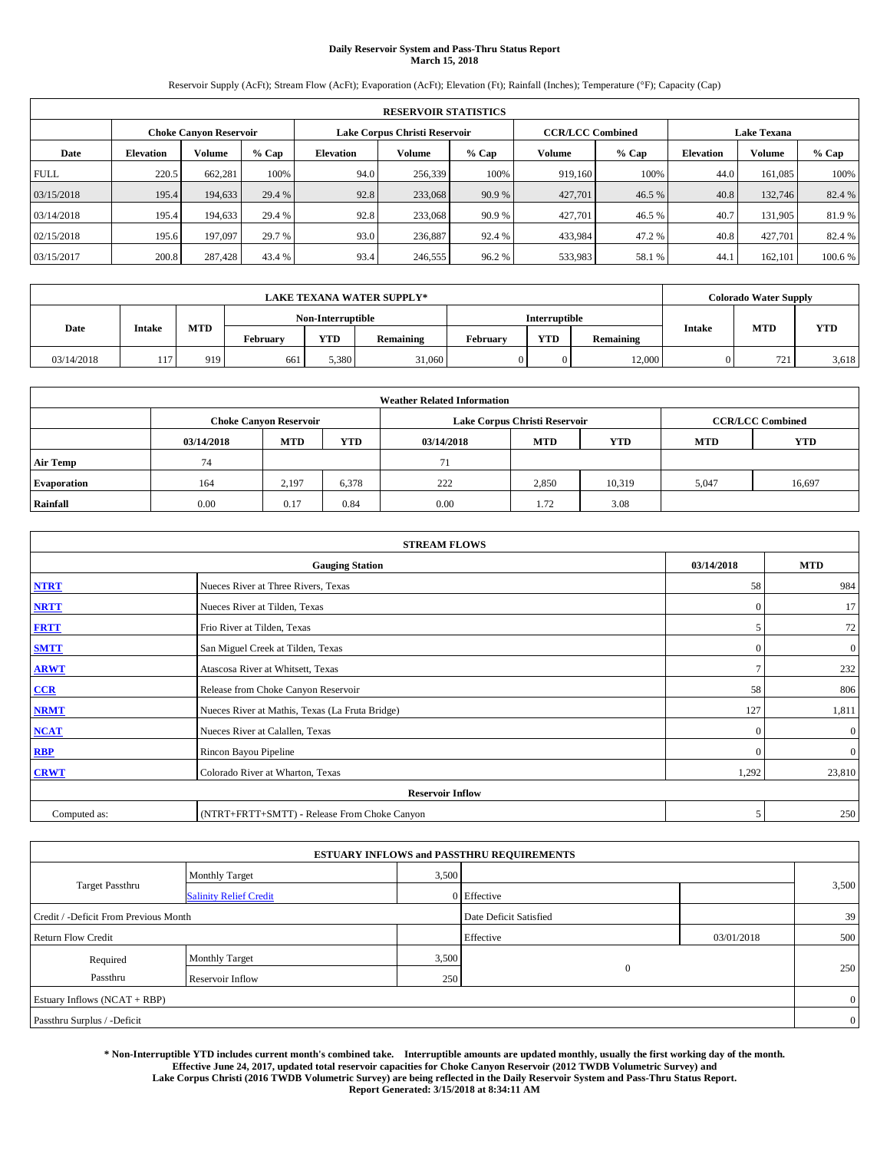# **Daily Reservoir System and Pass-Thru Status Report March 15, 2018**

Reservoir Supply (AcFt); Stream Flow (AcFt); Evaporation (AcFt); Elevation (Ft); Rainfall (Inches); Temperature (°F); Capacity (Cap)

|             | <b>RESERVOIR STATISTICS</b> |                               |         |                  |                               |         |                         |         |                    |               |         |
|-------------|-----------------------------|-------------------------------|---------|------------------|-------------------------------|---------|-------------------------|---------|--------------------|---------------|---------|
|             |                             | <b>Choke Canyon Reservoir</b> |         |                  | Lake Corpus Christi Reservoir |         | <b>CCR/LCC Combined</b> |         | <b>Lake Texana</b> |               |         |
| Date        | <b>Elevation</b>            | Volume                        | $%$ Cap | <b>Elevation</b> | Volume                        | $%$ Cap | Volume                  | $%$ Cap | <b>Elevation</b>   | <b>Volume</b> | $%$ Cap |
| <b>FULL</b> | 220.5                       | 662,281                       | 100%    | 94.0             | 256,339                       | 100%    | 919.160                 | 100%    | 44.0               | 161.085       | 100%    |
| 03/15/2018  | 195.4                       | 194,633                       | 29.4 %  | 92.8             | 233,068                       | 90.9 %  | 427,701                 | 46.5 %  | 40.8               | 132,746       | 82.4 %  |
| 03/14/2018  | 195.4                       | 194,633                       | 29.4 %  | 92.8             | 233,068                       | 90.9 %  | 427,701                 | 46.5 %  | 40.7               | 131.905       | 81.9%   |
| 02/15/2018  | 195.6                       | 197,097                       | 29.7 %  | 93.0             | 236,887                       | 92.4 %  | 433,984                 | 47.2%   | 40.8               | 427.701       | 82.4 %  |
| 03/15/2017  | 200.8                       | 287,428                       | 43.4 %  | 93.4             | 246,555                       | 96.2 %  | 533,983                 | 58.1 %  | 44.                | 162.101       | 100.6 % |

|            | <b>LAKE TEXANA WATER SUPPLY*</b> |            |          |                   |           |          |                      |           |               | <b>Colorado Water Supply</b> |            |  |
|------------|----------------------------------|------------|----------|-------------------|-----------|----------|----------------------|-----------|---------------|------------------------------|------------|--|
|            |                                  |            |          | Non-Interruptible |           |          | <b>Interruptible</b> |           |               |                              |            |  |
| Date       | Intake                           | <b>MTD</b> | February | <b>YTD</b>        | Remaining | February | <b>YTD</b>           | Remaining | <b>Intake</b> | <b>MTD</b>                   | <b>YTD</b> |  |
| 03/14/2018 | 117                              | 919        | 661      | 5.380             | 31,060    |          |                      | 12.000    |               | 721                          | 3,618      |  |

| <b>Weather Related Information</b> |            |                               |            |            |                                                      |                         |       |        |  |
|------------------------------------|------------|-------------------------------|------------|------------|------------------------------------------------------|-------------------------|-------|--------|--|
|                                    |            | <b>Choke Canyon Reservoir</b> |            |            | Lake Corpus Christi Reservoir                        | <b>CCR/LCC Combined</b> |       |        |  |
|                                    | 03/14/2018 | <b>MTD</b>                    | <b>YTD</b> | 03/14/2018 | <b>YTD</b><br><b>MTD</b><br><b>YTD</b><br><b>MTD</b> |                         |       |        |  |
| <b>Air Temp</b>                    | 74         |                               |            | 71         |                                                      |                         |       |        |  |
| <b>Evaporation</b>                 | 164        | 2,197                         | 6,378      | 222        | 2,850                                                | 10,319                  | 5,047 | 16,697 |  |
| Rainfall                           | 0.00       | 0.17                          | 0.84       | 0.00       | 1.72                                                 | 3.08                    |       |        |  |

| <b>STREAM FLOWS</b> |                                                 |               |              |  |  |  |  |  |  |
|---------------------|-------------------------------------------------|---------------|--------------|--|--|--|--|--|--|
|                     | 03/14/2018                                      | <b>MTD</b>    |              |  |  |  |  |  |  |
| <b>NTRT</b>         | Nueces River at Three Rivers, Texas             | 58            | 984          |  |  |  |  |  |  |
| <b>NRTT</b>         | Nueces River at Tilden, Texas                   | $\Omega$      | 17           |  |  |  |  |  |  |
| <b>FRTT</b>         | Frio River at Tilden, Texas                     | 5             | 72           |  |  |  |  |  |  |
| <b>SMTT</b>         | San Miguel Creek at Tilden, Texas               | $\mathbf{0}$  | $\mathbf{0}$ |  |  |  |  |  |  |
| <b>ARWT</b>         | Atascosa River at Whitsett, Texas               | $\mathcal{I}$ | 232          |  |  |  |  |  |  |
| CCR                 | Release from Choke Canyon Reservoir             | 58            | 806          |  |  |  |  |  |  |
| <b>NRMT</b>         | Nueces River at Mathis, Texas (La Fruta Bridge) | 127           | 1,811        |  |  |  |  |  |  |
| <b>NCAT</b>         | Nueces River at Calallen, Texas                 | $\Omega$      | $\mathbf{0}$ |  |  |  |  |  |  |
| <b>RBP</b>          | Rincon Bayou Pipeline                           | $\Omega$      | $\mathbf{0}$ |  |  |  |  |  |  |
| <b>CRWT</b>         | Colorado River at Wharton, Texas                | 1,292         | 23,810       |  |  |  |  |  |  |
|                     |                                                 |               |              |  |  |  |  |  |  |
| Computed as:        | 5                                               | 250           |              |  |  |  |  |  |  |

|                                       |                               |       | <b>ESTUARY INFLOWS and PASSTHRU REQUIREMENTS</b> |            |                |  |  |  |
|---------------------------------------|-------------------------------|-------|--------------------------------------------------|------------|----------------|--|--|--|
|                                       | <b>Monthly Target</b>         | 3,500 |                                                  |            |                |  |  |  |
| <b>Target Passthru</b>                | <b>Salinity Relief Credit</b> |       | 0 Effective                                      |            | 3,500          |  |  |  |
| Credit / -Deficit From Previous Month |                               |       | Date Deficit Satisfied                           |            | 39             |  |  |  |
| <b>Return Flow Credit</b>             |                               |       | Effective                                        | 03/01/2018 | 500            |  |  |  |
| Required                              | Monthly Target                | 3,500 |                                                  |            |                |  |  |  |
| Passthru                              | Reservoir Inflow              | 250   | $\mathbf{0}$                                     |            | 250            |  |  |  |
| Estuary Inflows (NCAT + RBP)          |                               |       |                                                  |            |                |  |  |  |
| Passthru Surplus / -Deficit           |                               |       |                                                  |            | $\overline{0}$ |  |  |  |

**\* Non-Interruptible YTD includes current month's combined take. Interruptible amounts are updated monthly, usually the first working day of the month. Effective June 24, 2017, updated total reservoir capacities for Choke Canyon Reservoir (2012 TWDB Volumetric Survey) and Lake Corpus Christi (2016 TWDB Volumetric Survey) are being reflected in the Daily Reservoir System and Pass-Thru Status Report. Report Generated: 3/15/2018 at 8:34:11 AM**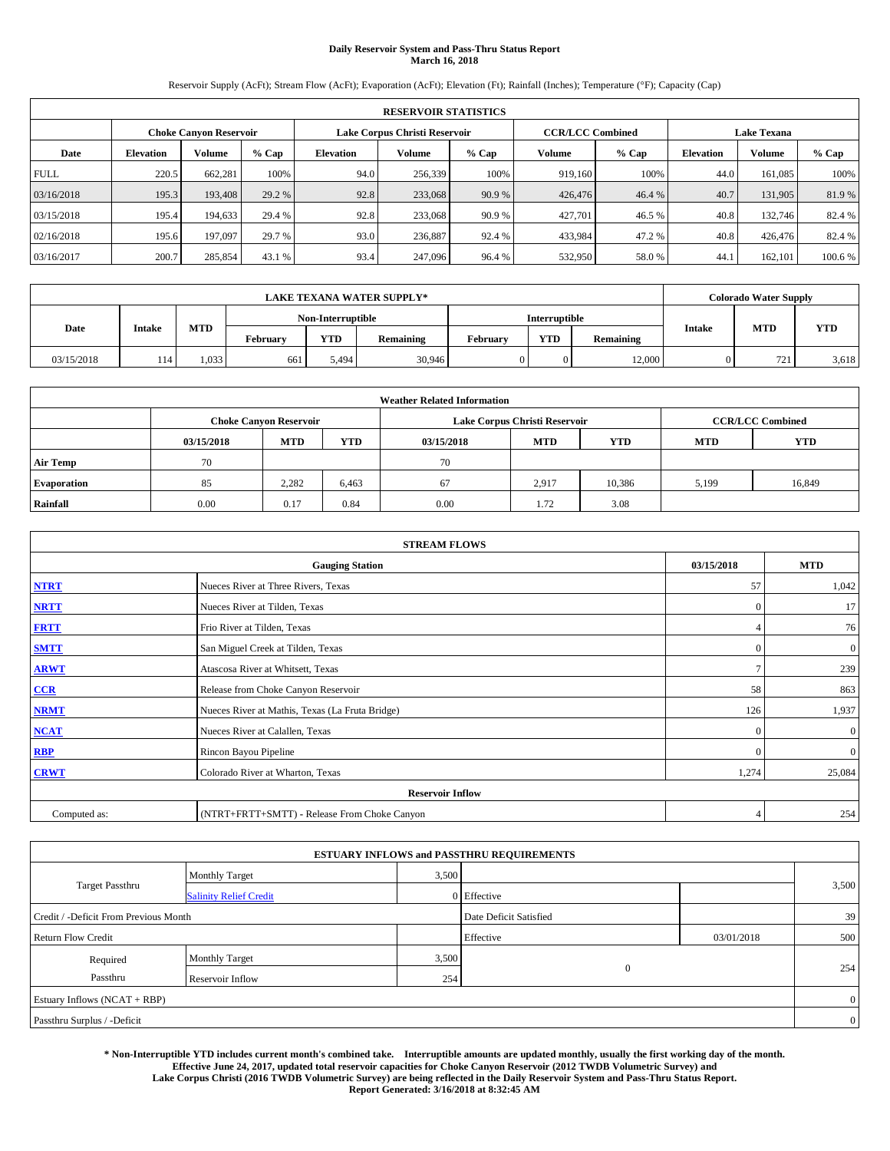# **Daily Reservoir System and Pass-Thru Status Report March 16, 2018**

Reservoir Supply (AcFt); Stream Flow (AcFt); Evaporation (AcFt); Elevation (Ft); Rainfall (Inches); Temperature (°F); Capacity (Cap)

|             | <b>RESERVOIR STATISTICS</b> |                               |         |                  |                               |         |                         |         |                  |                    |         |
|-------------|-----------------------------|-------------------------------|---------|------------------|-------------------------------|---------|-------------------------|---------|------------------|--------------------|---------|
|             |                             | <b>Choke Canyon Reservoir</b> |         |                  | Lake Corpus Christi Reservoir |         | <b>CCR/LCC Combined</b> |         |                  | <b>Lake Texana</b> |         |
| Date        | <b>Elevation</b>            | Volume                        | $%$ Cap | <b>Elevation</b> | Volume                        | $%$ Cap | Volume                  | $%$ Cap | <b>Elevation</b> | <b>Volume</b>      | $%$ Cap |
| <b>FULL</b> | 220.5                       | 662,281                       | 100%    | 94.0             | 256,339                       | 100%    | 919.160                 | 100%    | 44.0             | 161.085            | 100%    |
| 03/16/2018  | 195.3                       | 193,408                       | 29.2 %  | 92.8             | 233,068                       | 90.9 %  | 426,476                 | 46.4 %  | 40.7             | 131,905            | 81.9%   |
| 03/15/2018  | 195.4                       | 194,633                       | 29.4 %  | 92.8             | 233,068                       | 90.9 %  | 427.701                 | 46.5 %  | 40.8             | 132,746            | 82.4 %  |
| 02/16/2018  | 195.6                       | 197,097                       | 29.7 %  | 93.0             | 236,887                       | 92.4 %  | 433,984                 | 47.2%   | 40.8             | 426,476            | 82.4 %  |
| 03/16/2017  | 200.7                       | 285,854                       | 43.1 %  | 93.4             | 247,096                       | 96.4 %  | 532,950                 | 58.0%   | 44.              | 162,101            | 100.6 % |

| <b>LAKE TEXANA WATER SUPPLY*</b> |               |            |          |                   |           |          |                      |           | <b>Colorado Water Supply</b> |            |            |
|----------------------------------|---------------|------------|----------|-------------------|-----------|----------|----------------------|-----------|------------------------------|------------|------------|
|                                  |               |            |          | Non-Interruptible |           |          | <b>Interruptible</b> |           |                              |            |            |
| Date                             | <b>Intake</b> | <b>MTD</b> | Februarv | YTD               | Remaining | Februarv | <b>YTD</b>           | Remaining | <b>Intake</b>                | <b>MTD</b> | <b>YTD</b> |
| 03/15/2018                       | 114           | 1,033      | 661      | 5.494             | 30,946    |          | 0                    | 12.000    |                              | 721        | 3,618      |

| <b>Weather Related Information</b> |            |                               |            |                                                      |                               |                         |       |        |  |  |
|------------------------------------|------------|-------------------------------|------------|------------------------------------------------------|-------------------------------|-------------------------|-------|--------|--|--|
|                                    |            | <b>Choke Canyon Reservoir</b> |            |                                                      | Lake Corpus Christi Reservoir | <b>CCR/LCC Combined</b> |       |        |  |  |
|                                    | 03/15/2018 | <b>MTD</b>                    | <b>YTD</b> | <b>MTD</b><br><b>YTD</b><br><b>MTD</b><br>03/15/2018 |                               |                         |       |        |  |  |
| <b>Air Temp</b>                    | 70         |                               |            | 70                                                   |                               |                         |       |        |  |  |
| <b>Evaporation</b>                 | 85         | 2.282                         | 6,463      | 67                                                   | 2,917                         | 10,386                  | 5,199 | 16,849 |  |  |
| Rainfall                           | 0.00       | 0.17                          | 0.84       | 0.00                                                 | 1.72                          | 3.08                    |       |        |  |  |

| <b>STREAM FLOWS</b> |                                                 |                |                  |  |  |  |  |  |
|---------------------|-------------------------------------------------|----------------|------------------|--|--|--|--|--|
|                     | 03/15/2018                                      | <b>MTD</b>     |                  |  |  |  |  |  |
| <b>NTRT</b>         | Nueces River at Three Rivers, Texas             | 57             | 1,042            |  |  |  |  |  |
| <b>NRTT</b>         | Nueces River at Tilden, Texas                   | $\overline{0}$ | 17               |  |  |  |  |  |
| <b>FRTT</b>         | Frio River at Tilden, Texas                     |                | 76               |  |  |  |  |  |
| <b>SMTT</b>         | San Miguel Creek at Tilden, Texas               | $\mathbf{0}$   | $\boldsymbol{0}$ |  |  |  |  |  |
| <b>ARWT</b>         | Atascosa River at Whitsett, Texas               | $\mathcal{I}$  | 239              |  |  |  |  |  |
| $CCR$               | Release from Choke Canyon Reservoir             | 58             | 863              |  |  |  |  |  |
| <b>NRMT</b>         | Nueces River at Mathis, Texas (La Fruta Bridge) | 126            | 1,937            |  |  |  |  |  |
| <b>NCAT</b>         | Nueces River at Calallen, Texas                 | $\Omega$       | $\boldsymbol{0}$ |  |  |  |  |  |
| RBP                 | Rincon Bayou Pipeline                           | $\Omega$       | $\mathbf{0}$     |  |  |  |  |  |
| <b>CRWT</b>         | Colorado River at Wharton, Texas                | 1,274          | 25,084           |  |  |  |  |  |
|                     |                                                 |                |                  |  |  |  |  |  |
| Computed as:        | (NTRT+FRTT+SMTT) - Release From Choke Canyon    | $\overline{4}$ | 254              |  |  |  |  |  |

|                                       |                               |       | <b>ESTUARY INFLOWS and PASSTHRU REQUIREMENTS</b> |            |                |
|---------------------------------------|-------------------------------|-------|--------------------------------------------------|------------|----------------|
|                                       | <b>Monthly Target</b>         | 3,500 |                                                  |            |                |
| Target Passthru                       | <b>Salinity Relief Credit</b> |       | 0 Effective                                      |            | 3,500          |
| Credit / -Deficit From Previous Month |                               |       | Date Deficit Satisfied                           |            | 39             |
| <b>Return Flow Credit</b>             |                               |       | Effective                                        | 03/01/2018 | 500            |
| Required                              | <b>Monthly Target</b>         | 3,500 |                                                  |            |                |
| Passthru                              | Reservoir Inflow              | 254   | $\overline{0}$                                   |            | 254            |
| Estuary Inflows (NCAT + RBP)          |                               |       |                                                  |            | $\overline{0}$ |
| Passthru Surplus / -Deficit           |                               |       |                                                  |            | $\overline{0}$ |

**\* Non-Interruptible YTD includes current month's combined take. Interruptible amounts are updated monthly, usually the first working day of the month. Effective June 24, 2017, updated total reservoir capacities for Choke Canyon Reservoir (2012 TWDB Volumetric Survey) and Lake Corpus Christi (2016 TWDB Volumetric Survey) are being reflected in the Daily Reservoir System and Pass-Thru Status Report. Report Generated: 3/16/2018 at 8:32:45 AM**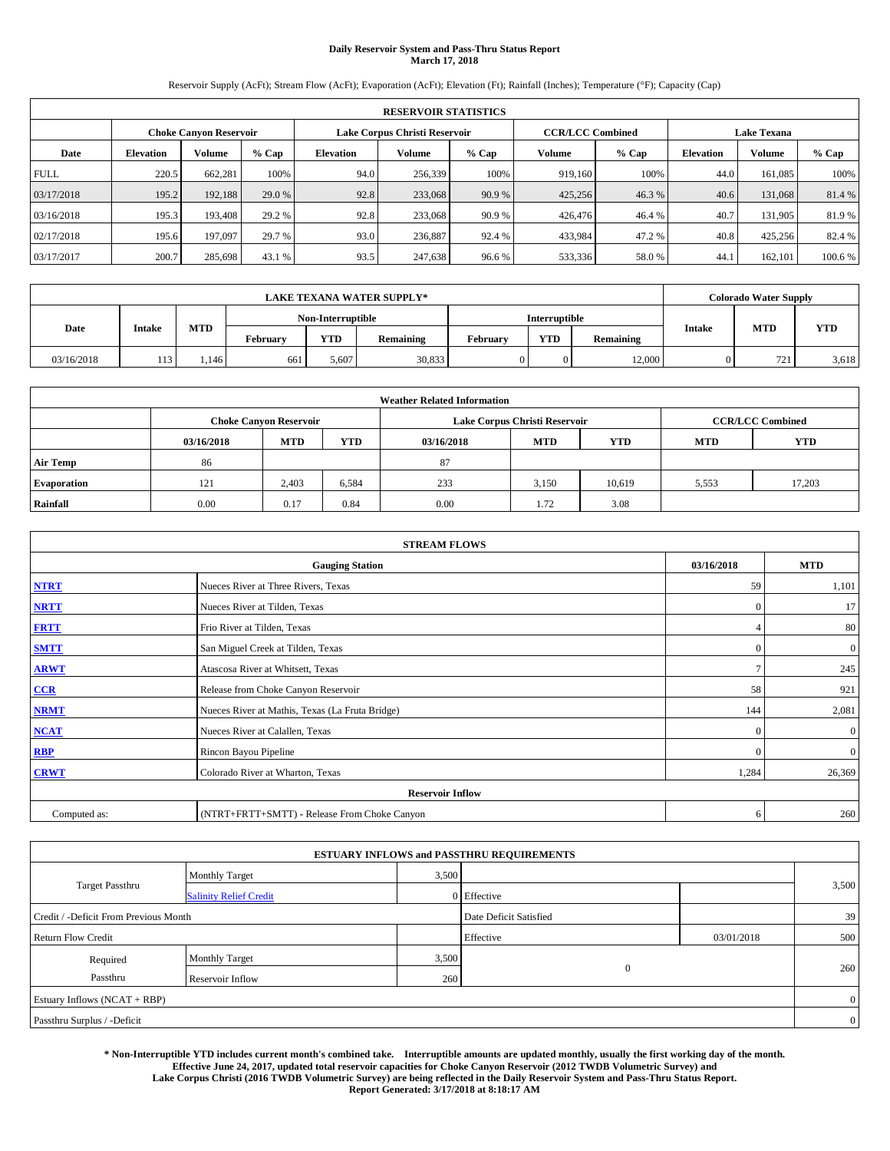# **Daily Reservoir System and Pass-Thru Status Report March 17, 2018**

Reservoir Supply (AcFt); Stream Flow (AcFt); Evaporation (AcFt); Elevation (Ft); Rainfall (Inches); Temperature (°F); Capacity (Cap)

|             | <b>RESERVOIR STATISTICS</b> |                               |         |                  |                               |         |                         |         |                  |                    |         |
|-------------|-----------------------------|-------------------------------|---------|------------------|-------------------------------|---------|-------------------------|---------|------------------|--------------------|---------|
|             |                             | <b>Choke Canyon Reservoir</b> |         |                  | Lake Corpus Christi Reservoir |         | <b>CCR/LCC Combined</b> |         |                  | <b>Lake Texana</b> |         |
| Date        | <b>Elevation</b>            | Volume                        | $%$ Cap | <b>Elevation</b> | Volume                        | $%$ Cap | Volume                  | $%$ Cap | <b>Elevation</b> | <b>Volume</b>      | % Cap   |
| <b>FULL</b> | 220.5                       | 662,281                       | 100%    | 94.0             | 256,339                       | 100%    | 919.160                 | 100%    | 44.0             | 161.085            | 100%    |
| 03/17/2018  | 195.2                       | 192,188                       | 29.0 %  | 92.8             | 233,068                       | 90.9 %  | 425,256                 | 46.3%   | 40.6             | 131,068            | 81.4 %  |
| 03/16/2018  | 195.3                       | 193.408                       | 29.2 %  | 92.8             | 233,068                       | 90.9 %  | 426,476                 | 46.4 %  | 40.7             | 131.905            | 81.9%   |
| 02/17/2018  | 195.6                       | 197,097                       | 29.7 %  | 93.0             | 236,887                       | 92.4 %  | 433,984                 | 47.2%   | 40.8             | 425,256            | 82.4 %  |
| 03/17/2017  | 200.7                       | 285,698                       | 43.1 %  | 93.5             | 247,638                       | 96.6%   | 533,336                 | 58.0%   | 44.              | 162.101            | 100.6 % |

| <b>LAKE TEXANA WATER SUPPLY*</b> |        |      |          |                   |           |          |                      |           | <b>Colorado Water Supply</b> |     |            |
|----------------------------------|--------|------|----------|-------------------|-----------|----------|----------------------|-----------|------------------------------|-----|------------|
|                                  |        |      |          | Non-Interruptible |           |          | <b>Interruptible</b> |           |                              |     |            |
| Date                             | Intake | MTD  | Februarv | <b>YTD</b>        | Remaining | Februarv | <b>YTD</b>           | Remaining | <b>Intake</b>                | MTD | <b>YTD</b> |
| 03/16/2018                       | 113    | .146 | 661      | 5,607             | 30,833    |          |                      | 12,000    |                              | 721 | 3,618      |

| <b>Weather Related Information</b> |            |                               |            |            |                                                      |                         |       |        |  |  |
|------------------------------------|------------|-------------------------------|------------|------------|------------------------------------------------------|-------------------------|-------|--------|--|--|
|                                    |            | <b>Choke Canyon Reservoir</b> |            |            | Lake Corpus Christi Reservoir                        | <b>CCR/LCC Combined</b> |       |        |  |  |
|                                    | 03/16/2018 | <b>MTD</b>                    | <b>YTD</b> | 03/16/2018 | <b>YTD</b><br><b>MTD</b><br><b>YTD</b><br><b>MTD</b> |                         |       |        |  |  |
| <b>Air Temp</b>                    | 86         |                               |            | 87         |                                                      |                         |       |        |  |  |
| <b>Evaporation</b>                 | 121        | 2,403                         | 6,584      | 233        | 3,150                                                | 10,619                  | 5,553 | 17,203 |  |  |
| Rainfall                           | 0.00       | 0.17                          | 0.84       | 0.00       | 1.72                                                 | 3.08                    |       |        |  |  |

| <b>STREAM FLOWS</b> |                                                 |               |              |  |  |  |  |  |
|---------------------|-------------------------------------------------|---------------|--------------|--|--|--|--|--|
|                     | 03/16/2018                                      | <b>MTD</b>    |              |  |  |  |  |  |
| <b>NTRT</b>         | Nueces River at Three Rivers, Texas             | 59            | 1,101        |  |  |  |  |  |
| <b>NRTT</b>         | Nueces River at Tilden, Texas                   | $\Omega$      | 17           |  |  |  |  |  |
| <b>FRTT</b>         | Frio River at Tilden, Texas                     |               | 80           |  |  |  |  |  |
| <b>SMTT</b>         | San Miguel Creek at Tilden, Texas               | $\mathbf{0}$  | $\mathbf{0}$ |  |  |  |  |  |
| <b>ARWT</b>         | Atascosa River at Whitsett, Texas               | $\mathcal{I}$ | 245          |  |  |  |  |  |
| CCR                 | Release from Choke Canyon Reservoir             | 58            | 921          |  |  |  |  |  |
| <b>NRMT</b>         | Nueces River at Mathis, Texas (La Fruta Bridge) | 144           | 2,081        |  |  |  |  |  |
| <b>NCAT</b>         | Nueces River at Calallen, Texas                 | $\Omega$      | $\mathbf{0}$ |  |  |  |  |  |
| <b>RBP</b>          | Rincon Bayou Pipeline                           | $\Omega$      | $\mathbf{0}$ |  |  |  |  |  |
| <b>CRWT</b>         | Colorado River at Wharton, Texas                | 1,284         | 26,369       |  |  |  |  |  |
|                     |                                                 |               |              |  |  |  |  |  |
| Computed as:        | (NTRT+FRTT+SMTT) - Release From Choke Canyon    | 6             | 260          |  |  |  |  |  |

| <b>ESTUARY INFLOWS and PASSTHRU REQUIREMENTS</b> |                               |       |                        |            |       |  |  |  |  |  |
|--------------------------------------------------|-------------------------------|-------|------------------------|------------|-------|--|--|--|--|--|
|                                                  | <b>Monthly Target</b>         | 3,500 |                        |            |       |  |  |  |  |  |
| <b>Target Passthru</b>                           | <b>Salinity Relief Credit</b> |       | 0 Effective            |            | 3,500 |  |  |  |  |  |
| Credit / -Deficit From Previous Month            |                               |       | Date Deficit Satisfied |            | 39    |  |  |  |  |  |
| <b>Return Flow Credit</b>                        |                               |       | Effective              | 03/01/2018 | 500   |  |  |  |  |  |
| Required                                         | Monthly Target                | 3,500 |                        |            |       |  |  |  |  |  |
| Passthru                                         | Reservoir Inflow              | 260   | $\mathbf{0}$           |            | 260   |  |  |  |  |  |
| Estuary Inflows (NCAT + RBP)                     |                               |       |                        |            |       |  |  |  |  |  |
| Passthru Surplus / -Deficit                      |                               |       |                        |            |       |  |  |  |  |  |

**\* Non-Interruptible YTD includes current month's combined take. Interruptible amounts are updated monthly, usually the first working day of the month. Effective June 24, 2017, updated total reservoir capacities for Choke Canyon Reservoir (2012 TWDB Volumetric Survey) and Lake Corpus Christi (2016 TWDB Volumetric Survey) are being reflected in the Daily Reservoir System and Pass-Thru Status Report. Report Generated: 3/17/2018 at 8:18:17 AM**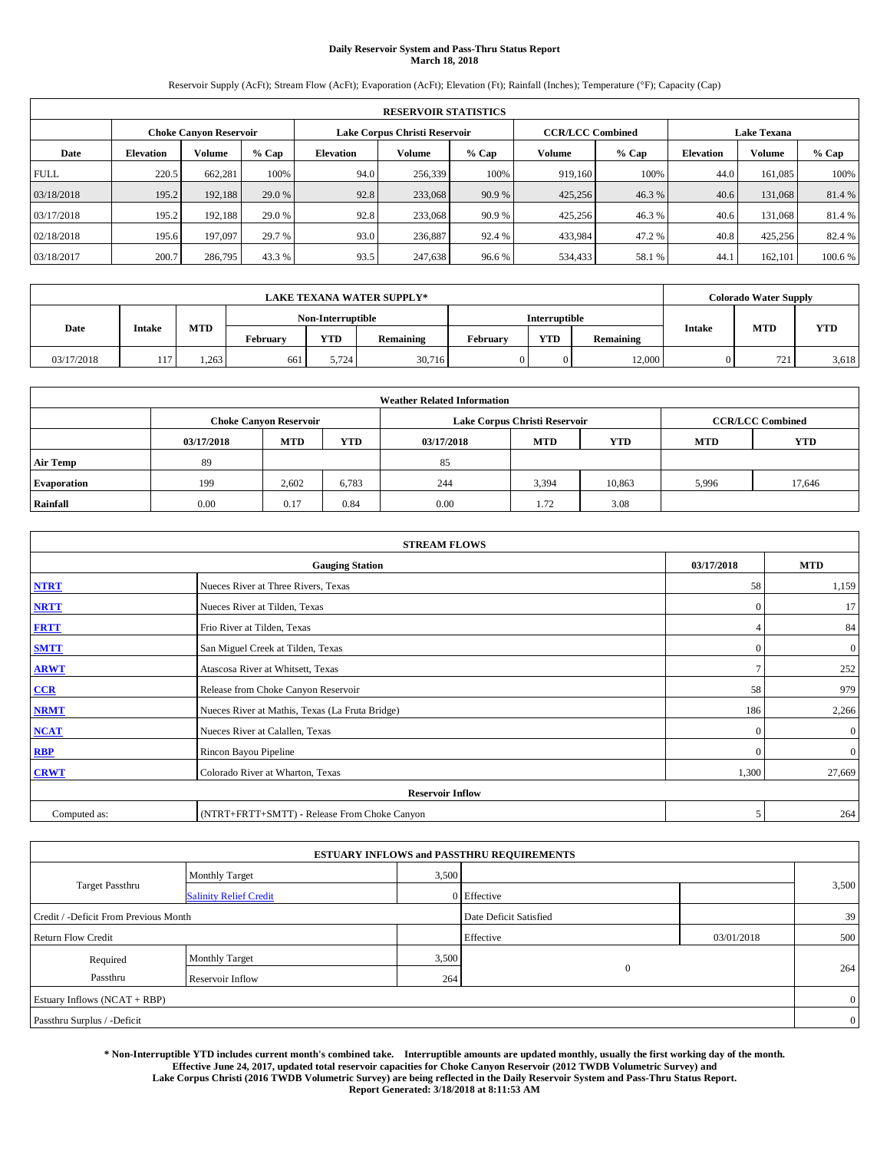# **Daily Reservoir System and Pass-Thru Status Report March 18, 2018**

Reservoir Supply (AcFt); Stream Flow (AcFt); Evaporation (AcFt); Elevation (Ft); Rainfall (Inches); Temperature (°F); Capacity (Cap)

|                                                         | <b>RESERVOIR STATISTICS</b> |         |         |                  |         |         |                         |         |                  |                    |         |
|---------------------------------------------------------|-----------------------------|---------|---------|------------------|---------|---------|-------------------------|---------|------------------|--------------------|---------|
| Lake Corpus Christi Reservoir<br>Choke Canvon Reservoir |                             |         |         |                  |         |         | <b>CCR/LCC Combined</b> |         |                  | <b>Lake Texana</b> |         |
| Date                                                    | <b>Elevation</b>            | Volume  | $%$ Cap | <b>Elevation</b> | Volume  | $%$ Cap | Volume                  | $%$ Cap | <b>Elevation</b> | <b>Volume</b>      | % Cap   |
| <b>FULL</b>                                             | 220.5                       | 662,281 | 100%    | 94.0             | 256,339 | 100%    | 919.160                 | 100%    | 44.0             | 161.085            | 100%    |
| 03/18/2018                                              | 195.2                       | 192,188 | 29.0 %  | 92.8             | 233,068 | 90.9 %  | 425,256                 | 46.3%   | 40.6             | 131,068            | 81.4 %  |
| 03/17/2018                                              | 195.2                       | 192,188 | 29.0 %  | 92.8             | 233,068 | 90.9 %  | 425,256                 | 46.3%   | 40.6             | 131,068            | 81.4 %  |
| 02/18/2018                                              | 195.6                       | 197,097 | 29.7 %  | 93.0             | 236,887 | 92.4 %  | 433,984                 | 47.2 %  | 40.8             | 425,256            | 82.4 %  |
| 03/18/2017                                              | 200.7                       | 286,795 | 43.3 %  | 93.5             | 247,638 | 96.6 %  | 534,433                 | 58.1 %  | 44.              | 162,101            | 100.6 % |

|            |               |            |                   |       | <b>LAKE TEXANA WATER SUPPLY*</b> |          |            |           |               | <b>Colorado Water Supply</b> |            |
|------------|---------------|------------|-------------------|-------|----------------------------------|----------|------------|-----------|---------------|------------------------------|------------|
|            |               |            | Non-Interruptible |       | <b>Interruptible</b>             |          |            |           |               |                              |            |
| Date       | <b>Intake</b> | <b>MTD</b> | Februarv          | YTD   | Remaining                        | Februarv | <b>YTD</b> | Remaining | <b>Intake</b> | <b>MTD</b>                   | <b>YTD</b> |
| 03/17/2018 | 117           | 1.263      | 661               | 5.724 | 30,716                           |          | 0          | 12.000    |               | 721                          | 3,618      |

| <b>Weather Related Information</b> |            |                                                                                                |       |      |                               |        |       |                         |  |  |
|------------------------------------|------------|------------------------------------------------------------------------------------------------|-------|------|-------------------------------|--------|-------|-------------------------|--|--|
|                                    |            | <b>Choke Canyon Reservoir</b>                                                                  |       |      | Lake Corpus Christi Reservoir |        |       | <b>CCR/LCC Combined</b> |  |  |
|                                    | 03/17/2018 | <b>YTD</b><br><b>YTD</b><br><b>MTD</b><br><b>MTD</b><br><b>YTD</b><br><b>MTD</b><br>03/17/2018 |       |      |                               |        |       |                         |  |  |
| <b>Air Temp</b>                    | 89         |                                                                                                |       | 85   |                               |        |       |                         |  |  |
| <b>Evaporation</b>                 | 199        | 2.602                                                                                          | 6,783 | 244  | 3,394                         | 10,863 | 5,996 | 17,646                  |  |  |
| Rainfall                           | 0.00       | 0.17                                                                                           | 0.84  | 0.00 | 1.72                          | 3.08   |       |                         |  |  |

|              | <b>STREAM FLOWS</b>                             |                |                  |  |  |  |  |  |  |  |
|--------------|-------------------------------------------------|----------------|------------------|--|--|--|--|--|--|--|
|              | <b>Gauging Station</b>                          | 03/17/2018     | <b>MTD</b>       |  |  |  |  |  |  |  |
| <b>NTRT</b>  | Nueces River at Three Rivers, Texas             | 58             | 1,159            |  |  |  |  |  |  |  |
| <b>NRTT</b>  | Nueces River at Tilden, Texas                   | $\overline{0}$ | 17               |  |  |  |  |  |  |  |
| <b>FRTT</b>  | Frio River at Tilden, Texas                     |                | 84               |  |  |  |  |  |  |  |
| <b>SMTT</b>  | San Miguel Creek at Tilden, Texas               | $\mathbf{0}$   | $\boldsymbol{0}$ |  |  |  |  |  |  |  |
| <b>ARWT</b>  | Atascosa River at Whitsett, Texas               | $\mathcal{I}$  | 252              |  |  |  |  |  |  |  |
| $CCR$        | Release from Choke Canyon Reservoir             | 58             | 979              |  |  |  |  |  |  |  |
| <b>NRMT</b>  | Nueces River at Mathis, Texas (La Fruta Bridge) | 186            | 2,266            |  |  |  |  |  |  |  |
| <b>NCAT</b>  | Nueces River at Calallen, Texas                 | $\Omega$       | $\boldsymbol{0}$ |  |  |  |  |  |  |  |
| RBP          | Rincon Bayou Pipeline                           | $\Omega$       | $\mathbf{0}$     |  |  |  |  |  |  |  |
| <b>CRWT</b>  | Colorado River at Wharton, Texas                | 1,300          | 27,669           |  |  |  |  |  |  |  |
|              | <b>Reservoir Inflow</b>                         |                |                  |  |  |  |  |  |  |  |
| Computed as: | (NTRT+FRTT+SMTT) - Release From Choke Canyon    | 5              | 264              |  |  |  |  |  |  |  |

| <b>ESTUARY INFLOWS and PASSTHRU REQUIREMENTS</b> |                               |       |                        |            |       |  |  |  |  |  |
|--------------------------------------------------|-------------------------------|-------|------------------------|------------|-------|--|--|--|--|--|
|                                                  | <b>Monthly Target</b>         | 3,500 |                        |            |       |  |  |  |  |  |
| <b>Target Passthru</b>                           | <b>Salinity Relief Credit</b> |       | 0 Effective            |            | 3,500 |  |  |  |  |  |
| Credit / -Deficit From Previous Month            |                               |       | Date Deficit Satisfied |            | 39    |  |  |  |  |  |
| <b>Return Flow Credit</b>                        |                               |       | Effective              | 03/01/2018 | 500   |  |  |  |  |  |
| Required                                         | <b>Monthly Target</b>         | 3,500 |                        |            |       |  |  |  |  |  |
| Passthru                                         | Reservoir Inflow              | 264   | $\mathbf{0}$           |            | 264   |  |  |  |  |  |
| Estuary Inflows (NCAT + RBP)                     |                               |       |                        |            |       |  |  |  |  |  |
| Passthru Surplus / -Deficit                      |                               |       |                        |            |       |  |  |  |  |  |

**\* Non-Interruptible YTD includes current month's combined take. Interruptible amounts are updated monthly, usually the first working day of the month. Effective June 24, 2017, updated total reservoir capacities for Choke Canyon Reservoir (2012 TWDB Volumetric Survey) and Lake Corpus Christi (2016 TWDB Volumetric Survey) are being reflected in the Daily Reservoir System and Pass-Thru Status Report. Report Generated: 3/18/2018 at 8:11:53 AM**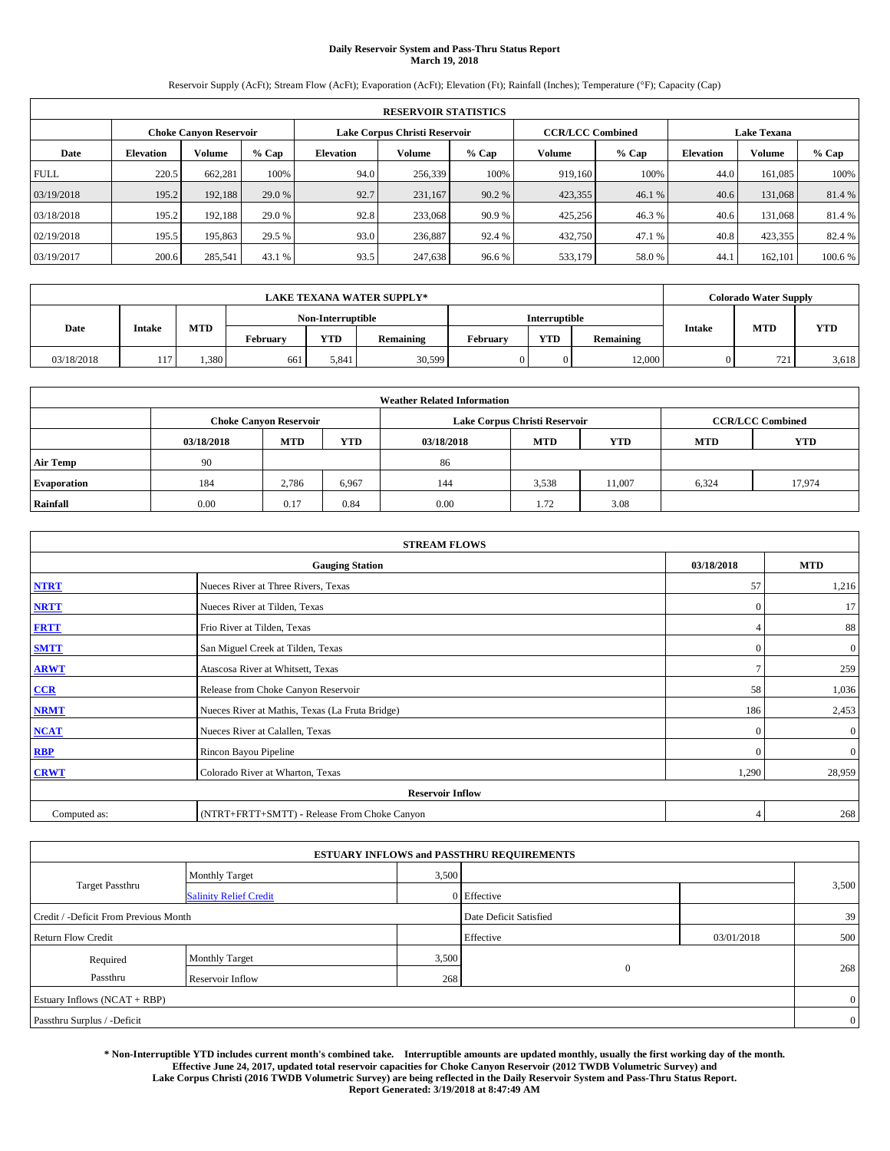# **Daily Reservoir System and Pass-Thru Status Report March 19, 2018**

Reservoir Supply (AcFt); Stream Flow (AcFt); Evaporation (AcFt); Elevation (Ft); Rainfall (Inches); Temperature (°F); Capacity (Cap)

|                                                                | <b>RESERVOIR STATISTICS</b> |         |         |           |         |         |                         |         |                  |                    |         |
|----------------------------------------------------------------|-----------------------------|---------|---------|-----------|---------|---------|-------------------------|---------|------------------|--------------------|---------|
| Lake Corpus Christi Reservoir<br><b>Choke Canyon Reservoir</b> |                             |         |         |           |         |         | <b>CCR/LCC Combined</b> |         |                  | <b>Lake Texana</b> |         |
| Date                                                           | <b>Elevation</b>            | Volume  | $%$ Cap | Elevation | Volume  | $%$ Cap | Volume                  | $%$ Cap | <b>Elevation</b> | <b>Volume</b>      | % Cap   |
| <b>FULL</b>                                                    | 220.5                       | 662,281 | 100%    | 94.0      | 256,339 | 100%    | 919.160                 | 100%    | 44.0             | 161.085            | 100%    |
| 03/19/2018                                                     | 195.2                       | 192,188 | 29.0 %  | 92.7      | 231,167 | 90.2 %  | 423,355                 | 46.1 %  | 40.6             | 131,068            | 81.4 %  |
| 03/18/2018                                                     | 195.2                       | 192,188 | 29.0 %  | 92.8      | 233,068 | 90.9 %  | 425,256                 | 46.3%   | 40.6             | 131.068            | 81.4 %  |
| 02/19/2018                                                     | 195.5                       | 195,863 | 29.5 %  | 93.0      | 236,887 | 92.4 %  | 432,750                 | 47.1 %  | 40.8             | 423,355            | 82.4 %  |
| 03/19/2017                                                     | 200.6                       | 285,541 | 43.1 %  | 93.5      | 247,638 | 96.6%   | 533,179                 | 58.0%   | 44.              | 162,101            | 100.6 % |

|            |        |            |          |                   | <b>LAKE TEXANA WATER SUPPLY*</b> |          |               |           |               | <b>Colorado Water Supply</b> |            |
|------------|--------|------------|----------|-------------------|----------------------------------|----------|---------------|-----------|---------------|------------------------------|------------|
|            |        |            |          | Non-Interruptible |                                  |          | Interruptible |           |               |                              |            |
| Date       | Intake | <b>MTD</b> | Februarv | <b>YTD</b>        | Remaining                        | Februarv | <b>YTD</b>    | Remaining | <b>Intake</b> | <b>MTD</b>                   | <b>YTD</b> |
| 03/18/2018 | 117    | 1,380      | 661      | 5,841             | 30,599                           |          |               | 12,000    |               | 721                          | 3,618      |

| <b>Weather Related Information</b> |            |                                                                                                |       |      |                               |        |       |                         |  |  |
|------------------------------------|------------|------------------------------------------------------------------------------------------------|-------|------|-------------------------------|--------|-------|-------------------------|--|--|
|                                    |            | <b>Choke Canyon Reservoir</b>                                                                  |       |      | Lake Corpus Christi Reservoir |        |       | <b>CCR/LCC Combined</b> |  |  |
|                                    | 03/18/2018 | <b>YTD</b><br><b>YTD</b><br><b>MTD</b><br><b>MTD</b><br><b>YTD</b><br><b>MTD</b><br>03/18/2018 |       |      |                               |        |       |                         |  |  |
| <b>Air Temp</b>                    | 90         |                                                                                                |       | 86   |                               |        |       |                         |  |  |
| <b>Evaporation</b>                 | 184        | 2.786                                                                                          | 6,967 | 144  | 3,538                         | 11.007 | 6,324 | 17,974                  |  |  |
| Rainfall                           | 0.00       | 0.17                                                                                           | 0.84  | 0.00 | 1.72                          | 3.08   |       |                         |  |  |

| <b>STREAM FLOWS</b> |                                                 |                |                  |  |  |  |  |  |  |
|---------------------|-------------------------------------------------|----------------|------------------|--|--|--|--|--|--|
|                     | <b>Gauging Station</b>                          | 03/18/2018     | <b>MTD</b>       |  |  |  |  |  |  |
| <b>NTRT</b>         | Nueces River at Three Rivers, Texas             | 57             | 1,216            |  |  |  |  |  |  |
| <b>NRTT</b>         | Nueces River at Tilden, Texas                   | $\Omega$       | 17               |  |  |  |  |  |  |
| <b>FRTT</b>         | Frio River at Tilden, Texas                     |                | 88               |  |  |  |  |  |  |
| <b>SMTT</b>         | San Miguel Creek at Tilden, Texas               | $\mathbf{0}$   | $\boldsymbol{0}$ |  |  |  |  |  |  |
| <b>ARWT</b>         | Atascosa River at Whitsett, Texas               | $\overline{ }$ | 259              |  |  |  |  |  |  |
| $CCR$               | Release from Choke Canyon Reservoir             | 58             | 1,036            |  |  |  |  |  |  |
| <b>NRMT</b>         | Nueces River at Mathis, Texas (La Fruta Bridge) | 186            | 2,453            |  |  |  |  |  |  |
| <b>NCAT</b>         | Nueces River at Calallen, Texas                 | $\Omega$       | $\mathbf{0}$     |  |  |  |  |  |  |
| RBP                 | Rincon Bayou Pipeline                           | $\mathbf{0}$   | $\mathbf{0}$     |  |  |  |  |  |  |
| <b>CRWT</b>         | Colorado River at Wharton, Texas                | 1,290          | 28,959           |  |  |  |  |  |  |
|                     |                                                 |                |                  |  |  |  |  |  |  |
| Computed as:        | (NTRT+FRTT+SMTT) - Release From Choke Canyon    | $\overline{4}$ | 268              |  |  |  |  |  |  |

| <b>ESTUARY INFLOWS and PASSTHRU REQUIREMENTS</b> |                               |       |                        |            |       |  |  |  |  |  |
|--------------------------------------------------|-------------------------------|-------|------------------------|------------|-------|--|--|--|--|--|
|                                                  | <b>Monthly Target</b>         | 3,500 |                        |            |       |  |  |  |  |  |
| <b>Target Passthru</b>                           | <b>Salinity Relief Credit</b> |       | 0 Effective            |            | 3,500 |  |  |  |  |  |
| Credit / -Deficit From Previous Month            |                               |       | Date Deficit Satisfied |            | 39    |  |  |  |  |  |
| <b>Return Flow Credit</b>                        |                               |       | Effective              | 03/01/2018 | 500   |  |  |  |  |  |
| Required                                         | <b>Monthly Target</b>         | 3,500 |                        |            |       |  |  |  |  |  |
| Passthru                                         | Reservoir Inflow              | 268   | $\mathbf{0}$           |            | 268   |  |  |  |  |  |
| Estuary Inflows (NCAT + RBP)                     |                               |       |                        |            |       |  |  |  |  |  |
| Passthru Surplus / -Deficit                      |                               |       |                        |            |       |  |  |  |  |  |

**\* Non-Interruptible YTD includes current month's combined take. Interruptible amounts are updated monthly, usually the first working day of the month. Effective June 24, 2017, updated total reservoir capacities for Choke Canyon Reservoir (2012 TWDB Volumetric Survey) and Lake Corpus Christi (2016 TWDB Volumetric Survey) are being reflected in the Daily Reservoir System and Pass-Thru Status Report. Report Generated: 3/19/2018 at 8:47:49 AM**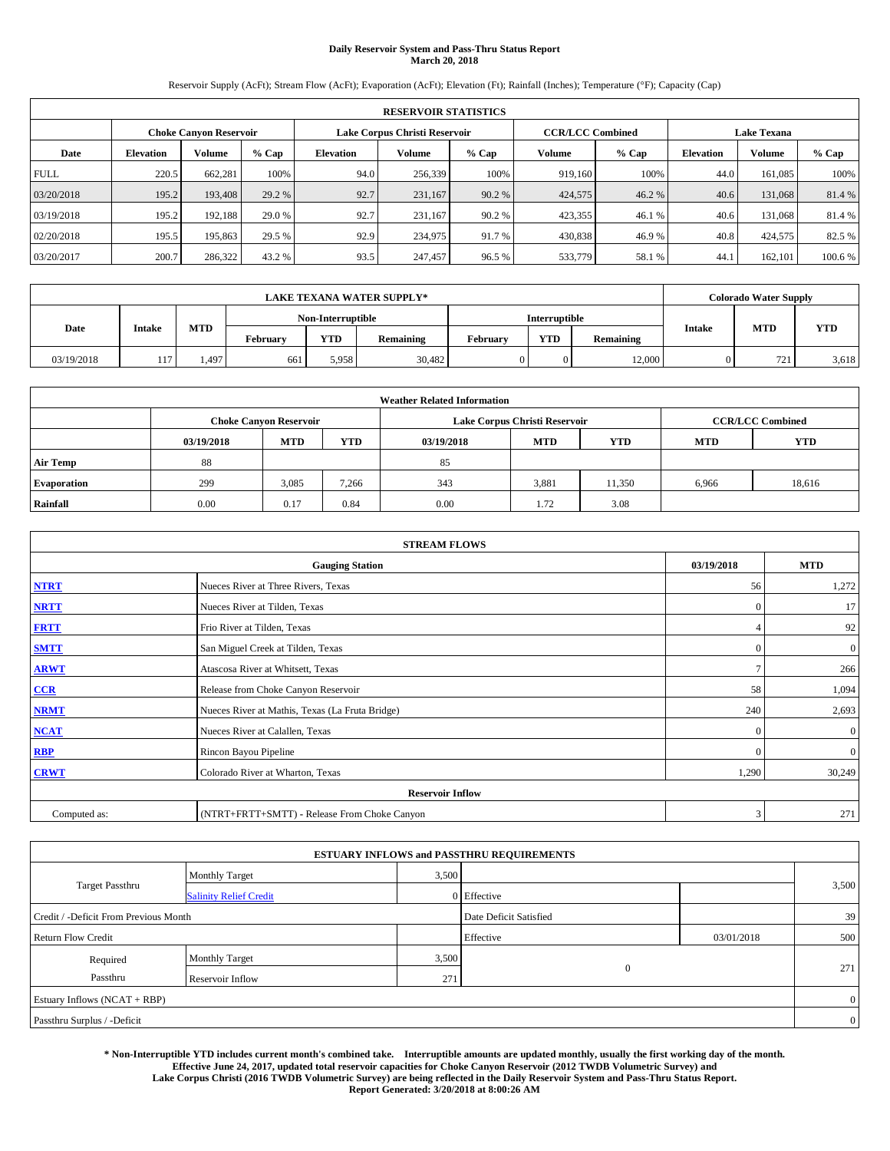# **Daily Reservoir System and Pass-Thru Status Report March 20, 2018**

Reservoir Supply (AcFt); Stream Flow (AcFt); Evaporation (AcFt); Elevation (Ft); Rainfall (Inches); Temperature (°F); Capacity (Cap)

|                                                                | <b>RESERVOIR STATISTICS</b> |         |         |           |         |         |                         |         |                  |                    |         |
|----------------------------------------------------------------|-----------------------------|---------|---------|-----------|---------|---------|-------------------------|---------|------------------|--------------------|---------|
| Lake Corpus Christi Reservoir<br><b>Choke Canyon Reservoir</b> |                             |         |         |           |         |         | <b>CCR/LCC Combined</b> |         |                  | <b>Lake Texana</b> |         |
| Date                                                           | <b>Elevation</b>            | Volume  | $%$ Cap | Elevation | Volume  | $%$ Cap | Volume                  | $%$ Cap | <b>Elevation</b> | <b>Volume</b>      | % Cap   |
| <b>FULL</b>                                                    | 220.5                       | 662,281 | 100%    | 94.0      | 256,339 | 100%    | 919.160                 | 100%    | 44.0             | 161.085            | 100%    |
| 03/20/2018                                                     | 195.2                       | 193,408 | 29.2 %  | 92.7      | 231,167 | 90.2 %  | 424,575                 | 46.2 %  | 40.6             | 131,068            | 81.4 %  |
| 03/19/2018                                                     | 195.2                       | 192,188 | 29.0 %  | 92.7      | 231.167 | 90.2 %  | 423,355                 | 46.1 %  | 40.6             | 131.068            | 81.4 %  |
| 02/20/2018                                                     | 195.5                       | 195,863 | 29.5 %  | 92.9      | 234,975 | 91.7 %  | 430,838                 | 46.9%   | 40.8             | 424,575            | 82.5 %  |
| 03/20/2017                                                     | 200.7                       | 286,322 | 43.2 %  | 93.5      | 247,457 | 96.5 %  | 533,779                 | 58.1 %  | 44.              | 162,101            | 100.6 % |

|            |               |            |          |                   | <b>LAKE TEXANA WATER SUPPLY*</b> |          |                      |           |               | <b>Colorado Water Supply</b> |            |
|------------|---------------|------------|----------|-------------------|----------------------------------|----------|----------------------|-----------|---------------|------------------------------|------------|
|            |               |            |          | Non-Interruptible |                                  |          | <b>Interruptible</b> |           |               |                              |            |
| Date       | <b>Intake</b> | <b>MTD</b> | Februarv | YTD               | Remaining                        | Februarv | <b>YTD</b>           | Remaining | <b>Intake</b> | <b>MTD</b>                   | <b>YTD</b> |
| 03/19/2018 | 117           | . 497      | 661      | 5.958             | 30,482                           |          | 0                    | 12.000    |               | 721                          | 3,618      |

|                    | <b>Weather Related Information</b> |                                                                                                |       |      |                               |                         |       |        |  |  |  |  |
|--------------------|------------------------------------|------------------------------------------------------------------------------------------------|-------|------|-------------------------------|-------------------------|-------|--------|--|--|--|--|
|                    |                                    | <b>Choke Canyon Reservoir</b>                                                                  |       |      | Lake Corpus Christi Reservoir | <b>CCR/LCC Combined</b> |       |        |  |  |  |  |
|                    | 03/19/2018                         | <b>YTD</b><br><b>YTD</b><br><b>MTD</b><br><b>MTD</b><br><b>YTD</b><br><b>MTD</b><br>03/19/2018 |       |      |                               |                         |       |        |  |  |  |  |
| <b>Air Temp</b>    | 88                                 |                                                                                                |       | 85   |                               |                         |       |        |  |  |  |  |
| <b>Evaporation</b> | 299                                | 3,085                                                                                          | 7,266 | 343  | 3,881                         | 11,350                  | 6,966 | 18,616 |  |  |  |  |
| Rainfall           | 0.00                               | 0.17                                                                                           | 0.84  | 0.00 | 1.72                          | 3.08                    |       |        |  |  |  |  |

| <b>STREAM FLOWS</b> |                                                 |                |                  |  |  |  |  |  |
|---------------------|-------------------------------------------------|----------------|------------------|--|--|--|--|--|
|                     | <b>Gauging Station</b>                          | 03/19/2018     | <b>MTD</b>       |  |  |  |  |  |
| <b>NTRT</b>         | Nueces River at Three Rivers, Texas             | 56             | 1,272            |  |  |  |  |  |
| <b>NRTT</b>         | Nueces River at Tilden, Texas                   | $\overline{0}$ | 17               |  |  |  |  |  |
| <b>FRTT</b>         | Frio River at Tilden, Texas                     |                | 92               |  |  |  |  |  |
| <b>SMTT</b>         | San Miguel Creek at Tilden, Texas               | $\mathbf{0}$   | $\boldsymbol{0}$ |  |  |  |  |  |
| <b>ARWT</b>         | Atascosa River at Whitsett, Texas               | $\mathcal{I}$  | 266              |  |  |  |  |  |
| $CCR$               | Release from Choke Canyon Reservoir             | 58             | 1,094            |  |  |  |  |  |
| <b>NRMT</b>         | Nueces River at Mathis, Texas (La Fruta Bridge) | 240            | 2,693            |  |  |  |  |  |
| <b>NCAT</b>         | Nueces River at Calallen, Texas                 | $\Omega$       | $\boldsymbol{0}$ |  |  |  |  |  |
| RBP                 | Rincon Bayou Pipeline                           | $\Omega$       | $\mathbf{0}$     |  |  |  |  |  |
| <b>CRWT</b>         | Colorado River at Wharton, Texas                | 1,290          | 30,249           |  |  |  |  |  |
|                     | <b>Reservoir Inflow</b>                         |                |                  |  |  |  |  |  |
| Computed as:        | (NTRT+FRTT+SMTT) - Release From Choke Canyon    | 3              | 271              |  |  |  |  |  |

|                                       |                               |       | <b>ESTUARY INFLOWS and PASSTHRU REQUIREMENTS</b> |            |                |  |
|---------------------------------------|-------------------------------|-------|--------------------------------------------------|------------|----------------|--|
|                                       | <b>Monthly Target</b>         | 3,500 |                                                  |            |                |  |
| Target Passthru                       | <b>Salinity Relief Credit</b> |       | 0 Effective                                      |            | 3,500          |  |
| Credit / -Deficit From Previous Month |                               |       | Date Deficit Satisfied                           |            | 39             |  |
| <b>Return Flow Credit</b>             |                               |       | Effective                                        | 03/01/2018 | 500            |  |
| Required                              | Monthly Target                | 3,500 |                                                  |            |                |  |
| Passthru                              | Reservoir Inflow              | 271   | $\mathbf{0}$                                     |            | 271            |  |
| Estuary Inflows (NCAT + RBP)          |                               |       |                                                  |            | $\overline{0}$ |  |
| Passthru Surplus / -Deficit           |                               |       |                                                  |            | $\overline{0}$ |  |

**\* Non-Interruptible YTD includes current month's combined take. Interruptible amounts are updated monthly, usually the first working day of the month. Effective June 24, 2017, updated total reservoir capacities for Choke Canyon Reservoir (2012 TWDB Volumetric Survey) and Lake Corpus Christi (2016 TWDB Volumetric Survey) are being reflected in the Daily Reservoir System and Pass-Thru Status Report. Report Generated: 3/20/2018 at 8:00:26 AM**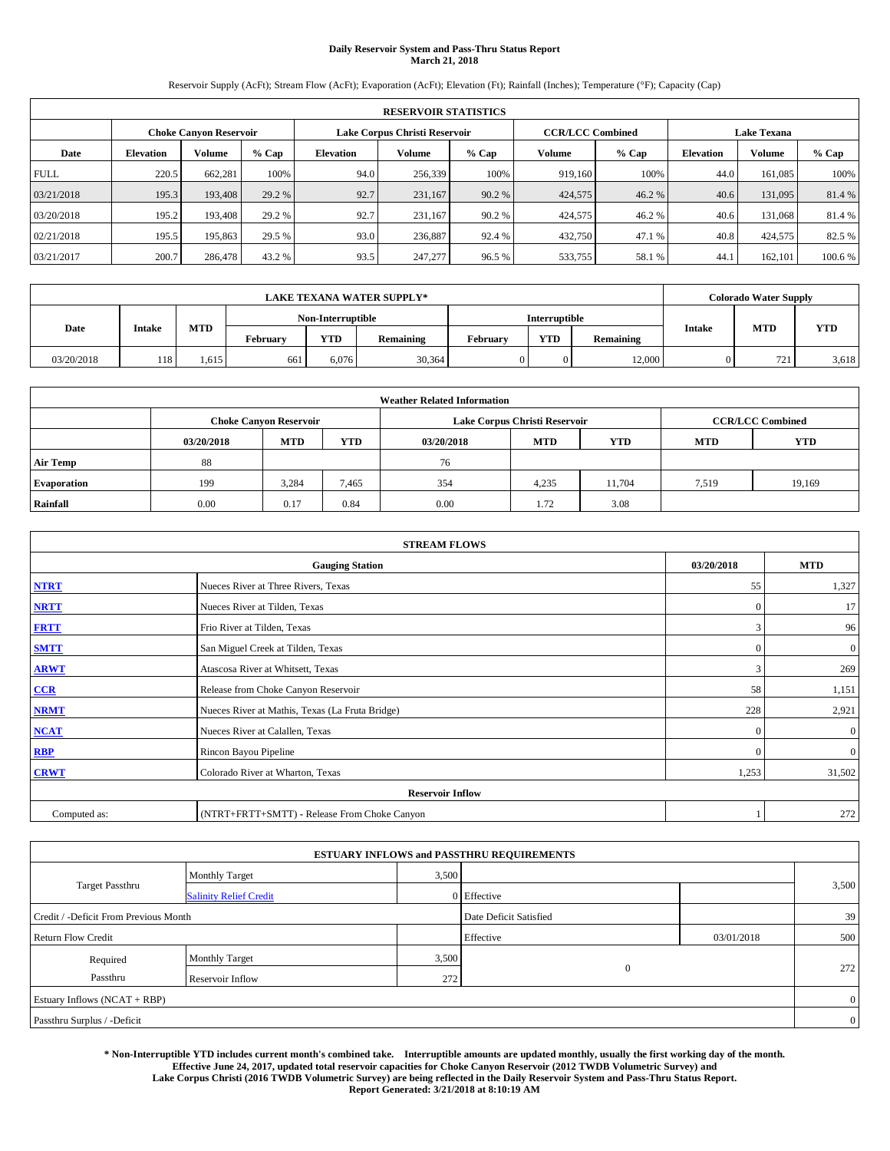# **Daily Reservoir System and Pass-Thru Status Report March 21, 2018**

Reservoir Supply (AcFt); Stream Flow (AcFt); Evaporation (AcFt); Elevation (Ft); Rainfall (Inches); Temperature (°F); Capacity (Cap)

|             | <b>RESERVOIR STATISTICS</b>                             |         |         |                  |         |         |                         |         |                    |               |         |  |  |
|-------------|---------------------------------------------------------|---------|---------|------------------|---------|---------|-------------------------|---------|--------------------|---------------|---------|--|--|
|             | Lake Corpus Christi Reservoir<br>Choke Canvon Reservoir |         |         |                  |         |         | <b>CCR/LCC Combined</b> |         | <b>Lake Texana</b> |               |         |  |  |
| Date        | <b>Elevation</b>                                        | Volume  | $%$ Cap | <b>Elevation</b> | Volume  | $%$ Cap | Volume                  | $%$ Cap | <b>Elevation</b>   | <b>Volume</b> | % Cap   |  |  |
| <b>FULL</b> | 220.5                                                   | 662,281 | 100%    | 94.0             | 256,339 | 100%    | 919.160                 | 100%    | 44.0               | 161.085       | 100%    |  |  |
| 03/21/2018  | 195.3                                                   | 193,408 | 29.2 %  | 92.7             | 231,167 | 90.2 %  | 424,575                 | 46.2%   | 40.6               | 131,095       | 81.4 %  |  |  |
| 03/20/2018  | 195.2                                                   | 193.408 | 29.2 %  | 92.7             | 231.167 | 90.2 %  | 424,575                 | 46.2%   | 40.6               | 131.068       | 81.4 %  |  |  |
| 02/21/2018  | 195.5                                                   | 195,863 | 29.5 %  | 93.0             | 236,887 | 92.4 %  | 432,750                 | 47.1 %  | 40.8               | 424,575       | 82.5 %  |  |  |
| 03/21/2017  | 200.7                                                   | 286,478 | 43.2 %  | 93.5             | 247,277 | 96.5 %  | 533,755                 | 58.1 %  | 44.                | 162,101       | 100.6 % |  |  |

|            | <b>LAKE TEXANA WATER SUPPLY*</b> |       |          |                   |           |          |                      |           |               | <b>Colorado Water Supply</b> |            |
|------------|----------------------------------|-------|----------|-------------------|-----------|----------|----------------------|-----------|---------------|------------------------------|------------|
|            |                                  |       |          | Non-Interruptible |           |          | <b>Interruptible</b> |           |               |                              |            |
| Date       | Intake                           | MTD   | Februarv | <b>YTD</b>        | Remaining | Februarv | <b>YTD</b>           | Remaining | <b>Intake</b> | MTD                          | <b>YTD</b> |
| 03/20/2018 | 118 <sup>1</sup>                 | 1.615 | 661      | 6,076             | 30,364    |          |                      | 12,000    |               | 721                          | 3,618      |

|                    | <b>Weather Related Information</b> |                                                                                                |       |      |                               |                         |       |        |  |  |  |  |
|--------------------|------------------------------------|------------------------------------------------------------------------------------------------|-------|------|-------------------------------|-------------------------|-------|--------|--|--|--|--|
|                    |                                    | <b>Choke Canyon Reservoir</b>                                                                  |       |      | Lake Corpus Christi Reservoir | <b>CCR/LCC Combined</b> |       |        |  |  |  |  |
|                    | 03/20/2018                         | <b>YTD</b><br><b>YTD</b><br><b>MTD</b><br><b>MTD</b><br><b>YTD</b><br><b>MTD</b><br>03/20/2018 |       |      |                               |                         |       |        |  |  |  |  |
| <b>Air Temp</b>    | 88                                 |                                                                                                |       | 76   |                               |                         |       |        |  |  |  |  |
| <b>Evaporation</b> | 199                                | 3.284                                                                                          | 7,465 | 354  | 4,235                         | 11.704                  | 7,519 | 19,169 |  |  |  |  |
| Rainfall           | 0.00                               | 0.17                                                                                           | 0.84  | 0.00 | 1.72                          | 3.08                    |       |        |  |  |  |  |

| <b>STREAM FLOWS</b> |                                                 |                |                  |  |  |  |  |  |
|---------------------|-------------------------------------------------|----------------|------------------|--|--|--|--|--|
|                     | <b>Gauging Station</b>                          | 03/20/2018     | <b>MTD</b>       |  |  |  |  |  |
| <b>NTRT</b>         | Nueces River at Three Rivers, Texas             | 55             | 1,327            |  |  |  |  |  |
| <b>NRTT</b>         | Nueces River at Tilden, Texas                   | $\overline{0}$ | 17               |  |  |  |  |  |
| <b>FRTT</b>         | Frio River at Tilden, Texas                     | 3              | 96               |  |  |  |  |  |
| <b>SMTT</b>         | San Miguel Creek at Tilden, Texas               | $\mathbf{0}$   | $\boldsymbol{0}$ |  |  |  |  |  |
| <b>ARWT</b>         | Atascosa River at Whitsett, Texas               | 3              | 269              |  |  |  |  |  |
| $CCR$               | Release from Choke Canyon Reservoir             | 58             | 1,151            |  |  |  |  |  |
| <b>NRMT</b>         | Nueces River at Mathis, Texas (La Fruta Bridge) | 228            | 2,921            |  |  |  |  |  |
| <b>NCAT</b>         | Nueces River at Calallen, Texas                 | $\Omega$       | $\boldsymbol{0}$ |  |  |  |  |  |
| RBP                 | Rincon Bayou Pipeline                           | $\Omega$       | $\mathbf{0}$     |  |  |  |  |  |
| <b>CRWT</b>         | Colorado River at Wharton, Texas                | 1,253          | 31,502           |  |  |  |  |  |
|                     | <b>Reservoir Inflow</b>                         |                |                  |  |  |  |  |  |
| Computed as:        | (NTRT+FRTT+SMTT) - Release From Choke Canyon    |                | 272              |  |  |  |  |  |

|                                       |                               |       | <b>ESTUARY INFLOWS and PASSTHRU REQUIREMENTS</b> |            |                |
|---------------------------------------|-------------------------------|-------|--------------------------------------------------|------------|----------------|
|                                       | <b>Monthly Target</b>         | 3,500 |                                                  |            |                |
| <b>Target Passthru</b>                | <b>Salinity Relief Credit</b> |       | 0 Effective                                      |            | 3,500          |
| Credit / -Deficit From Previous Month |                               |       | Date Deficit Satisfied                           |            | 39             |
| <b>Return Flow Credit</b>             |                               |       | Effective                                        | 03/01/2018 | 500            |
| Required                              | Monthly Target                | 3,500 |                                                  |            |                |
| Passthru                              | Reservoir Inflow              | 272   | $\overline{0}$                                   |            | 272            |
| Estuary Inflows (NCAT + RBP)          |                               |       |                                                  |            | $\overline{0}$ |
| Passthru Surplus / -Deficit           |                               |       |                                                  |            | $\overline{0}$ |

**\* Non-Interruptible YTD includes current month's combined take. Interruptible amounts are updated monthly, usually the first working day of the month. Effective June 24, 2017, updated total reservoir capacities for Choke Canyon Reservoir (2012 TWDB Volumetric Survey) and Lake Corpus Christi (2016 TWDB Volumetric Survey) are being reflected in the Daily Reservoir System and Pass-Thru Status Report. Report Generated: 3/21/2018 at 8:10:19 AM**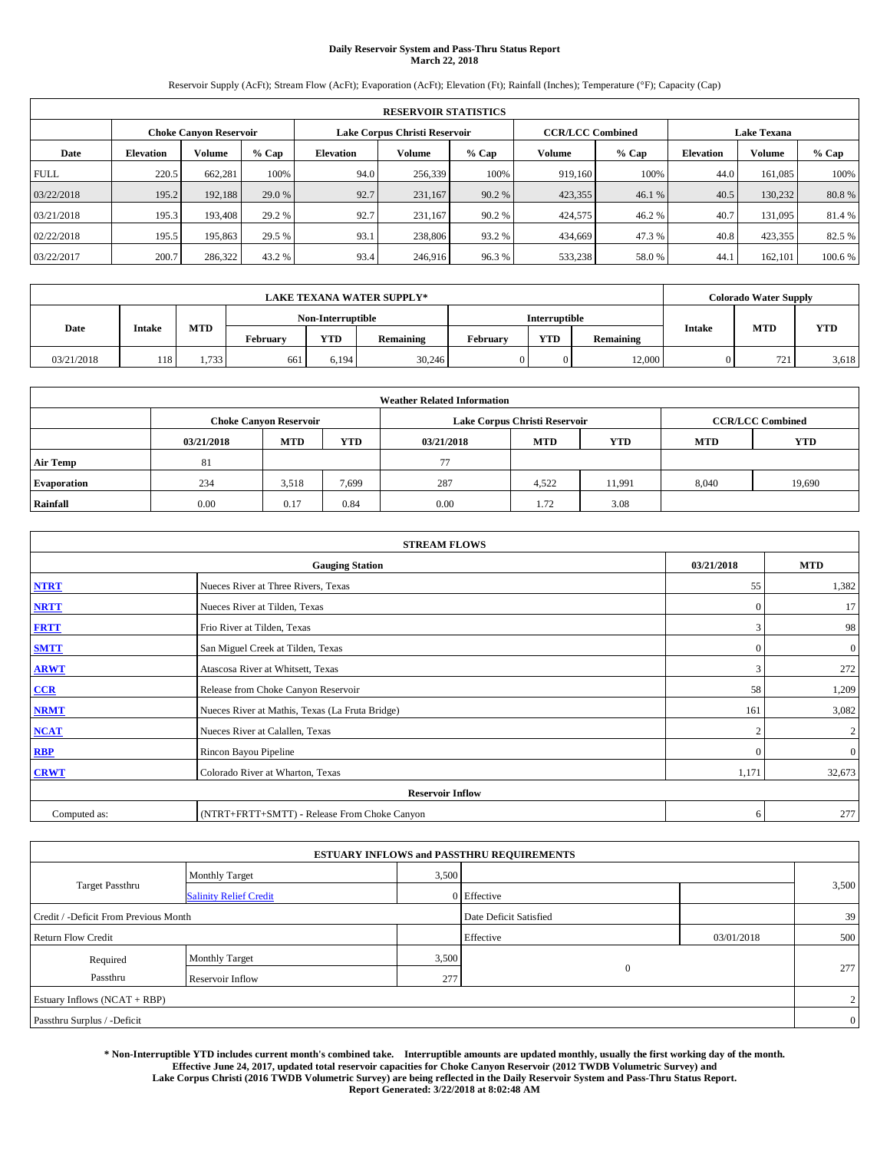# **Daily Reservoir System and Pass-Thru Status Report March 22, 2018**

Reservoir Supply (AcFt); Stream Flow (AcFt); Evaporation (AcFt); Elevation (Ft); Rainfall (Inches); Temperature (°F); Capacity (Cap)

|             | <b>RESERVOIR STATISTICS</b>                             |         |         |                  |         |         |                         |         |                    |               |         |  |  |
|-------------|---------------------------------------------------------|---------|---------|------------------|---------|---------|-------------------------|---------|--------------------|---------------|---------|--|--|
|             | Lake Corpus Christi Reservoir<br>Choke Canvon Reservoir |         |         |                  |         |         | <b>CCR/LCC Combined</b> |         | <b>Lake Texana</b> |               |         |  |  |
| Date        | <b>Elevation</b>                                        | Volume  | $%$ Cap | <b>Elevation</b> | Volume  | $%$ Cap | Volume                  | $%$ Cap | <b>Elevation</b>   | <b>Volume</b> | % Cap   |  |  |
| <b>FULL</b> | 220.5                                                   | 662,281 | 100%    | 94.0             | 256,339 | 100%    | 919.160                 | 100%    | 44.0               | 161.085       | 100%    |  |  |
| 03/22/2018  | 195.2                                                   | 192,188 | 29.0 %  | 92.7             | 231,167 | 90.2 %  | 423,355                 | 46.1 %  | 40.5               | 130.232       | 80.8%   |  |  |
| 03/21/2018  | 195.3                                                   | 193.408 | 29.2 %  | 92.7             | 231.167 | 90.2 %  | 424,575                 | 46.2%   | 40.7               | 131.095       | 81.4 %  |  |  |
| 02/22/2018  | 195.5                                                   | 195,863 | 29.5 %  | 93.1             | 238,806 | 93.2 %  | 434,669                 | 47.3 %  | 40.8               | 423,355       | 82.5 %  |  |  |
| 03/22/2017  | 200.7                                                   | 286,322 | 43.2 %  | 93.4             | 246,916 | 96.3%   | 533,238                 | 58.0%   | 44.                | 162,101       | 100.6 % |  |  |

|            |               |            |                   |       | <b>LAKE TEXANA WATER SUPPLY*</b> |          |                      |           |               | <b>Colorado Water Supply</b> |            |
|------------|---------------|------------|-------------------|-------|----------------------------------|----------|----------------------|-----------|---------------|------------------------------|------------|
|            |               |            | Non-Interruptible |       |                                  |          | <b>Interruptible</b> |           |               |                              |            |
| Date       | <b>Intake</b> | <b>MTD</b> | Februarv          | YTD   | Remaining                        | Februarv | <b>YTD</b>           | Remaining | <b>Intake</b> | <b>MTD</b>                   | <b>YTD</b> |
| 03/21/2018 | 118           | 1.733      | 661               | 6.194 | 30,246                           |          | 0                    | 12.000    |               | 721                          | 3,618      |

|                    | <b>Weather Related Information</b> |                                                                                                |       |      |                               |                         |       |        |  |  |  |  |
|--------------------|------------------------------------|------------------------------------------------------------------------------------------------|-------|------|-------------------------------|-------------------------|-------|--------|--|--|--|--|
|                    |                                    | <b>Choke Canyon Reservoir</b>                                                                  |       |      | Lake Corpus Christi Reservoir | <b>CCR/LCC Combined</b> |       |        |  |  |  |  |
|                    | 03/21/2018                         | <b>YTD</b><br><b>YTD</b><br><b>MTD</b><br><b>MTD</b><br><b>YTD</b><br><b>MTD</b><br>03/21/2018 |       |      |                               |                         |       |        |  |  |  |  |
| <b>Air Temp</b>    | 81                                 |                                                                                                |       | 77   |                               |                         |       |        |  |  |  |  |
| <b>Evaporation</b> | 234                                | 3,518                                                                                          | 7,699 | 287  | 4,522                         | 11.991                  | 8,040 | 19,690 |  |  |  |  |
| Rainfall           | 0.00                               | 0.17                                                                                           | 0.84  | 0.00 | 1.72                          | 3.08                    |       |        |  |  |  |  |

| <b>STREAM FLOWS</b> |                                                 |                             |                |  |  |  |  |  |  |
|---------------------|-------------------------------------------------|-----------------------------|----------------|--|--|--|--|--|--|
|                     | <b>Gauging Station</b>                          |                             |                |  |  |  |  |  |  |
| <b>NTRT</b>         | Nueces River at Three Rivers, Texas             | 55                          | 1,382          |  |  |  |  |  |  |
| <b>NRTT</b>         | Nueces River at Tilden, Texas                   | $\Omega$                    | 17             |  |  |  |  |  |  |
| <b>FRTT</b>         | Frio River at Tilden, Texas                     | 3                           | 98             |  |  |  |  |  |  |
| <b>SMTT</b>         | San Miguel Creek at Tilden, Texas               | $\mathbf{0}$                | $\mathbf{0}$   |  |  |  |  |  |  |
| <b>ARWT</b>         | Atascosa River at Whitsett, Texas               | 3                           | 272            |  |  |  |  |  |  |
| CCR                 | Release from Choke Canyon Reservoir             | 58                          | 1,209          |  |  |  |  |  |  |
| <b>NRMT</b>         | Nueces River at Mathis, Texas (La Fruta Bridge) | 161                         | 3,082          |  |  |  |  |  |  |
| <b>NCAT</b>         | Nueces River at Calallen, Texas                 | $\mathcal{D}_{\mathcal{A}}$ | $\overline{c}$ |  |  |  |  |  |  |
| <b>RBP</b>          | Rincon Bayou Pipeline                           | $\Omega$                    | $\mathbf{0}$   |  |  |  |  |  |  |
| <b>CRWT</b>         | Colorado River at Wharton, Texas                | 1,171                       | 32,673         |  |  |  |  |  |  |
|                     | <b>Reservoir Inflow</b>                         |                             |                |  |  |  |  |  |  |
| Computed as:        | (NTRT+FRTT+SMTT) - Release From Choke Canyon    | 6                           | 277            |  |  |  |  |  |  |

|                                       |                               |       | <b>ESTUARY INFLOWS and PASSTHRU REQUIREMENTS</b> |            |                |
|---------------------------------------|-------------------------------|-------|--------------------------------------------------|------------|----------------|
|                                       | <b>Monthly Target</b>         | 3,500 |                                                  |            |                |
| Target Passthru                       | <b>Salinity Relief Credit</b> |       | 0 Effective                                      |            | 3,500          |
| Credit / -Deficit From Previous Month |                               |       | Date Deficit Satisfied                           |            | 39             |
| <b>Return Flow Credit</b>             |                               |       | Effective                                        | 03/01/2018 | 500            |
| Required                              | <b>Monthly Target</b>         | 3,500 |                                                  |            |                |
| Passthru                              | Reservoir Inflow              | 277   | $\overline{0}$                                   |            | 277            |
| Estuary Inflows (NCAT + RBP)          |                               |       |                                                  |            | $\overline{2}$ |
| Passthru Surplus / -Deficit           |                               |       |                                                  |            | $\overline{0}$ |

**\* Non-Interruptible YTD includes current month's combined take. Interruptible amounts are updated monthly, usually the first working day of the month. Effective June 24, 2017, updated total reservoir capacities for Choke Canyon Reservoir (2012 TWDB Volumetric Survey) and Lake Corpus Christi (2016 TWDB Volumetric Survey) are being reflected in the Daily Reservoir System and Pass-Thru Status Report. Report Generated: 3/22/2018 at 8:02:48 AM**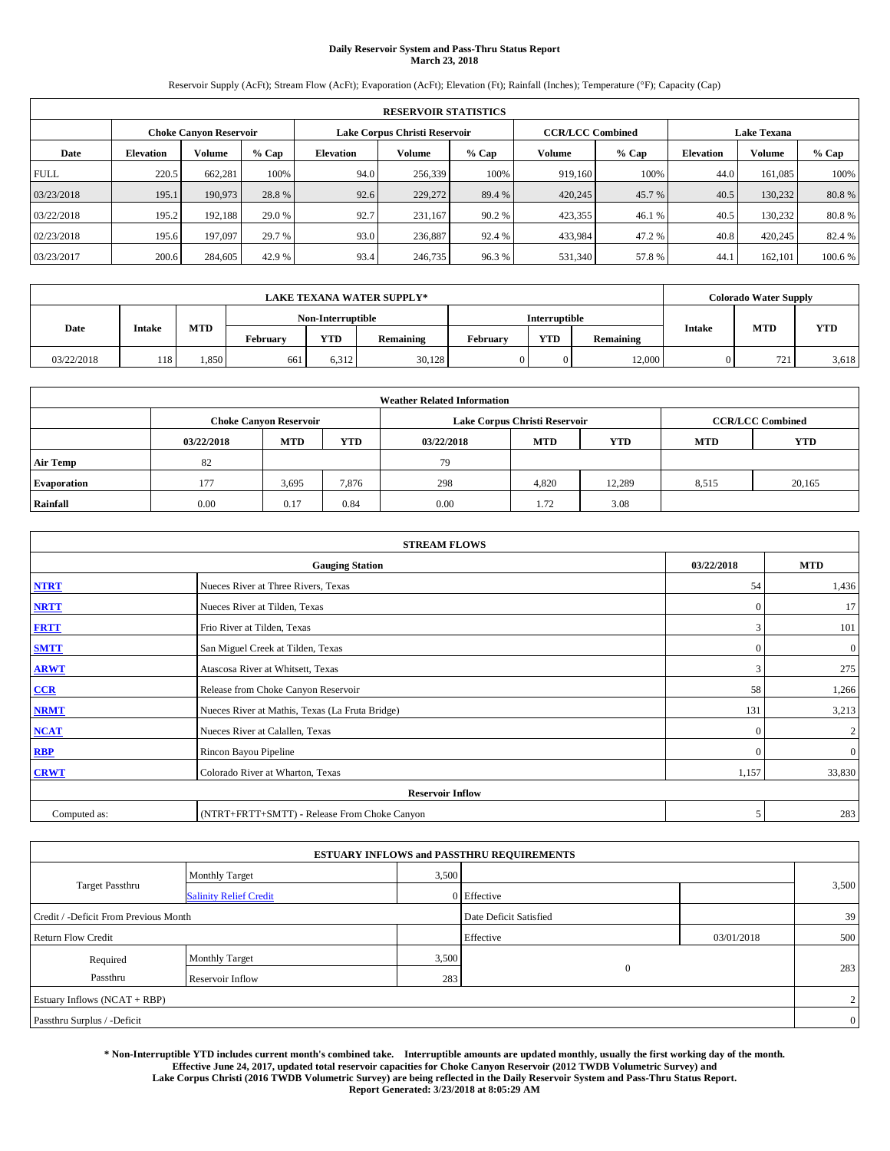# **Daily Reservoir System and Pass-Thru Status Report March 23, 2018**

Reservoir Supply (AcFt); Stream Flow (AcFt); Evaporation (AcFt); Elevation (Ft); Rainfall (Inches); Temperature (°F); Capacity (Cap)

|             | <b>RESERVOIR STATISTICS</b> |                               |         |           |                               |         |                         |         |                  |                    |        |  |
|-------------|-----------------------------|-------------------------------|---------|-----------|-------------------------------|---------|-------------------------|---------|------------------|--------------------|--------|--|
|             |                             | <b>Choke Canyon Reservoir</b> |         |           | Lake Corpus Christi Reservoir |         | <b>CCR/LCC Combined</b> |         |                  | <b>Lake Texana</b> |        |  |
| Date        | <b>Elevation</b>            | Volume                        | $%$ Cap | Elevation | Volume                        | $%$ Cap | Volume                  | $%$ Cap | <b>Elevation</b> | <b>Volume</b>      | % Cap  |  |
| <b>FULL</b> | 220.5                       | 662,281                       | 100%    | 94.0      | 256,339                       | 100%    | 919.160                 | 100%    | 44.0             | 161.085            | 100%   |  |
| 03/23/2018  | 195.1                       | 190,973                       | 28.8%   | 92.6      | 229,272                       | 89.4 %  | 420,245                 | 45.7 %  | 40.5             | 130.232            | 80.8%  |  |
| 03/22/2018  | 195.2                       | 192,188                       | 29.0 %  | 92.7      | 231.167                       | 90.2 %  | 423,355                 | 46.1 %  | 40.5             | 130.232            | 80.8%  |  |
| 02/23/2018  | 195.6                       | 197,097                       | 29.7 %  | 93.0      | 236,887                       | 92.4 %  | 433,984                 | 47.2%   | 40.8             | 420,245            | 82.4 % |  |
| 03/23/2017  | 200.6                       | 284,605                       | 42.9 %  | 93.4      | 246,735                       | 96.3%   | 531,340                 | 57.8%   | 44.              | 162,101            | 100.6% |  |

| <b>LAKE TEXANA WATER SUPPLY*</b> |               |            |                   |       |           |                      | <b>Colorado Water Supply</b> |           |               |            |            |
|----------------------------------|---------------|------------|-------------------|-------|-----------|----------------------|------------------------------|-----------|---------------|------------|------------|
|                                  |               |            | Non-Interruptible |       |           | <b>Interruptible</b> |                              |           |               |            |            |
| Date                             | <b>Intake</b> | <b>MTD</b> | Februarv          | YTD   | Remaining | Februarv             | <b>YTD</b>                   | Remaining | <b>Intake</b> | <b>MTD</b> | <b>YTD</b> |
| 03/22/2018                       | 118           | 1,850      | 661               | 6,312 | 30,128    |                      | 0                            | 12.000    |               | 721        | 3,618      |

| <b>Weather Related Information</b> |            |                               |            |            |                               |                         |            |            |  |  |
|------------------------------------|------------|-------------------------------|------------|------------|-------------------------------|-------------------------|------------|------------|--|--|
|                                    |            | <b>Choke Canyon Reservoir</b> |            |            | Lake Corpus Christi Reservoir | <b>CCR/LCC Combined</b> |            |            |  |  |
|                                    | 03/22/2018 | <b>MTD</b>                    | <b>YTD</b> | 03/22/2018 | <b>MTD</b>                    | <b>YTD</b>              | <b>MTD</b> | <b>YTD</b> |  |  |
| <b>Air Temp</b>                    | 82         |                               |            | 79         |                               |                         |            |            |  |  |
| <b>Evaporation</b>                 | 177        | 3,695                         | 7,876      | 298        | 4,820                         | 12.289                  | 8,515      | 20,165     |  |  |
| Rainfall                           | 0.00       | 0.17                          | 0.84       | 0.00       | 1.72                          | 3.08                    |            |            |  |  |

| <b>STREAM FLOWS</b> |                                                 |                |                  |  |  |  |  |  |  |
|---------------------|-------------------------------------------------|----------------|------------------|--|--|--|--|--|--|
|                     | <b>Gauging Station</b>                          | 03/22/2018     | <b>MTD</b>       |  |  |  |  |  |  |
| <b>NTRT</b>         | Nueces River at Three Rivers, Texas             | 54             | 1,436            |  |  |  |  |  |  |
| <b>NRTT</b>         | Nueces River at Tilden, Texas                   | $\overline{0}$ | 17               |  |  |  |  |  |  |
| <b>FRTT</b>         | Frio River at Tilden, Texas                     | 3              | 101              |  |  |  |  |  |  |
| <b>SMTT</b>         | San Miguel Creek at Tilden, Texas               | $\mathbf{0}$   | $\boldsymbol{0}$ |  |  |  |  |  |  |
| <b>ARWT</b>         | Atascosa River at Whitsett, Texas               | 3              | 275              |  |  |  |  |  |  |
| $CCR$               | Release from Choke Canyon Reservoir             | 58             | 1,266            |  |  |  |  |  |  |
| <b>NRMT</b>         | Nueces River at Mathis, Texas (La Fruta Bridge) | 131            | 3,213            |  |  |  |  |  |  |
| <b>NCAT</b>         | Nueces River at Calallen, Texas                 | $\Omega$       | $\mathbf{2}$     |  |  |  |  |  |  |
| RBP                 | Rincon Bayou Pipeline                           | $\Omega$       | $\mathbf{0}$     |  |  |  |  |  |  |
| <b>CRWT</b>         | Colorado River at Wharton, Texas                | 1,157          | 33,830           |  |  |  |  |  |  |
|                     | <b>Reservoir Inflow</b>                         |                |                  |  |  |  |  |  |  |
| Computed as:        | (NTRT+FRTT+SMTT) - Release From Choke Canyon    | 5              | 283              |  |  |  |  |  |  |

| <b>ESTUARY INFLOWS and PASSTHRU REQUIREMENTS</b> |                               |                        |                |            |                |  |  |  |  |  |
|--------------------------------------------------|-------------------------------|------------------------|----------------|------------|----------------|--|--|--|--|--|
|                                                  | <b>Monthly Target</b>         | 3,500                  |                |            |                |  |  |  |  |  |
| <b>Target Passthru</b>                           | <b>Salinity Relief Credit</b> |                        | 0 Effective    |            | 3,500          |  |  |  |  |  |
| Credit / -Deficit From Previous Month            |                               | Date Deficit Satisfied |                | 39         |                |  |  |  |  |  |
| <b>Return Flow Credit</b>                        |                               |                        | Effective      | 03/01/2018 | 500            |  |  |  |  |  |
| Required                                         | Monthly Target                | 3,500                  |                |            |                |  |  |  |  |  |
| Passthru                                         | Reservoir Inflow              | 283                    | $\overline{0}$ |            | 283            |  |  |  |  |  |
| Estuary Inflows (NCAT + RBP)                     |                               |                        |                |            |                |  |  |  |  |  |
| Passthru Surplus / -Deficit                      |                               |                        |                |            | $\overline{0}$ |  |  |  |  |  |

**\* Non-Interruptible YTD includes current month's combined take. Interruptible amounts are updated monthly, usually the first working day of the month. Effective June 24, 2017, updated total reservoir capacities for Choke Canyon Reservoir (2012 TWDB Volumetric Survey) and Lake Corpus Christi (2016 TWDB Volumetric Survey) are being reflected in the Daily Reservoir System and Pass-Thru Status Report. Report Generated: 3/23/2018 at 8:05:29 AM**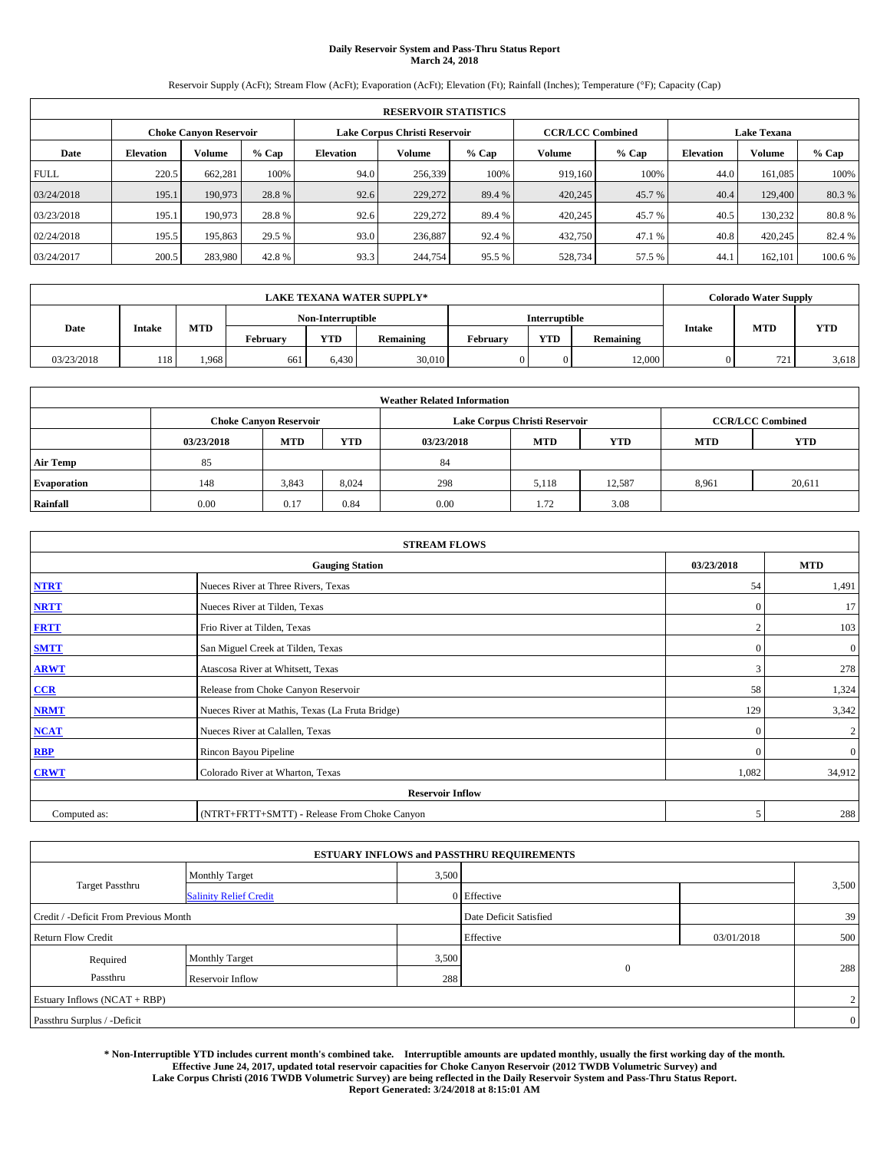# **Daily Reservoir System and Pass-Thru Status Report March 24, 2018**

Reservoir Supply (AcFt); Stream Flow (AcFt); Evaporation (AcFt); Elevation (Ft); Rainfall (Inches); Temperature (°F); Capacity (Cap)

|             | <b>RESERVOIR STATISTICS</b> |                               |         |           |                               |         |                         |         |                  |                    |        |  |
|-------------|-----------------------------|-------------------------------|---------|-----------|-------------------------------|---------|-------------------------|---------|------------------|--------------------|--------|--|
|             |                             | <b>Choke Canyon Reservoir</b> |         |           | Lake Corpus Christi Reservoir |         | <b>CCR/LCC Combined</b> |         |                  | <b>Lake Texana</b> |        |  |
| Date        | <b>Elevation</b>            | Volume                        | $%$ Cap | Elevation | Volume                        | $%$ Cap | Volume                  | $%$ Cap | <b>Elevation</b> | <b>Volume</b>      | % Cap  |  |
| <b>FULL</b> | 220.5                       | 662,281                       | 100%    | 94.0      | 256,339                       | 100%    | 919.160                 | 100%    | 44.0             | 161.085            | 100%   |  |
| 03/24/2018  | 195.1                       | 190,973                       | 28.8%   | 92.6      | 229,272                       | 89.4 %  | 420,245                 | 45.7 %  | 40.4             | 129,400            | 80.3%  |  |
| 03/23/2018  | 195.1                       | 190,973                       | 28.8%   | 92.6      | 229,272                       | 89.4 %  | 420,245                 | 45.7 %  | 40.5             | 130.232            | 80.8%  |  |
| 02/24/2018  | 195.5                       | 195,863                       | 29.5 %  | 93.0      | 236,887                       | 92.4 %  | 432,750                 | 47.1 %  | 40.8             | 420,245            | 82.4 % |  |
| 03/24/2017  | 200.5                       | 283,980                       | 42.8%   | 93.3      | 244,754                       | 95.5 %  | 528,734                 | 57.5 %  | 44.              | 162,101            | 100.6% |  |

| <b>LAKE TEXANA WATER SUPPLY*</b> |                  |      |                   |            |           |                      | <b>Colorado Water Supply</b> |           |               |     |            |
|----------------------------------|------------------|------|-------------------|------------|-----------|----------------------|------------------------------|-----------|---------------|-----|------------|
|                                  |                  |      | Non-Interruptible |            |           | <b>Interruptible</b> |                              |           |               |     |            |
| Date                             | Intake           | MTD  | Februarv          | <b>YTD</b> | Remaining | Februarv             | <b>YTD</b>                   | Remaining | <b>Intake</b> | MTD | <b>YTD</b> |
| 03/23/2018                       | 118 <sup>1</sup> | .968 | 661               | 6.430      | 30,010    |                      |                              | 12,000    |               | 721 | 3,618      |

| <b>Weather Related Information</b> |            |                               |            |            |                               |                         |            |            |  |  |
|------------------------------------|------------|-------------------------------|------------|------------|-------------------------------|-------------------------|------------|------------|--|--|
|                                    |            | <b>Choke Canyon Reservoir</b> |            |            | Lake Corpus Christi Reservoir | <b>CCR/LCC Combined</b> |            |            |  |  |
|                                    | 03/23/2018 | <b>MTD</b>                    | <b>YTD</b> | 03/23/2018 | <b>MTD</b>                    | <b>YTD</b>              | <b>MTD</b> | <b>YTD</b> |  |  |
| <b>Air Temp</b>                    | 85         |                               |            | 84         |                               |                         |            |            |  |  |
| <b>Evaporation</b>                 | 148        | 3,843                         | 8,024      | 298        | 5,118                         | 12.587                  | 8,961      | 20,611     |  |  |
| Rainfall                           | 0.00       | 0.17                          | 0.84       | 0.00       | 1.72                          | 3.08                    |            |            |  |  |

| <b>STREAM FLOWS</b> |                                                 |              |                |  |  |  |  |  |  |
|---------------------|-------------------------------------------------|--------------|----------------|--|--|--|--|--|--|
|                     | <b>Gauging Station</b>                          |              |                |  |  |  |  |  |  |
| <b>NTRT</b>         | Nueces River at Three Rivers, Texas             | 54           | 1,491          |  |  |  |  |  |  |
| <b>NRTT</b>         | Nueces River at Tilden, Texas                   | $\Omega$     | 17             |  |  |  |  |  |  |
| <b>FRTT</b>         | Frio River at Tilden, Texas                     |              | 103            |  |  |  |  |  |  |
| <b>SMTT</b>         | San Miguel Creek at Tilden, Texas               | $\mathbf{0}$ | $\mathbf{0}$   |  |  |  |  |  |  |
| <b>ARWT</b>         | Atascosa River at Whitsett, Texas               | 3            | 278            |  |  |  |  |  |  |
| $CCR$               | Release from Choke Canyon Reservoir             | 58           | 1,324          |  |  |  |  |  |  |
| <b>NRMT</b>         | Nueces River at Mathis, Texas (La Fruta Bridge) | 129          | 3,342          |  |  |  |  |  |  |
| <b>NCAT</b>         | Nueces River at Calallen, Texas                 | $\Omega$     | $\overline{c}$ |  |  |  |  |  |  |
| RBP                 | Rincon Bayou Pipeline                           | $\Omega$     | $\mathbf{0}$   |  |  |  |  |  |  |
| <b>CRWT</b>         | Colorado River at Wharton, Texas                | 1,082        | 34,912         |  |  |  |  |  |  |
|                     | <b>Reservoir Inflow</b>                         |              |                |  |  |  |  |  |  |
| Computed as:        | (NTRT+FRTT+SMTT) - Release From Choke Canyon    | 5            | 288            |  |  |  |  |  |  |

| <b>ESTUARY INFLOWS and PASSTHRU REQUIREMENTS</b> |                               |                        |                |            |                |  |  |  |  |  |
|--------------------------------------------------|-------------------------------|------------------------|----------------|------------|----------------|--|--|--|--|--|
|                                                  | <b>Monthly Target</b>         | 3,500                  |                |            |                |  |  |  |  |  |
| <b>Target Passthru</b>                           | <b>Salinity Relief Credit</b> |                        | 0 Effective    |            | 3,500          |  |  |  |  |  |
| Credit / -Deficit From Previous Month            |                               | Date Deficit Satisfied |                | 39         |                |  |  |  |  |  |
| <b>Return Flow Credit</b>                        |                               |                        | Effective      | 03/01/2018 | 500            |  |  |  |  |  |
| Required                                         | Monthly Target                | 3,500                  |                |            |                |  |  |  |  |  |
| Passthru                                         | Reservoir Inflow              | 288                    | $\overline{0}$ |            | 288            |  |  |  |  |  |
| Estuary Inflows (NCAT + RBP)                     |                               |                        |                |            |                |  |  |  |  |  |
| Passthru Surplus / -Deficit                      |                               |                        |                |            | $\overline{0}$ |  |  |  |  |  |

**\* Non-Interruptible YTD includes current month's combined take. Interruptible amounts are updated monthly, usually the first working day of the month. Effective June 24, 2017, updated total reservoir capacities for Choke Canyon Reservoir (2012 TWDB Volumetric Survey) and Lake Corpus Christi (2016 TWDB Volumetric Survey) are being reflected in the Daily Reservoir System and Pass-Thru Status Report. Report Generated: 3/24/2018 at 8:15:01 AM**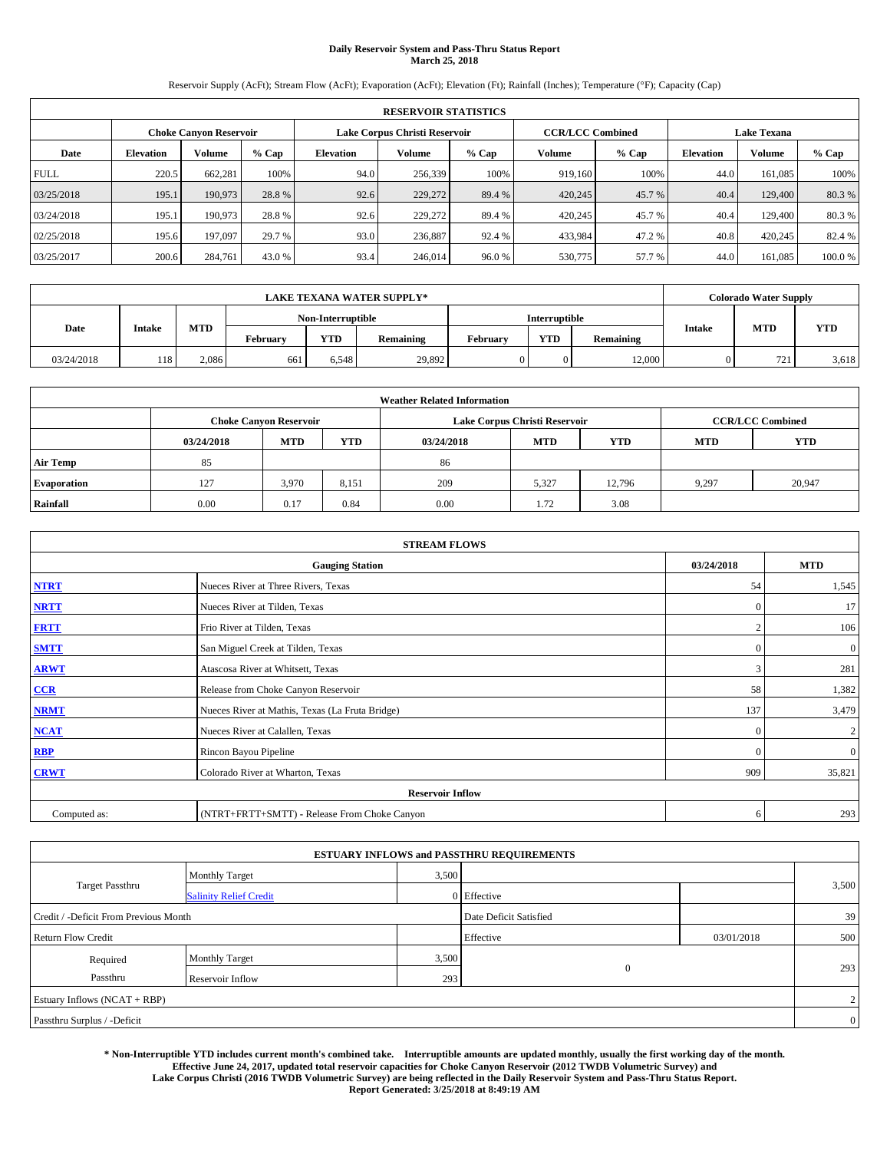# **Daily Reservoir System and Pass-Thru Status Report March 25, 2018**

Reservoir Supply (AcFt); Stream Flow (AcFt); Evaporation (AcFt); Elevation (Ft); Rainfall (Inches); Temperature (°F); Capacity (Cap)

|             | <b>RESERVOIR STATISTICS</b> |         |         |                  |                               |         |                         |         |                    |               |        |
|-------------|-----------------------------|---------|---------|------------------|-------------------------------|---------|-------------------------|---------|--------------------|---------------|--------|
|             | Choke Canvon Reservoir      |         |         |                  | Lake Corpus Christi Reservoir |         | <b>CCR/LCC Combined</b> |         | <b>Lake Texana</b> |               |        |
| Date        | <b>Elevation</b>            | Volume  | $%$ Cap | <b>Elevation</b> | Volume                        | $%$ Cap | <b>Volume</b>           | $%$ Cap | <b>Elevation</b>   | <b>Volume</b> | % Cap  |
| <b>FULL</b> | 220.5                       | 662,281 | 100%    | 94.0             | 256,339                       | 100%    | 919.160                 | 100%    | 44.0               | 161.085       | 100%   |
| 03/25/2018  | 195.1                       | 190,973 | 28.8%   | 92.6             | 229,272                       | 89.4 %  | 420,245                 | 45.7 %  | 40.4               | 129,400       | 80.3%  |
| 03/24/2018  | 195.1                       | 190,973 | 28.8%   | 92.6             | 229,272                       | 89.4 %  | 420,245                 | 45.7 %  | 40.4               | 129,400       | 80.3%  |
| 02/25/2018  | 195.6                       | 197,097 | 29.7 %  | 93.0             | 236,887                       | 92.4 %  | 433,984                 | 47.2 %  | 40.8               | 420,245       | 82.4 % |
| 03/25/2017  | 200.6                       | 284,761 | 43.0 %  | 93.4             | 246,014                       | 96.0%   | 530,775                 | 57.7 %  | 44.0               | 161.085       | 100.0% |

|            | <b>LAKE TEXANA WATER SUPPLY*</b> |       |          |                   |           |          |                      |           |               | <b>Colorado Water Supply</b> |            |  |
|------------|----------------------------------|-------|----------|-------------------|-----------|----------|----------------------|-----------|---------------|------------------------------|------------|--|
|            |                                  |       |          | Non-Interruptible |           |          | <b>Interruptible</b> |           |               |                              |            |  |
| Date       | Intake                           | MTD   | Februarv | <b>YTD</b>        | Remaining | Februarv | <b>YTD</b>           | Remaining | <b>Intake</b> | MTD                          | <b>YTD</b> |  |
| 03/24/2018 | 118 <sup>1</sup>                 | 2.086 | 661      | 6.548             | 29,892    |          |                      | 12,000    |               | 721                          | 3,618      |  |

| <b>Weather Related Information</b> |            |                               |            |            |                               |                         |                          |        |  |  |
|------------------------------------|------------|-------------------------------|------------|------------|-------------------------------|-------------------------|--------------------------|--------|--|--|
|                                    |            | <b>Choke Canyon Reservoir</b> |            |            | Lake Corpus Christi Reservoir | <b>CCR/LCC Combined</b> |                          |        |  |  |
|                                    | 03/24/2018 | <b>MTD</b>                    | <b>YTD</b> | 03/24/2018 | <b>MTD</b>                    | <b>YTD</b>              | <b>YTD</b><br><b>MTD</b> |        |  |  |
| <b>Air Temp</b>                    | 85         |                               |            | 86         |                               |                         |                          |        |  |  |
| <b>Evaporation</b>                 | 127        | 3,970                         | 8,151      | 209        | 5,327                         | 12,796                  | 9.297                    | 20,947 |  |  |
| Rainfall                           | 0.00       | 0.17                          | 0.84       | 0.00       | 1.72                          | 3.08                    |                          |        |  |  |

| <b>STREAM FLOWS</b> |                                                 |              |                  |  |  |  |  |  |  |
|---------------------|-------------------------------------------------|--------------|------------------|--|--|--|--|--|--|
|                     | <b>Gauging Station</b>                          |              |                  |  |  |  |  |  |  |
| <b>NTRT</b>         | Nueces River at Three Rivers, Texas             | 54           | 1,545            |  |  |  |  |  |  |
| <b>NRTT</b>         | Nueces River at Tilden, Texas                   | $\Omega$     | 17               |  |  |  |  |  |  |
| <b>FRTT</b>         | Frio River at Tilden, Texas                     |              | 106              |  |  |  |  |  |  |
| <b>SMTT</b>         | San Miguel Creek at Tilden, Texas               | $\mathbf{0}$ | $\mathbf{0}$     |  |  |  |  |  |  |
| <b>ARWT</b>         | Atascosa River at Whitsett, Texas               | 3            | 281              |  |  |  |  |  |  |
| $CCR$               | Release from Choke Canyon Reservoir             | 58           | 1,382            |  |  |  |  |  |  |
| <b>NRMT</b>         | Nueces River at Mathis, Texas (La Fruta Bridge) | 137          | 3,479            |  |  |  |  |  |  |
| <b>NCAT</b>         | Nueces River at Calallen, Texas                 | $\Omega$     | $\boldsymbol{2}$ |  |  |  |  |  |  |
| RBP                 | Rincon Bayou Pipeline                           | $\Omega$     | $\mathbf{0}$     |  |  |  |  |  |  |
| <b>CRWT</b>         | Colorado River at Wharton, Texas                | 909          | 35,821           |  |  |  |  |  |  |
|                     | <b>Reservoir Inflow</b>                         |              |                  |  |  |  |  |  |  |
| Computed as:        | (NTRT+FRTT+SMTT) - Release From Choke Canyon    |              |                  |  |  |  |  |  |  |

| <b>ESTUARY INFLOWS and PASSTHRU REQUIREMENTS</b> |                               |                        |                |            |                |  |  |  |  |
|--------------------------------------------------|-------------------------------|------------------------|----------------|------------|----------------|--|--|--|--|
|                                                  | <b>Monthly Target</b>         | 3,500                  |                |            |                |  |  |  |  |
| <b>Target Passthru</b>                           | <b>Salinity Relief Credit</b> |                        | 0 Effective    |            | 3,500          |  |  |  |  |
| Credit / -Deficit From Previous Month            |                               | Date Deficit Satisfied |                | 39         |                |  |  |  |  |
| <b>Return Flow Credit</b>                        |                               |                        | Effective      | 03/01/2018 | 500            |  |  |  |  |
| Required                                         | Monthly Target                | 3,500                  |                |            |                |  |  |  |  |
| Passthru                                         | Reservoir Inflow              | 293                    | $\overline{0}$ |            | 293            |  |  |  |  |
| Estuary Inflows (NCAT + RBP)                     |                               |                        |                |            | $\overline{2}$ |  |  |  |  |
| Passthru Surplus / -Deficit                      |                               |                        |                |            |                |  |  |  |  |

**\* Non-Interruptible YTD includes current month's combined take. Interruptible amounts are updated monthly, usually the first working day of the month. Effective June 24, 2017, updated total reservoir capacities for Choke Canyon Reservoir (2012 TWDB Volumetric Survey) and Lake Corpus Christi (2016 TWDB Volumetric Survey) are being reflected in the Daily Reservoir System and Pass-Thru Status Report. Report Generated: 3/25/2018 at 8:49:19 AM**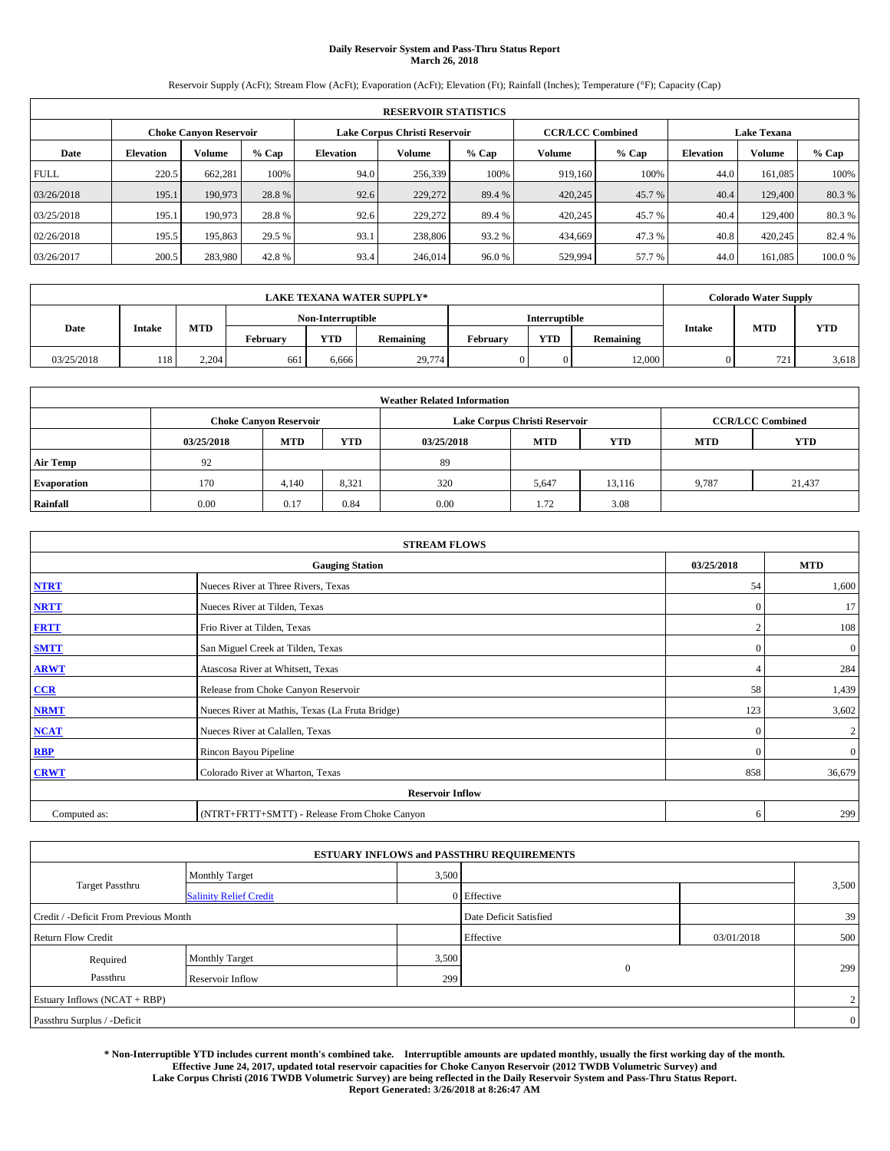# **Daily Reservoir System and Pass-Thru Status Report March 26, 2018**

Reservoir Supply (AcFt); Stream Flow (AcFt); Evaporation (AcFt); Elevation (Ft); Rainfall (Inches); Temperature (°F); Capacity (Cap)

|             | <b>RESERVOIR STATISTICS</b>   |         |         |           |                               |         |                         |         |                  |                    |        |  |
|-------------|-------------------------------|---------|---------|-----------|-------------------------------|---------|-------------------------|---------|------------------|--------------------|--------|--|
|             | <b>Choke Canyon Reservoir</b> |         |         |           | Lake Corpus Christi Reservoir |         | <b>CCR/LCC Combined</b> |         |                  | <b>Lake Texana</b> |        |  |
| Date        | <b>Elevation</b>              | Volume  | $%$ Cap | Elevation | Volume                        | $%$ Cap | Volume                  | $%$ Cap | <b>Elevation</b> | <b>Volume</b>      | % Cap  |  |
| <b>FULL</b> | 220.5                         | 662.281 | 100%    | 94.0      | 256,339                       | 100%    | 919.160                 | 100%    | 44.0             | 161.085            | 100%   |  |
| 03/26/2018  | 195.1                         | 190,973 | 28.8%   | 92.6      | 229,272                       | 89.4 %  | 420,245                 | 45.7 %  | 40.4             | 129,400            | 80.3%  |  |
| 03/25/2018  | 195.1                         | 190,973 | 28.8%   | 92.6      | 229,272                       | 89.4 %  | 420,245                 | 45.7 %  | 40.4             | 129,400            | 80.3%  |  |
| 02/26/2018  | 195.5                         | 195,863 | 29.5 %  | 93.1      | 238,806                       | 93.2 %  | 434,669                 | 47.3%   | 40.8             | 420,245            | 82.4 % |  |
| 03/26/2017  | 200.5                         | 283,980 | 42.8%   | 93.4      | 246,014                       | 96.0%   | 529,994                 | 57.7 %  | 44.0             | 161,085            | 100.0% |  |

|            | <b>LAKE TEXANA WATER SUPPLY*</b> |            |          |                   |           |          |               |           |               | <b>Colorado Water Supply</b> |            |  |
|------------|----------------------------------|------------|----------|-------------------|-----------|----------|---------------|-----------|---------------|------------------------------|------------|--|
|            |                                  |            |          | Non-Interruptible |           |          | Interruptible |           |               |                              |            |  |
| Date       | Intake                           | <b>MTD</b> | Februarv | YTD               | Remaining | Februarv | <b>YTD</b>    | Remaining | <b>Intake</b> | MTD                          | <b>YTD</b> |  |
| 03/25/2018 | 118 <sup>1</sup>                 | 2.204      | 661      | 6,666             | 29,774    |          |               | 12,000    |               | 721                          | 3,618      |  |

| <b>Weather Related Information</b> |            |                               |            |            |                               |                         |                          |        |  |  |  |
|------------------------------------|------------|-------------------------------|------------|------------|-------------------------------|-------------------------|--------------------------|--------|--|--|--|
|                                    |            | <b>Choke Canyon Reservoir</b> |            |            | Lake Corpus Christi Reservoir | <b>CCR/LCC Combined</b> |                          |        |  |  |  |
|                                    | 03/25/2018 | <b>MTD</b>                    | <b>YTD</b> | 03/25/2018 | <b>MTD</b>                    | <b>YTD</b>              | <b>YTD</b><br><b>MTD</b> |        |  |  |  |
| <b>Air Temp</b>                    | 92         |                               |            | 89         |                               |                         |                          |        |  |  |  |
| <b>Evaporation</b>                 | 170        | 4.140                         | 8,321      | 320        | 5,647                         | 13.116                  | 9.787                    | 21,437 |  |  |  |
| Rainfall                           | 0.00       | 0.17                          | 0.84       | 0.00       | 1.72                          | 3.08                    |                          |        |  |  |  |

| <b>STREAM FLOWS</b> |                                                 |              |                |  |  |  |  |  |  |
|---------------------|-------------------------------------------------|--------------|----------------|--|--|--|--|--|--|
|                     | <b>Gauging Station</b>                          | 03/25/2018   | <b>MTD</b>     |  |  |  |  |  |  |
| <b>NTRT</b>         | Nueces River at Three Rivers, Texas             | 54           | 1,600          |  |  |  |  |  |  |
| <b>NRTT</b>         | Nueces River at Tilden, Texas                   | $\mathbf{0}$ | 17             |  |  |  |  |  |  |
| <b>FRTT</b>         | Frio River at Tilden, Texas                     |              | 108            |  |  |  |  |  |  |
| <b>SMTT</b>         | San Miguel Creek at Tilden, Texas               | $\mathbf{0}$ | $\mathbf{0}$   |  |  |  |  |  |  |
| <b>ARWT</b>         | Atascosa River at Whitsett, Texas               |              | 284            |  |  |  |  |  |  |
| CCR                 | Release from Choke Canyon Reservoir             | 58           | 1,439          |  |  |  |  |  |  |
| <b>NRMT</b>         | Nueces River at Mathis, Texas (La Fruta Bridge) | 123          | 3,602          |  |  |  |  |  |  |
| <b>NCAT</b>         | Nueces River at Calallen, Texas                 | $\mathbf{0}$ | $\overline{c}$ |  |  |  |  |  |  |
| <b>RBP</b>          | Rincon Bayou Pipeline                           | $\Omega$     | $\mathbf{0}$   |  |  |  |  |  |  |
| <b>CRWT</b>         | Colorado River at Wharton, Texas                | 858          | 36,679         |  |  |  |  |  |  |
|                     | <b>Reservoir Inflow</b>                         |              |                |  |  |  |  |  |  |
| Computed as:        | (NTRT+FRTT+SMTT) - Release From Choke Canyon    |              |                |  |  |  |  |  |  |

|                                       |                               |                        | <b>ESTUARY INFLOWS and PASSTHRU REQUIREMENTS</b> |            |       |  |  |
|---------------------------------------|-------------------------------|------------------------|--------------------------------------------------|------------|-------|--|--|
|                                       | <b>Monthly Target</b>         | 3,500                  |                                                  |            |       |  |  |
| <b>Target Passthru</b>                | <b>Salinity Relief Credit</b> |                        | 0 Effective                                      |            | 3,500 |  |  |
| Credit / -Deficit From Previous Month |                               | Date Deficit Satisfied |                                                  | 39         |       |  |  |
| <b>Return Flow Credit</b>             |                               |                        | Effective                                        | 03/01/2018 | 500   |  |  |
| Required                              | Monthly Target                | 3,500                  |                                                  |            |       |  |  |
| Passthru                              | Reservoir Inflow              | 299                    | $\mathbf{0}$                                     |            | 299   |  |  |
| Estuary Inflows (NCAT + RBP)          |                               |                        |                                                  |            |       |  |  |
| Passthru Surplus / -Deficit           |                               |                        |                                                  |            |       |  |  |

**\* Non-Interruptible YTD includes current month's combined take. Interruptible amounts are updated monthly, usually the first working day of the month. Effective June 24, 2017, updated total reservoir capacities for Choke Canyon Reservoir (2012 TWDB Volumetric Survey) and Lake Corpus Christi (2016 TWDB Volumetric Survey) are being reflected in the Daily Reservoir System and Pass-Thru Status Report. Report Generated: 3/26/2018 at 8:26:47 AM**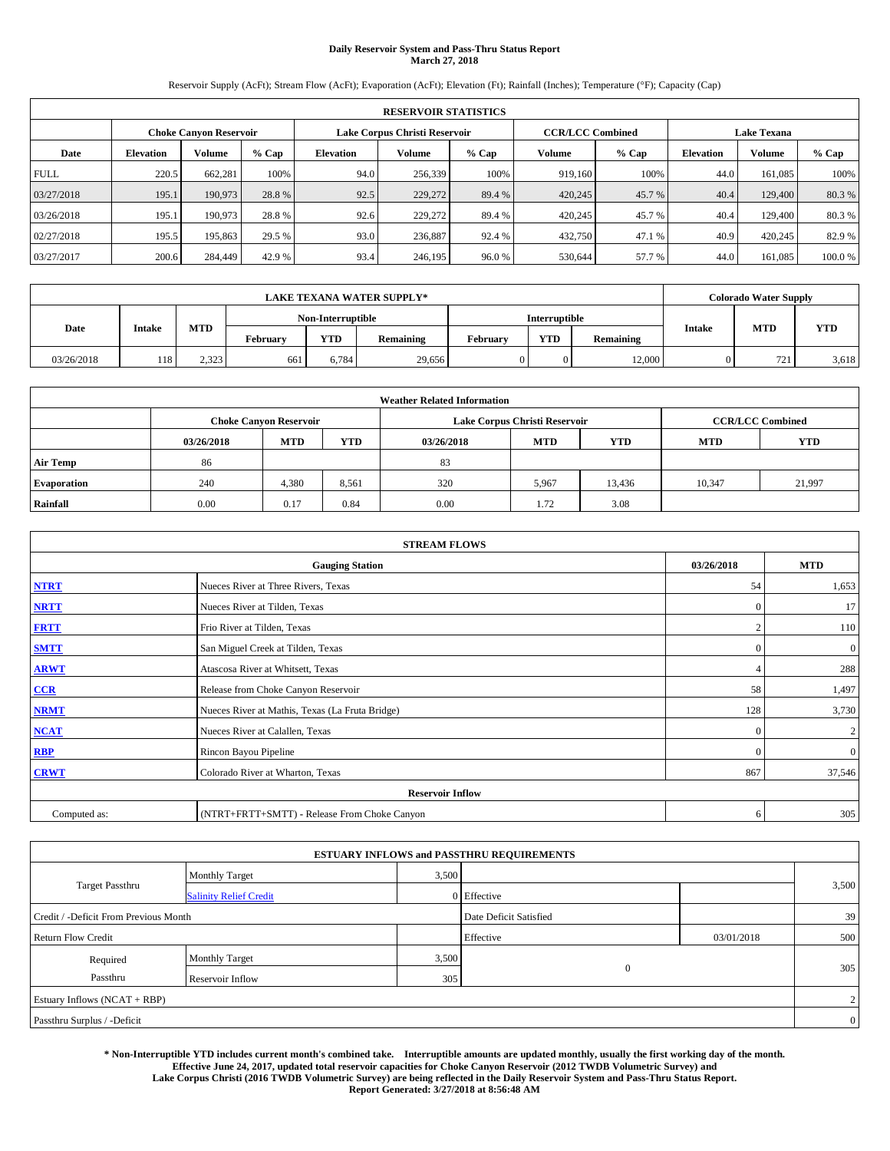# **Daily Reservoir System and Pass-Thru Status Report March 27, 2018**

Reservoir Supply (AcFt); Stream Flow (AcFt); Evaporation (AcFt); Elevation (Ft); Rainfall (Inches); Temperature (°F); Capacity (Cap)

|             | <b>RESERVOIR STATISTICS</b>   |         |         |           |                               |         |                         |         |                  |                    |        |  |
|-------------|-------------------------------|---------|---------|-----------|-------------------------------|---------|-------------------------|---------|------------------|--------------------|--------|--|
|             | <b>Choke Canyon Reservoir</b> |         |         |           | Lake Corpus Christi Reservoir |         | <b>CCR/LCC Combined</b> |         |                  | <b>Lake Texana</b> |        |  |
| Date        | <b>Elevation</b>              | Volume  | $%$ Cap | Elevation | Volume                        | $%$ Cap | Volume                  | $%$ Cap | <b>Elevation</b> | <b>Volume</b>      | % Cap  |  |
| <b>FULL</b> | 220.5                         | 662.281 | 100%    | 94.0      | 256,339                       | 100%    | 919.160                 | 100%    | 44.0             | 161.085            | 100%   |  |
| 03/27/2018  | 195.1                         | 190,973 | 28.8%   | 92.5      | 229,272                       | 89.4 %  | 420,245                 | 45.7 %  | 40.4             | 129,400            | 80.3%  |  |
| 03/26/2018  | 195.1                         | 190,973 | 28.8%   | 92.6      | 229,272                       | 89.4 %  | 420,245                 | 45.7 %  | 40.4             | 129,400            | 80.3%  |  |
| 02/27/2018  | 195.5                         | 195,863 | 29.5 %  | 93.0      | 236,887                       | 92.4 %  | 432,750                 | 47.1 %  | 40.9             | 420,245            | 82.9 % |  |
| 03/27/2017  | 200.6                         | 284,449 | 42.9 %  | 93.4      | 246,195                       | 96.0%   | 530,644                 | 57.7 %  | 44.0             | 161,085            | 100.0% |  |

|            | <b>LAKE TEXANA WATER SUPPLY*</b> |       |          |                   |           |          |                      |           |               | <b>Colorado Water Supply</b> |            |  |
|------------|----------------------------------|-------|----------|-------------------|-----------|----------|----------------------|-----------|---------------|------------------------------|------------|--|
|            |                                  |       |          | Non-Interruptible |           |          | <b>Interruptible</b> |           |               |                              |            |  |
| Date       | Intake                           | MTD   | Februarv | <b>YTD</b>        | Remaining | Februarv | <b>YTD</b>           | Remaining | <b>Intake</b> | MTD                          | <b>YTD</b> |  |
| 03/26/2018 | 118 <sup>1</sup>                 | 2.323 | 661      | 6,784             | 29,656    |          |                      | 12,000    |               | 721                          | 3,618      |  |

| <b>Weather Related Information</b> |            |                               |            |            |                                                      |                         |        |        |  |  |
|------------------------------------|------------|-------------------------------|------------|------------|------------------------------------------------------|-------------------------|--------|--------|--|--|
|                                    |            | <b>Choke Canyon Reservoir</b> |            |            | Lake Corpus Christi Reservoir                        | <b>CCR/LCC Combined</b> |        |        |  |  |
|                                    | 03/26/2018 | <b>MTD</b>                    | <b>YTD</b> | 03/26/2018 | <b>MTD</b><br><b>YTD</b><br><b>MTD</b><br><b>YTD</b> |                         |        |        |  |  |
| <b>Air Temp</b>                    | 86         |                               |            | 83         |                                                      |                         |        |        |  |  |
| <b>Evaporation</b>                 | 240        | 4,380                         | 8,561      | 320        | 5,967                                                | 13,436                  | 10,347 | 21,997 |  |  |
| Rainfall                           | 0.00       | 0.17                          | 0.84       | 0.00       | 1.72                                                 | 3.08                    |        |        |  |  |

| <b>STREAM FLOWS</b>                  |                                                 |              |                |  |  |  |  |  |  |
|--------------------------------------|-------------------------------------------------|--------------|----------------|--|--|--|--|--|--|
| <b>Gauging Station</b><br>03/26/2018 |                                                 |              |                |  |  |  |  |  |  |
| <b>NTRT</b>                          | Nueces River at Three Rivers, Texas             | 54           | 1,653          |  |  |  |  |  |  |
| <b>NRTT</b>                          | Nueces River at Tilden, Texas                   | $\Omega$     | 17             |  |  |  |  |  |  |
| <b>FRTT</b>                          | Frio River at Tilden, Texas                     |              | 110            |  |  |  |  |  |  |
| <b>SMTT</b>                          | San Miguel Creek at Tilden, Texas               | $\mathbf{0}$ | $\mathbf{0}$   |  |  |  |  |  |  |
| <b>ARWT</b>                          | Atascosa River at Whitsett, Texas               | 4            | 288            |  |  |  |  |  |  |
| $CCR$                                | Release from Choke Canyon Reservoir             | 58           | 1,497          |  |  |  |  |  |  |
| <b>NRMT</b>                          | Nueces River at Mathis, Texas (La Fruta Bridge) | 128          | 3,730          |  |  |  |  |  |  |
| <b>NCAT</b>                          | Nueces River at Calallen, Texas                 | $\mathbf{0}$ | $\overline{c}$ |  |  |  |  |  |  |
| RBP                                  | Rincon Bayou Pipeline                           | $\Omega$     | $\mathbf{0}$   |  |  |  |  |  |  |
| <b>CRWT</b>                          | Colorado River at Wharton, Texas                | 867          | 37,546         |  |  |  |  |  |  |
|                                      | <b>Reservoir Inflow</b>                         |              |                |  |  |  |  |  |  |
| Computed as:                         | (NTRT+FRTT+SMTT) - Release From Choke Canyon    | 6            | 305            |  |  |  |  |  |  |

|                                       |                               |       | <b>ESTUARY INFLOWS and PASSTHRU REQUIREMENTS</b> |            |                |  |  |  |
|---------------------------------------|-------------------------------|-------|--------------------------------------------------|------------|----------------|--|--|--|
|                                       | <b>Monthly Target</b>         | 3,500 |                                                  |            |                |  |  |  |
| <b>Target Passthru</b>                | <b>Salinity Relief Credit</b> |       | 0 Effective                                      |            | 3,500          |  |  |  |
| Credit / -Deficit From Previous Month |                               |       | Date Deficit Satisfied                           |            | 39             |  |  |  |
| <b>Return Flow Credit</b>             |                               |       | Effective                                        | 03/01/2018 | 500            |  |  |  |
| Required                              | Monthly Target                | 3,500 |                                                  |            |                |  |  |  |
| Passthru                              | Reservoir Inflow              | 305   | $\mathbf{0}$                                     |            | 305            |  |  |  |
| Estuary Inflows (NCAT + RBP)          |                               |       |                                                  |            |                |  |  |  |
| Passthru Surplus / -Deficit           |                               |       |                                                  |            | $\overline{0}$ |  |  |  |

**\* Non-Interruptible YTD includes current month's combined take. Interruptible amounts are updated monthly, usually the first working day of the month. Effective June 24, 2017, updated total reservoir capacities for Choke Canyon Reservoir (2012 TWDB Volumetric Survey) and Lake Corpus Christi (2016 TWDB Volumetric Survey) are being reflected in the Daily Reservoir System and Pass-Thru Status Report. Report Generated: 3/27/2018 at 8:56:48 AM**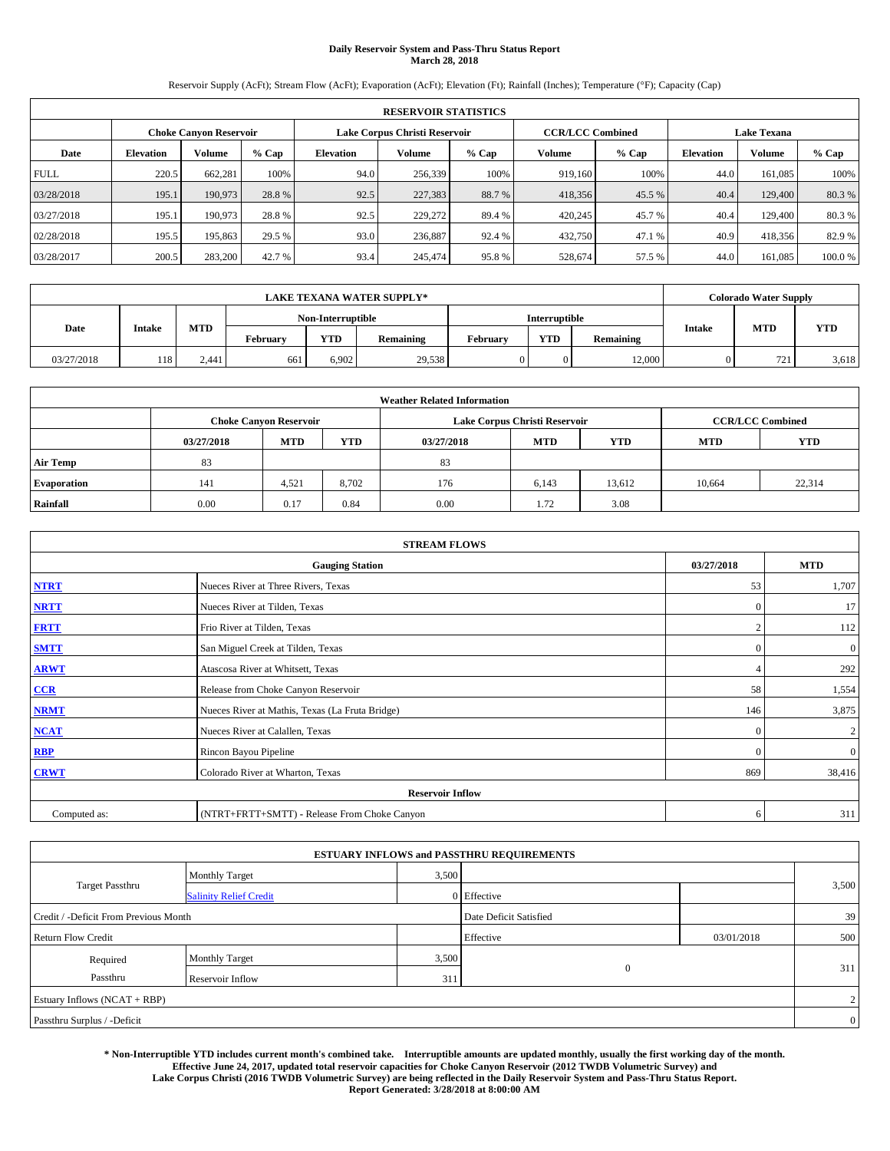# **Daily Reservoir System and Pass-Thru Status Report March 28, 2018**

Reservoir Supply (AcFt); Stream Flow (AcFt); Evaporation (AcFt); Elevation (Ft); Rainfall (Inches); Temperature (°F); Capacity (Cap)

| <b>RESERVOIR STATISTICS</b> |                  |                               |         |           |                               |         |                         |         |                  |                    |        |
|-----------------------------|------------------|-------------------------------|---------|-----------|-------------------------------|---------|-------------------------|---------|------------------|--------------------|--------|
|                             |                  | <b>Choke Canyon Reservoir</b> |         |           | Lake Corpus Christi Reservoir |         | <b>CCR/LCC Combined</b> |         |                  | <b>Lake Texana</b> |        |
| Date                        | <b>Elevation</b> | Volume                        | $%$ Cap | Elevation | Volume                        | $%$ Cap | Volume                  | $%$ Cap | <b>Elevation</b> | <b>Volume</b>      | % Cap  |
| <b>FULL</b>                 | 220.5            | 662,281                       | 100%    | 94.0      | 256,339                       | 100%    | 919.160                 | 100%    | 44.0             | 161.085            | 100%   |
| 03/28/2018                  | 195.1            | 190,973                       | 28.8%   | 92.5      | 227,383                       | 88.7 %  | 418,356                 | 45.5 %  | 40.4             | 129,400            | 80.3%  |
| 03/27/2018                  | 195.1            | 190,973                       | 28.8%   | 92.5      | 229,272                       | 89.4 %  | 420,245                 | 45.7 %  | 40.4             | 129,400            | 80.3%  |
| 02/28/2018                  | 195.5            | 195,863                       | 29.5 %  | 93.0      | 236,887                       | 92.4 %  | 432,750                 | 47.1 %  | 40.9             | 418,356            | 82.9 % |
| 03/28/2017                  | 200.5            | 283,200                       | 42.7 %  | 93.4      | 245,474                       | 95.8%   | 528,674                 | 57.5 %  | 44.0             | 161,085            | 100.0% |

| <b>LAKE TEXANA WATER SUPPLY*</b> |        |            |          |                   |           |          |               |           |               | <b>Colorado Water Supply</b> |            |
|----------------------------------|--------|------------|----------|-------------------|-----------|----------|---------------|-----------|---------------|------------------------------|------------|
|                                  |        |            |          | Non-Interruptible |           |          | Interruptible |           |               |                              |            |
| Date                             | Intake | <b>MTD</b> | Februarv | <b>YTD</b>        | Remaining | Februarv | <b>YTD</b>    | Remaining | <b>Intake</b> | <b>MTD</b>                   | <b>YTD</b> |
| 03/27/2018                       | 118    | 2.441      | 661      | 6,902             | 29,538    |          |               | 12,000    |               | 721                          | 3,618      |

| <b>Weather Related Information</b> |            |                               |            |            |                                                      |                         |        |        |  |  |
|------------------------------------|------------|-------------------------------|------------|------------|------------------------------------------------------|-------------------------|--------|--------|--|--|
|                                    |            | <b>Choke Canvon Reservoir</b> |            |            | Lake Corpus Christi Reservoir                        | <b>CCR/LCC Combined</b> |        |        |  |  |
|                                    | 03/27/2018 | <b>MTD</b>                    | <b>YTD</b> | 03/27/2018 | <b>MTD</b><br><b>MTD</b><br><b>YTD</b><br><b>YTD</b> |                         |        |        |  |  |
| <b>Air Temp</b>                    | 83         |                               |            | 83         |                                                      |                         |        |        |  |  |
| <b>Evaporation</b>                 | 141        | 4,521                         | 8,702      | 176        | 6,143                                                | 13,612                  | 10,664 | 22,314 |  |  |
| Rainfall                           | 0.00       | 0.17                          | 0.84       | 0.00       | 1.72                                                 | 3.08                    |        |        |  |  |

| <b>STREAM FLOWS</b> |                                                 |                |                  |  |  |  |  |  |
|---------------------|-------------------------------------------------|----------------|------------------|--|--|--|--|--|
|                     | 03/27/2018                                      | <b>MTD</b>     |                  |  |  |  |  |  |
| <b>NTRT</b>         | Nueces River at Three Rivers, Texas             | 53             | 1,707            |  |  |  |  |  |
| <b>NRTT</b>         | Nueces River at Tilden, Texas                   | $\overline{0}$ | 17               |  |  |  |  |  |
| <b>FRTT</b>         | Frio River at Tilden, Texas                     |                | 112              |  |  |  |  |  |
| <b>SMTT</b>         | San Miguel Creek at Tilden, Texas               | $\mathbf{0}$   | $\boldsymbol{0}$ |  |  |  |  |  |
| <b>ARWT</b>         | Atascosa River at Whitsett, Texas               | $\overline{4}$ | 292              |  |  |  |  |  |
| CCR                 | Release from Choke Canyon Reservoir             | 58             | 1,554            |  |  |  |  |  |
| <b>NRMT</b>         | Nueces River at Mathis, Texas (La Fruta Bridge) | 146            | 3,875            |  |  |  |  |  |
| <b>NCAT</b>         | Nueces River at Calallen, Texas                 | $\Omega$       | 2                |  |  |  |  |  |
| <b>RBP</b>          | Rincon Bayou Pipeline                           | $\Omega$       | $\mathbf{0}$     |  |  |  |  |  |
| <b>CRWT</b>         | Colorado River at Wharton, Texas                | 869            | 38,416           |  |  |  |  |  |
|                     |                                                 |                |                  |  |  |  |  |  |
| Computed as:        | (NTRT+FRTT+SMTT) - Release From Choke Canyon    | 6              | 311              |  |  |  |  |  |

|                                       |                               |       | <b>ESTUARY INFLOWS and PASSTHRU REQUIREMENTS</b> |            |                |
|---------------------------------------|-------------------------------|-------|--------------------------------------------------|------------|----------------|
|                                       | <b>Monthly Target</b>         | 3,500 |                                                  |            |                |
| Target Passthru                       | <b>Salinity Relief Credit</b> |       | 0 Effective                                      |            | 3,500          |
| Credit / -Deficit From Previous Month |                               |       | Date Deficit Satisfied                           |            | 39             |
| <b>Return Flow Credit</b>             |                               |       | Effective                                        | 03/01/2018 | 500            |
| Required                              | <b>Monthly Target</b>         | 3,500 |                                                  |            |                |
| Passthru                              | Reservoir Inflow              | 311   | $\overline{0}$                                   |            | 311            |
| Estuary Inflows (NCAT + RBP)          |                               |       |                                                  |            | $\overline{2}$ |
| Passthru Surplus / -Deficit           |                               |       |                                                  |            | $\overline{0}$ |

**\* Non-Interruptible YTD includes current month's combined take. Interruptible amounts are updated monthly, usually the first working day of the month. Effective June 24, 2017, updated total reservoir capacities for Choke Canyon Reservoir (2012 TWDB Volumetric Survey) and Lake Corpus Christi (2016 TWDB Volumetric Survey) are being reflected in the Daily Reservoir System and Pass-Thru Status Report. Report Generated: 3/28/2018 at 8:00:00 AM**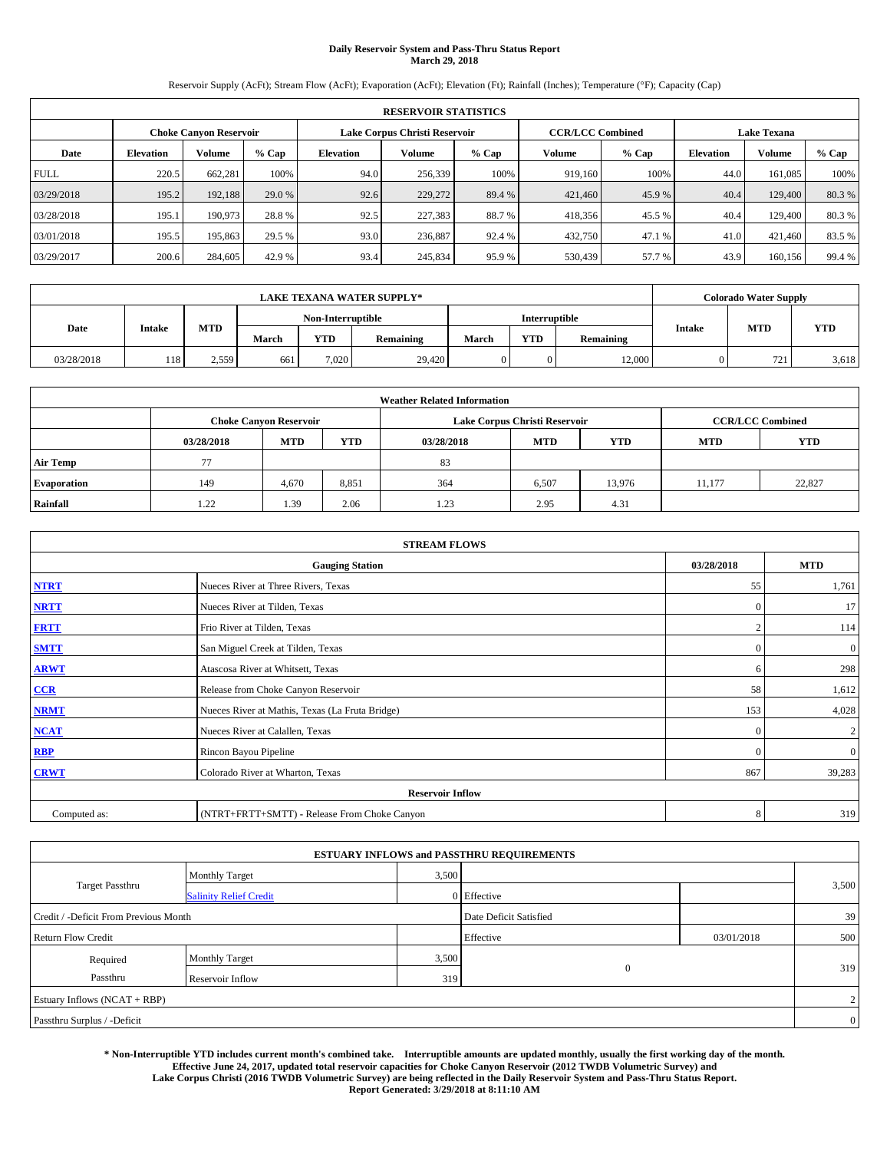# **Daily Reservoir System and Pass-Thru Status Report March 29, 2018**

Reservoir Supply (AcFt); Stream Flow (AcFt); Evaporation (AcFt); Elevation (Ft); Rainfall (Inches); Temperature (°F); Capacity (Cap)

| <b>RESERVOIR STATISTICS</b> |                  |                        |        |           |                               |         |                         |         |                    |         |        |
|-----------------------------|------------------|------------------------|--------|-----------|-------------------------------|---------|-------------------------|---------|--------------------|---------|--------|
|                             |                  | Choke Canvon Reservoir |        |           | Lake Corpus Christi Reservoir |         | <b>CCR/LCC Combined</b> |         | <b>Lake Texana</b> |         |        |
| Date                        | <b>Elevation</b> | Volume                 | % Cap  | Elevation | Volume                        | $%$ Cap | Volume                  | $%$ Cap | <b>Elevation</b>   | Volume  | % Cap  |
| <b>FULL</b>                 | 220.5            | 662.281                | 100%   | 94.0      | 256,339                       | 100%    | 919.160                 | 100%    | 44.0               | 161.085 | 100%   |
| 03/29/2018                  | 195.2            | 192.188                | 29.0 % | 92.6      | 229,272                       | 89.4 %  | 421,460                 | 45.9 %  | 40.4               | 129,400 | 80.3%  |
| 03/28/2018                  | 195.1            | 190,973                | 28.8%  | 92.5      | 227,383                       | 88.7 %  | 418,356                 | 45.5 %  | 40.4               | 129,400 | 80.3%  |
| 03/01/2018                  | 195.5            | 195,863                | 29.5 % | 93.0      | 236,887                       | 92.4 %  | 432,750                 | 47.1 %  | 41.0               | 421.460 | 83.5%  |
| 03/29/2017                  | 200.6            | 284,605                | 42.9 % | 93.4      | 245,834                       | 95.9%   | 530,439                 | 57.7 %  | 43.9               | 160.156 | 99.4 % |

| <b>LAKE TEXANA WATER SUPPLY*</b> |               |       |       |                   |           |       |               |           |        | <b>Colorado Water Supply</b> |            |
|----------------------------------|---------------|-------|-------|-------------------|-----------|-------|---------------|-----------|--------|------------------------------|------------|
|                                  |               |       |       | Non-Interruptible |           |       | Interruptible |           |        |                              |            |
| Date                             | <b>Intake</b> | MTD   | March | <b>YTD</b>        | Remaining | March | <b>YTD</b>    | Remaining | Intake | <b>MTD</b>                   | <b>YTD</b> |
| 03/28/2018                       | 118           | 2.559 | 661   | 7.020             | 29.420    |       | 0             | 12,000    |        | 721                          | 3,618      |

| <b>Weather Related Information</b> |            |                               |            |            |                               |                         |            |            |  |
|------------------------------------|------------|-------------------------------|------------|------------|-------------------------------|-------------------------|------------|------------|--|
|                                    |            | <b>Choke Canvon Reservoir</b> |            |            | Lake Corpus Christi Reservoir | <b>CCR/LCC Combined</b> |            |            |  |
|                                    | 03/28/2018 | <b>MTD</b>                    | <b>YTD</b> | 03/28/2018 | <b>MTD</b>                    | <b>YTD</b>              | <b>MTD</b> | <b>YTD</b> |  |
| <b>Air Temp</b>                    | 77         |                               |            | 83         |                               |                         |            |            |  |
| <b>Evaporation</b>                 | 149        | 4,670                         | 8,851      | 364        | 6,507                         | 13,976                  | 11,177     | 22,827     |  |
| Rainfall                           | 1.22       | 1.39                          | 2.06       | 1.23       | 2.95                          | 4.31                    |            |            |  |

| <b>STREAM FLOWS</b> |                                                 |              |                  |  |  |  |  |  |
|---------------------|-------------------------------------------------|--------------|------------------|--|--|--|--|--|
|                     | <b>Gauging Station</b>                          | 03/28/2018   | <b>MTD</b>       |  |  |  |  |  |
| <b>NTRT</b>         | Nueces River at Three Rivers, Texas             | 55           | 1,761            |  |  |  |  |  |
| <b>NRTT</b>         | Nueces River at Tilden, Texas                   | $\Omega$     | 17               |  |  |  |  |  |
| <b>FRTT</b>         | Frio River at Tilden, Texas                     |              | 114              |  |  |  |  |  |
| <b>SMTT</b>         | San Miguel Creek at Tilden, Texas               | $\mathbf{0}$ | $\mathbf{0}$     |  |  |  |  |  |
| <b>ARWT</b>         | Atascosa River at Whitsett, Texas               | 6            | 298              |  |  |  |  |  |
| $CCR$               | Release from Choke Canyon Reservoir             | 58           | 1,612            |  |  |  |  |  |
| <b>NRMT</b>         | Nueces River at Mathis, Texas (La Fruta Bridge) | 153          | 4,028            |  |  |  |  |  |
| <b>NCAT</b>         | Nueces River at Calallen, Texas                 | $\Omega$     | $\boldsymbol{2}$ |  |  |  |  |  |
| RBP                 | Rincon Bayou Pipeline                           | $\Omega$     | $\mathbf{0}$     |  |  |  |  |  |
| <b>CRWT</b>         | Colorado River at Wharton, Texas                | 867          | 39,283           |  |  |  |  |  |
|                     |                                                 |              |                  |  |  |  |  |  |
| Computed as:        | (NTRT+FRTT+SMTT) - Release From Choke Canyon    | 8            | 319              |  |  |  |  |  |

| <b>ESTUARY INFLOWS and PASSTHRU REQUIREMENTS</b> |                               |                        |                |            |                |  |  |  |  |  |
|--------------------------------------------------|-------------------------------|------------------------|----------------|------------|----------------|--|--|--|--|--|
|                                                  | <b>Monthly Target</b>         | 3,500                  |                |            |                |  |  |  |  |  |
| <b>Target Passthru</b>                           | <b>Salinity Relief Credit</b> |                        | 0 Effective    |            | 3,500          |  |  |  |  |  |
| Credit / -Deficit From Previous Month            |                               | Date Deficit Satisfied |                | 39         |                |  |  |  |  |  |
| <b>Return Flow Credit</b>                        |                               |                        | Effective      | 03/01/2018 | 500            |  |  |  |  |  |
| Required                                         | Monthly Target                | 3,500                  |                |            |                |  |  |  |  |  |
| Passthru                                         | Reservoir Inflow              | 319                    | $\overline{0}$ |            | 319            |  |  |  |  |  |
| Estuary Inflows (NCAT + RBP)                     |                               |                        |                |            |                |  |  |  |  |  |
| Passthru Surplus / -Deficit                      |                               |                        |                |            | $\overline{0}$ |  |  |  |  |  |

**\* Non-Interruptible YTD includes current month's combined take. Interruptible amounts are updated monthly, usually the first working day of the month. Effective June 24, 2017, updated total reservoir capacities for Choke Canyon Reservoir (2012 TWDB Volumetric Survey) and Lake Corpus Christi (2016 TWDB Volumetric Survey) are being reflected in the Daily Reservoir System and Pass-Thru Status Report. Report Generated: 3/29/2018 at 8:11:10 AM**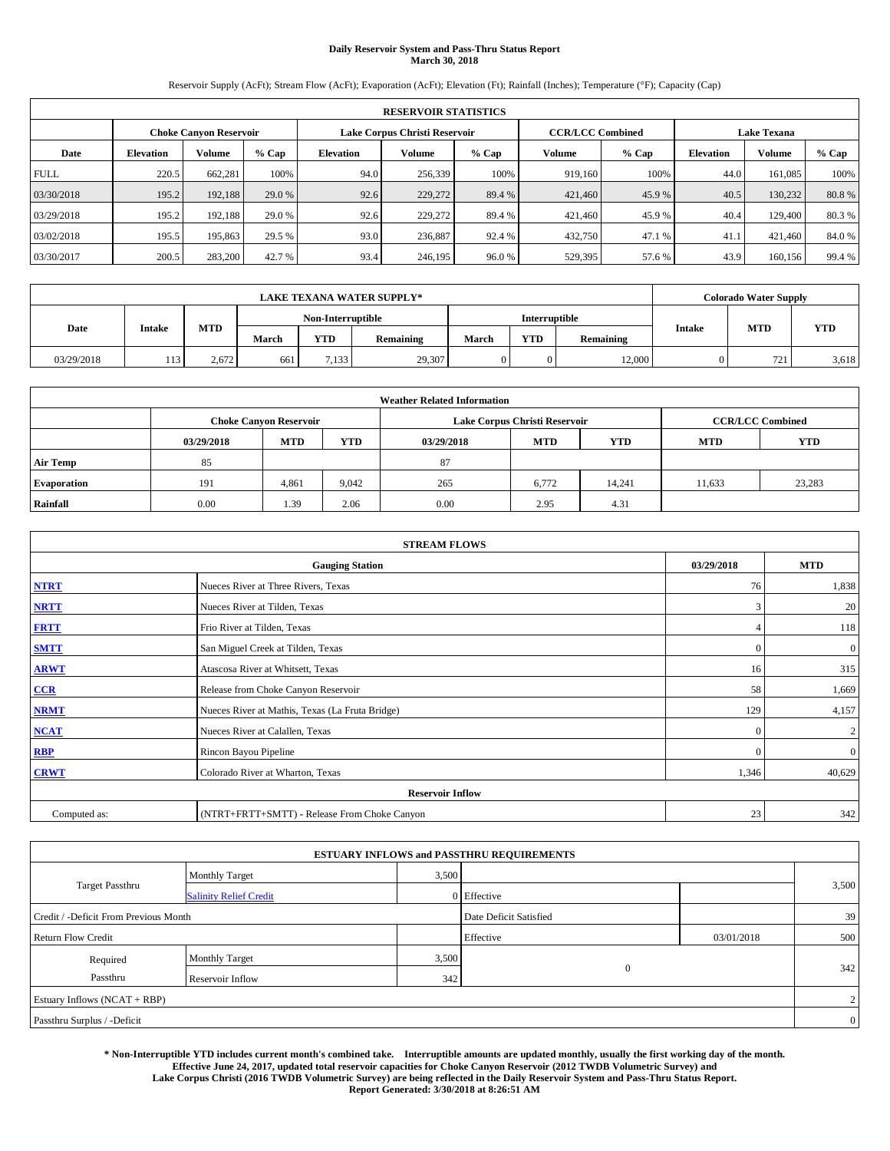# **Daily Reservoir System and Pass-Thru Status Report March 30, 2018**

Reservoir Supply (AcFt); Stream Flow (AcFt); Evaporation (AcFt); Elevation (Ft); Rainfall (Inches); Temperature (°F); Capacity (Cap)

| <b>RESERVOIR STATISTICS</b> |                  |                        |        |                               |         |         |                         |         |                    |         |        |
|-----------------------------|------------------|------------------------|--------|-------------------------------|---------|---------|-------------------------|---------|--------------------|---------|--------|
|                             |                  | Choke Canvon Reservoir |        | Lake Corpus Christi Reservoir |         |         | <b>CCR/LCC Combined</b> |         | <b>Lake Texana</b> |         |        |
| Date                        | <b>Elevation</b> | Volume                 | % Cap  | Elevation                     | Volume  | $%$ Cap | Volume                  | $%$ Cap | <b>Elevation</b>   | Volume  | % Cap  |
| <b>FULL</b>                 | 220.5            | 662.281                | 100%   | 94.0                          | 256,339 | 100%    | 919.160                 | 100%    | 44.0               | 161.085 | 100%   |
| 03/30/2018                  | 195.2            | 192.188                | 29.0 % | 92.6                          | 229,272 | 89.4 %  | 421,460                 | 45.9 %  | 40.5               | 130.232 | 80.8%  |
| 03/29/2018                  | 195.2            | 192,188                | 29.0 % | 92.6                          | 229,272 | 89.4 %  | 421,460                 | 45.9 %  | 40.4               | 129,400 | 80.3%  |
| 03/02/2018                  | 195.5            | 195,863                | 29.5 % | 93.0                          | 236,887 | 92.4 %  | 432,750                 | 47.1 %  | 41.1               | 421.460 | 84.0%  |
| 03/30/2017                  | 200.5            | 283,200                | 42.7 % | 93.4                          | 246,195 | 96.0%   | 529,395                 | 57.6 %  | 43.9               | 160.156 | 99.4 % |

| <b>LAKE TEXANA WATER SUPPLY*</b> |               |       |                   |            |           |       |               | <b>Colorado Water Supply</b> |        |            |            |
|----------------------------------|---------------|-------|-------------------|------------|-----------|-------|---------------|------------------------------|--------|------------|------------|
|                                  |               |       | Non-Interruptible |            |           |       | Interruptible |                              |        |            |            |
| Date                             | <b>Intake</b> | MTD   | March             | <b>YTD</b> | Remaining | March | <b>YTD</b>    | Remaining                    | Intake | <b>MTD</b> | <b>YTD</b> |
| 03/29/2018                       |               | 2.672 | 661               | 7,133      | 29,307    |       | 0             | 12,000                       |        | 721        | 3,618      |

| <b>Weather Related Information</b> |            |                               |            |            |                               |                         |            |            |  |  |  |
|------------------------------------|------------|-------------------------------|------------|------------|-------------------------------|-------------------------|------------|------------|--|--|--|
|                                    |            | <b>Choke Canvon Reservoir</b> |            |            | Lake Corpus Christi Reservoir | <b>CCR/LCC Combined</b> |            |            |  |  |  |
|                                    | 03/29/2018 | <b>MTD</b>                    | <b>YTD</b> | 03/29/2018 | <b>MTD</b>                    | <b>YTD</b>              | <b>MTD</b> | <b>YTD</b> |  |  |  |
| <b>Air Temp</b>                    | 85         |                               |            | 87         |                               |                         |            |            |  |  |  |
| <b>Evaporation</b>                 | 191        | 4,861                         | 9,042      | 265        | 6,772                         | 14.241                  | 11,633     | 23,283     |  |  |  |
| Rainfall                           | 0.00       | 1.39                          | 2.06       | 0.00       | 2.95                          | 4.31                    |            |            |  |  |  |

| <b>STREAM FLOWS</b> |                                                 |              |                |  |  |  |  |  |  |  |
|---------------------|-------------------------------------------------|--------------|----------------|--|--|--|--|--|--|--|
|                     | 03/29/2018                                      | <b>MTD</b>   |                |  |  |  |  |  |  |  |
| <b>NTRT</b>         | Nueces River at Three Rivers, Texas             | 76           | 1,838          |  |  |  |  |  |  |  |
| <b>NRTT</b>         | Nueces River at Tilden, Texas                   | 3            | 20             |  |  |  |  |  |  |  |
| <b>FRTT</b>         | Frio River at Tilden, Texas                     |              | 118            |  |  |  |  |  |  |  |
| <b>SMTT</b>         | San Miguel Creek at Tilden, Texas               | $\mathbf{0}$ | $\mathbf{0}$   |  |  |  |  |  |  |  |
| <b>ARWT</b>         | Atascosa River at Whitsett, Texas               | 16           | 315            |  |  |  |  |  |  |  |
| $CCR$               | Release from Choke Canyon Reservoir             | 58           | 1,669          |  |  |  |  |  |  |  |
| <b>NRMT</b>         | Nueces River at Mathis, Texas (La Fruta Bridge) | 129          | 4,157          |  |  |  |  |  |  |  |
| <b>NCAT</b>         | Nueces River at Calallen, Texas                 | $\Omega$     | $\overline{c}$ |  |  |  |  |  |  |  |
| RBP                 | Rincon Bayou Pipeline                           | $\Omega$     | $\mathbf{0}$   |  |  |  |  |  |  |  |
| <b>CRWT</b>         | Colorado River at Wharton, Texas                | 1,346        | 40,629         |  |  |  |  |  |  |  |
|                     | <b>Reservoir Inflow</b>                         |              |                |  |  |  |  |  |  |  |
| Computed as:        | (NTRT+FRTT+SMTT) - Release From Choke Canyon    | 23           | 342            |  |  |  |  |  |  |  |

| <b>ESTUARY INFLOWS and PASSTHRU REQUIREMENTS</b> |                               |       |                        |            |                |  |  |  |  |  |
|--------------------------------------------------|-------------------------------|-------|------------------------|------------|----------------|--|--|--|--|--|
|                                                  | <b>Monthly Target</b>         | 3,500 |                        |            |                |  |  |  |  |  |
| <b>Target Passthru</b>                           | <b>Salinity Relief Credit</b> |       | 0 Effective            |            | 3,500          |  |  |  |  |  |
| Credit / -Deficit From Previous Month            |                               |       | Date Deficit Satisfied |            | 39             |  |  |  |  |  |
| <b>Return Flow Credit</b>                        |                               |       | Effective              | 03/01/2018 | 500            |  |  |  |  |  |
| Required                                         | <b>Monthly Target</b>         | 3,500 |                        |            |                |  |  |  |  |  |
| Passthru                                         | Reservoir Inflow              | 342   | $\mathbf{0}$           |            | 342            |  |  |  |  |  |
| Estuary Inflows (NCAT + RBP)                     |                               |       |                        |            |                |  |  |  |  |  |
| Passthru Surplus / -Deficit                      |                               |       |                        |            | $\overline{0}$ |  |  |  |  |  |

**\* Non-Interruptible YTD includes current month's combined take. Interruptible amounts are updated monthly, usually the first working day of the month. Effective June 24, 2017, updated total reservoir capacities for Choke Canyon Reservoir (2012 TWDB Volumetric Survey) and Lake Corpus Christi (2016 TWDB Volumetric Survey) are being reflected in the Daily Reservoir System and Pass-Thru Status Report. Report Generated: 3/30/2018 at 8:26:51 AM**